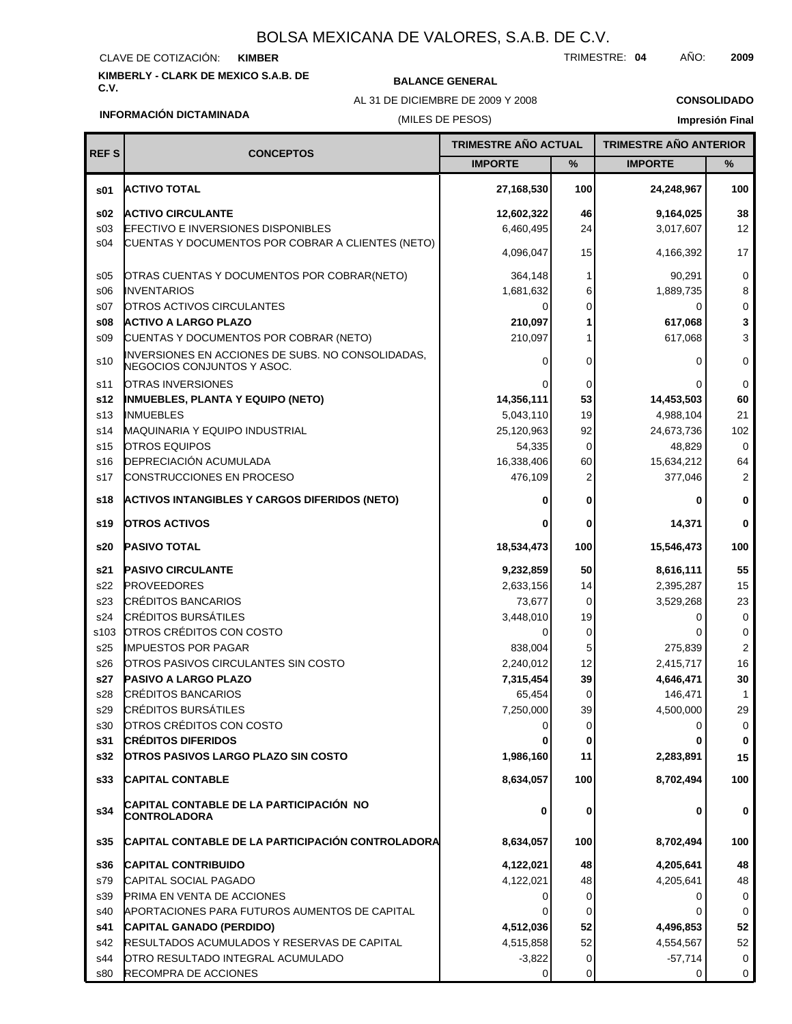#### CLAVE DE COTIZACIÓN: **KIMBER**

## **KIMBERLY - CLARK DE MEXICO S.A.B. DE**

### **BALANCE GENERAL**

AL 31 DE DICIEMBRE DE 2009 Y 2008

TRIMESTRE: **04** AÑO: **2009**

**CONSOLIDADO Impresión Final**

### **INFORMACIÓN DICTAMINADA**

### (MILES DE PESOS)

| <b>REFS</b>     | <b>CONCEPTOS</b>                                                                | <b>TRIMESTRE AÑO ACTUAL</b> |      | <b>TRIMESTRE AÑO ANTERIOR</b> |                 |
|-----------------|---------------------------------------------------------------------------------|-----------------------------|------|-------------------------------|-----------------|
|                 |                                                                                 | <b>IMPORTE</b>              | $\%$ | <b>IMPORTE</b>                | %               |
| \$01            | <b>ACTIVO TOTAL</b>                                                             | 27,168,530                  | 100  | 24,248,967                    | 100             |
| \$02            | <b>ACTIVO CIRCULANTE</b>                                                        | 12,602,322                  | 46   | 9,164,025                     | 38              |
| s03             | EFECTIVO E INVERSIONES DISPONIBLES                                              | 6,460,495                   | 24   | 3,017,607                     | 12 <sup>2</sup> |
| s04             | CUENTAS Y DOCUMENTOS POR COBRAR A CLIENTES (NETO)                               | 4,096,047                   | 15   | 4,166,392                     | 17              |
| \$05            | OTRAS CUENTAS Y DOCUMENTOS POR COBRAR(NETO)                                     | 364,148                     | 1    | 90,291                        | $\mathbf 0$     |
| \$06            | <b>INVENTARIOS</b>                                                              | 1,681,632                   | 6    | 1,889,735                     | 8               |
| S <sub>07</sub> | <b>OTROS ACTIVOS CIRCULANTES</b>                                                | $\Omega$                    | 0    | 0                             | $\mathbf 0$     |
| \$08            | <b>ACTIVO A LARGO PLAZO</b>                                                     | 210,097                     |      | 617,068                       | 3               |
| \$09            | CUENTAS Y DOCUMENTOS POR COBRAR (NETO)                                          | 210,097                     |      | 617,068                       | 3               |
| s10             | INVERSIONES EN ACCIONES DE SUBS. NO CONSOLIDADAS,<br>NEGOCIOS CONJUNTOS Y ASOC. | 0                           | 0    | O                             | $\mathbf 0$     |
| s11             | OTRAS INVERSIONES                                                               |                             | 0    |                               | 0               |
| s12             | <b>INMUEBLES, PLANTA Y EQUIPO (NETO)</b>                                        | 14,356,111                  | 53   | 14,453,503                    | 60              |
| s <sub>13</sub> | <b>INMUEBLES</b>                                                                | 5,043,110                   | 19   | 4,988,104                     | 21              |
| s14             | <b>MAQUINARIA Y EQUIPO INDUSTRIAL</b>                                           | 25,120,963                  | 92   | 24,673,736                    | 102             |
| s <sub>15</sub> | <b>OTROS EQUIPOS</b>                                                            | 54,335                      | 0    | 48,829                        | 0               |
| s16             | DEPRECIACIÓN ACUMULADA                                                          | 16,338,406                  | 60   | 15,634,212                    | 64              |
| s17             | <b>CONSTRUCCIONES EN PROCESO</b>                                                | 476,109                     | 2    | 377,046                       | $\overline{2}$  |
| s18             | <b>ACTIVOS INTANGIBLES Y CARGOS DIFERIDOS (NETO)</b>                            | 0                           | 0    | 0                             | 0               |
| s19             | <b>OTROS ACTIVOS</b>                                                            | 0                           | 0    | 14,371                        | 0               |
| s20             | <b>PASIVO TOTAL</b>                                                             | 18,534,473                  | 100  | 15,546,473                    | 100             |
| s21             | <b>PASIVO CIRCULANTE</b>                                                        | 9,232,859                   | 50   | 8,616,111                     | 55              |
| s22             | <b>PROVEEDORES</b>                                                              | 2,633,156                   | 14   | 2,395,287                     | 15              |
| s23             | <b>CRÉDITOS BANCARIOS</b>                                                       | 73,677                      | 0    | 3,529,268                     | 23              |
| s24             | <b>CRÉDITOS BURSÁTILES</b>                                                      | 3,448,010                   | 19   | O                             | 0               |
| s103            | OTROS CRÉDITOS CON COSTO                                                        | $\Omega$                    | 0    |                               | 0               |
| s25             | <b>IMPUESTOS POR PAGAR</b>                                                      | 838,004                     | 5    | 275,839                       | 2               |
| s26             | <b>OTROS PASIVOS CIRCULANTES SIN COSTO</b>                                      | 2,240,012                   | 12   | 2,415,717                     | 16              |
| s27             | <b>PASIVO A LARGO PLAZO</b>                                                     | 7,315,454                   | 39   | 4,646,471                     | 30              |
| s28             | <b>CRÉDITOS BANCARIOS</b>                                                       | 65,454                      | 0    | 146,471                       | 1               |
| s29             | <b>CRÉDITOS BURSÁTILES</b>                                                      | 7,250,000                   | 39   | 4,500,000                     | 29              |
| s30             | OTROS CRÉDITOS CON COSTO                                                        | 0                           | 0    | 0                             | 0               |
| s31             | <b>CRÉDITOS DIFERIDOS</b>                                                       |                             | 0    |                               | 0               |
| s32             | <b>OTROS PASIVOS LARGO PLAZO SIN COSTO</b>                                      | 1,986,160                   | 11   | 2,283,891                     | 15              |
| \$33            | <b>CAPITAL CONTABLE</b>                                                         | 8,634,057                   | 100  | 8,702,494                     | 100             |
| s34             | CAPITAL CONTABLE DE LA PARTICIPACION  NO<br>CONTROLADORA                        | 0                           | 0    | 0                             | 0               |
| s35             | CAPITAL CONTABLE DE LA PARTICIPACIÓN CONTROLADORA                               | 8,634,057                   | 100  | 8,702,494                     | 100             |
| s36             | <b>CAPITAL CONTRIBUIDO</b>                                                      | 4,122,021                   | 48   | 4,205,641                     | 48              |
| s79             | CAPITAL SOCIAL PAGADO                                                           | 4,122,021                   | 48   | 4,205,641                     | 48              |
| s39             | <b>PRIMA EN VENTA DE ACCIONES</b>                                               | 0                           | 0    | 0                             | 0               |
| s40             | APORTACIONES PARA FUTUROS AUMENTOS DE CAPITAL                                   |                             | 0    |                               | 0               |
| s41             | CAPITAL GANADO (PERDIDO)                                                        | 4,512,036                   | 52   | 4,496,853                     | 52              |
| s42             | <b>RESULTADOS ACUMULADOS Y RESERVAS DE CAPITAL</b>                              | 4,515,858                   | 52   | 4,554,567                     | 52              |
| s44             | OTRO RESULTADO INTEGRAL ACUMULADO                                               | $-3,822$                    | 0    | $-57,714$                     | $\mathbf{0}$    |
| s80             | RECOMPRA DE ACCIONES                                                            | $\Omega$                    | 0    | 0                             | $\overline{0}$  |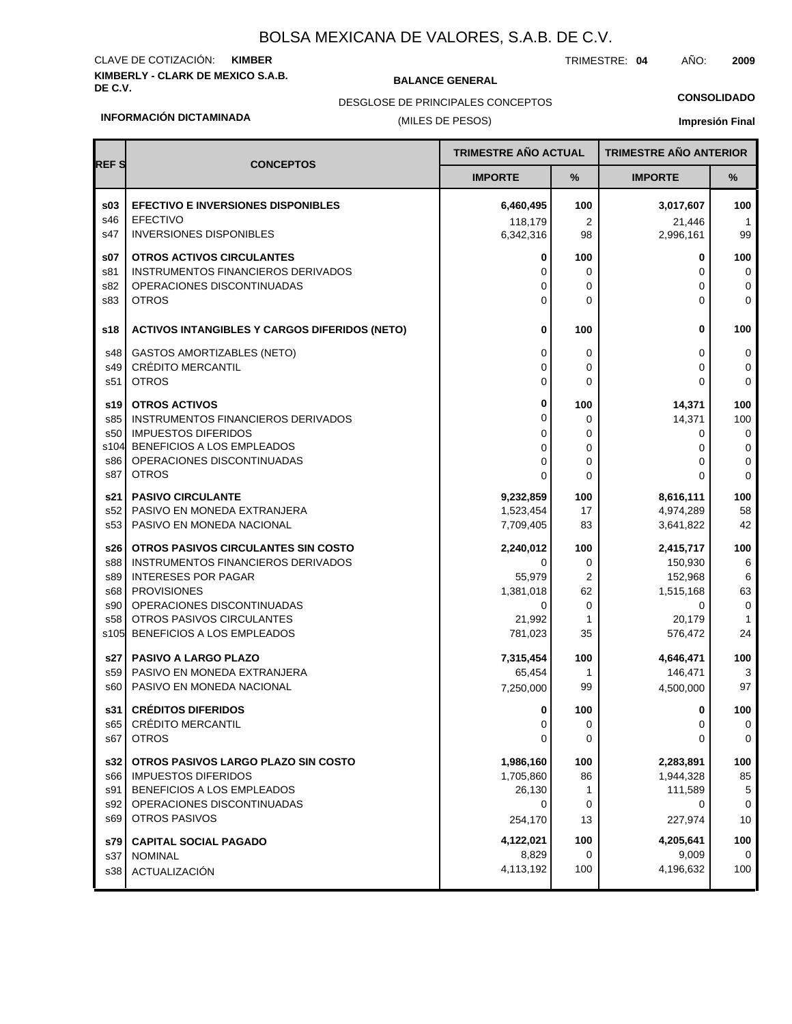### **KIMBERLY - CLARK DE MEXICO S.A.B.** CLAVE DE COTIZACIÓN: **KIMBER**

**BALANCE GENERAL** 

TRIMESTRE: **04** AÑO: **2009**

**CONSOLIDADO**

#### DESGLOSE DE PRINCIPALES CONCEPTOS

### (MILES DE PESOS)

### **Impresión Final**

| <b>REFS</b><br><b>CONCEPTOS</b><br><b>IMPORTE</b><br>℅<br><b>IMPORTE</b><br>$\%$<br>\$03<br><b>EFECTIVO E INVERSIONES DISPONIBLES</b><br>6,460,495<br>100<br>100<br>3,017,607<br>s46<br><b>EFECTIVO</b><br>118,179<br>2<br>21,446<br>$\overline{1}$<br>s47<br><b>INVERSIONES DISPONIBLES</b><br>6,342,316<br>2,996,161<br>99<br>98<br><b>OTROS ACTIVOS CIRCULANTES</b><br>\$07<br>100<br>100<br>0<br>0<br>INSTRUMENTOS FINANCIEROS DERIVADOS<br>s81<br>0<br>0<br>0<br>0<br>s82<br>OPERACIONES DISCONTINUADAS<br>0<br>0<br>0<br>0<br><b>OTROS</b><br>$\Omega$<br>s83<br>$\Omega$<br>U<br>0<br>0<br>100<br>s18<br><b>ACTIVOS INTANGIBLES Y CARGOS DIFERIDOS (NETO)</b><br>0<br>100<br><b>GASTOS AMORTIZABLES (NETO)</b><br>0<br>0<br>0<br>s48<br>0<br>CRÉDITO MERCANTIL<br>s49<br>0<br>0<br>0<br>0<br>s51<br><b>OTROS</b><br>$\mathbf 0$<br>0<br>0<br>0<br>0<br><b>OTROS ACTIVOS</b><br>100<br>100<br>14,371<br>s19<br>0<br>100<br>s85<br>INSTRUMENTOS FINANCIEROS DERIVADOS<br>0<br>14,371<br><b>IMPUESTOS DIFERIDOS</b><br>s50<br>0<br>0<br>0<br>0<br>s104<br>BENEFICIOS A LOS EMPLEADOS<br>0<br>0<br>0<br>0<br>OPERACIONES DISCONTINUADAS<br>s86<br>$\mathbf 0$<br>0<br>0<br>0<br><b>OTROS</b><br>s87<br>$\mathbf 0$<br>$\Omega$<br>0<br>0<br><b>PASIVO CIRCULANTE</b><br>100<br>s21<br>9,232,859<br>100<br>8,616,111<br>PASIVO EN MONEDA EXTRANJERA<br>58<br>s52<br>1,523,454<br>17<br>4,974,289<br>PASIVO EN MONEDA NACIONAL<br>42<br>s53<br>7,709,405<br>83<br>3,641,822<br>100<br>100<br>OTROS PASIVOS CIRCULANTES SIN COSTO<br>2,240,012<br>2,415,717<br>s26<br>s88<br>INSTRUMENTOS FINANCIEROS DERIVADOS<br>0<br>150,930<br>6<br>0<br><b>INTERESES POR PAGAR</b><br>$\overline{2}$<br>152,968<br>s89<br>55,979<br>6<br><b>PROVISIONES</b><br>63<br>s68<br>1,381,018<br>62<br>1,515,168<br>OPERACIONES DISCONTINUADAS<br>0<br>s90<br>0<br>0<br>0<br>OTROS PASIVOS CIRCULANTES<br>s58<br>21,992<br>1<br>20,179<br>$\mathbf{1}$<br>BENEFICIOS A LOS EMPLEADOS<br>24<br>s <sub>105</sub><br>781,023<br>35<br>576,472<br>100<br>s27<br><b>PASIVO A LARGO PLAZO</b><br>7,315,454<br>100<br>4,646,471<br>s59<br>PASIVO EN MONEDA EXTRANJERA<br>65,454<br>146,471<br>3<br>1<br>97<br>s60<br>PASIVO EN MONEDA NACIONAL<br>99<br>4,500,000<br>7,250,000<br><b>CRÉDITOS DIFERIDOS</b><br>100<br>s31 l<br>100<br>0<br>0<br>CRÉDITO MERCANTIL<br>s65<br>0<br>0<br>0<br>0<br><b>OTROS</b><br>s67<br>0<br>0<br>0<br>0<br>100<br>100<br>s32<br>OTROS PASIVOS LARGO PLAZO SIN COSTO<br>1,986,160<br>2,283,891<br>85<br><b>IMPUESTOS DIFERIDOS</b><br>1,705,860<br>86<br>1,944,328<br>s66<br>s91<br>BENEFICIOS A LOS EMPLEADOS<br>26,130<br>111,589<br>1<br>5<br>OPERACIONES DISCONTINUADAS<br>s92<br>0<br>0<br>0<br>0<br><b>OTROS PASIVOS</b><br>s69<br>254,170<br>227,974<br>10<br>13<br>4,122,021<br>100<br>4,205,641<br>100<br>s79<br><b>CAPITAL SOCIAL PAGADO</b><br>8,829<br>0<br>9,009<br>0<br>s37<br><b>NOMINAL</b><br>4,113,192<br>100<br>4,196,632<br>100<br>ACTUALIZACIÓN<br>s38 |  | <b>TRIMESTRE AÑO ACTUAL</b> | <b>TRIMESTRE AÑO ANTERIOR</b> |  |
|----------------------------------------------------------------------------------------------------------------------------------------------------------------------------------------------------------------------------------------------------------------------------------------------------------------------------------------------------------------------------------------------------------------------------------------------------------------------------------------------------------------------------------------------------------------------------------------------------------------------------------------------------------------------------------------------------------------------------------------------------------------------------------------------------------------------------------------------------------------------------------------------------------------------------------------------------------------------------------------------------------------------------------------------------------------------------------------------------------------------------------------------------------------------------------------------------------------------------------------------------------------------------------------------------------------------------------------------------------------------------------------------------------------------------------------------------------------------------------------------------------------------------------------------------------------------------------------------------------------------------------------------------------------------------------------------------------------------------------------------------------------------------------------------------------------------------------------------------------------------------------------------------------------------------------------------------------------------------------------------------------------------------------------------------------------------------------------------------------------------------------------------------------------------------------------------------------------------------------------------------------------------------------------------------------------------------------------------------------------------------------------------------------------------------------------------------------------------------------------------------------------------------------------------------------------------------------------------------------------------------------------------------------------------------------------------------------------------------------------------------------------------------------------------------------------------------------------------------------------------------------------------------------------------------------------------------------------------------------|--|-----------------------------|-------------------------------|--|
|                                                                                                                                                                                                                                                                                                                                                                                                                                                                                                                                                                                                                                                                                                                                                                                                                                                                                                                                                                                                                                                                                                                                                                                                                                                                                                                                                                                                                                                                                                                                                                                                                                                                                                                                                                                                                                                                                                                                                                                                                                                                                                                                                                                                                                                                                                                                                                                                                                                                                                                                                                                                                                                                                                                                                                                                                                                                                                                                                                                  |  |                             |                               |  |
|                                                                                                                                                                                                                                                                                                                                                                                                                                                                                                                                                                                                                                                                                                                                                                                                                                                                                                                                                                                                                                                                                                                                                                                                                                                                                                                                                                                                                                                                                                                                                                                                                                                                                                                                                                                                                                                                                                                                                                                                                                                                                                                                                                                                                                                                                                                                                                                                                                                                                                                                                                                                                                                                                                                                                                                                                                                                                                                                                                                  |  |                             |                               |  |
|                                                                                                                                                                                                                                                                                                                                                                                                                                                                                                                                                                                                                                                                                                                                                                                                                                                                                                                                                                                                                                                                                                                                                                                                                                                                                                                                                                                                                                                                                                                                                                                                                                                                                                                                                                                                                                                                                                                                                                                                                                                                                                                                                                                                                                                                                                                                                                                                                                                                                                                                                                                                                                                                                                                                                                                                                                                                                                                                                                                  |  |                             |                               |  |
|                                                                                                                                                                                                                                                                                                                                                                                                                                                                                                                                                                                                                                                                                                                                                                                                                                                                                                                                                                                                                                                                                                                                                                                                                                                                                                                                                                                                                                                                                                                                                                                                                                                                                                                                                                                                                                                                                                                                                                                                                                                                                                                                                                                                                                                                                                                                                                                                                                                                                                                                                                                                                                                                                                                                                                                                                                                                                                                                                                                  |  |                             |                               |  |
|                                                                                                                                                                                                                                                                                                                                                                                                                                                                                                                                                                                                                                                                                                                                                                                                                                                                                                                                                                                                                                                                                                                                                                                                                                                                                                                                                                                                                                                                                                                                                                                                                                                                                                                                                                                                                                                                                                                                                                                                                                                                                                                                                                                                                                                                                                                                                                                                                                                                                                                                                                                                                                                                                                                                                                                                                                                                                                                                                                                  |  |                             |                               |  |
|                                                                                                                                                                                                                                                                                                                                                                                                                                                                                                                                                                                                                                                                                                                                                                                                                                                                                                                                                                                                                                                                                                                                                                                                                                                                                                                                                                                                                                                                                                                                                                                                                                                                                                                                                                                                                                                                                                                                                                                                                                                                                                                                                                                                                                                                                                                                                                                                                                                                                                                                                                                                                                                                                                                                                                                                                                                                                                                                                                                  |  |                             |                               |  |
|                                                                                                                                                                                                                                                                                                                                                                                                                                                                                                                                                                                                                                                                                                                                                                                                                                                                                                                                                                                                                                                                                                                                                                                                                                                                                                                                                                                                                                                                                                                                                                                                                                                                                                                                                                                                                                                                                                                                                                                                                                                                                                                                                                                                                                                                                                                                                                                                                                                                                                                                                                                                                                                                                                                                                                                                                                                                                                                                                                                  |  |                             |                               |  |
|                                                                                                                                                                                                                                                                                                                                                                                                                                                                                                                                                                                                                                                                                                                                                                                                                                                                                                                                                                                                                                                                                                                                                                                                                                                                                                                                                                                                                                                                                                                                                                                                                                                                                                                                                                                                                                                                                                                                                                                                                                                                                                                                                                                                                                                                                                                                                                                                                                                                                                                                                                                                                                                                                                                                                                                                                                                                                                                                                                                  |  |                             |                               |  |
|                                                                                                                                                                                                                                                                                                                                                                                                                                                                                                                                                                                                                                                                                                                                                                                                                                                                                                                                                                                                                                                                                                                                                                                                                                                                                                                                                                                                                                                                                                                                                                                                                                                                                                                                                                                                                                                                                                                                                                                                                                                                                                                                                                                                                                                                                                                                                                                                                                                                                                                                                                                                                                                                                                                                                                                                                                                                                                                                                                                  |  |                             |                               |  |
|                                                                                                                                                                                                                                                                                                                                                                                                                                                                                                                                                                                                                                                                                                                                                                                                                                                                                                                                                                                                                                                                                                                                                                                                                                                                                                                                                                                                                                                                                                                                                                                                                                                                                                                                                                                                                                                                                                                                                                                                                                                                                                                                                                                                                                                                                                                                                                                                                                                                                                                                                                                                                                                                                                                                                                                                                                                                                                                                                                                  |  |                             |                               |  |
|                                                                                                                                                                                                                                                                                                                                                                                                                                                                                                                                                                                                                                                                                                                                                                                                                                                                                                                                                                                                                                                                                                                                                                                                                                                                                                                                                                                                                                                                                                                                                                                                                                                                                                                                                                                                                                                                                                                                                                                                                                                                                                                                                                                                                                                                                                                                                                                                                                                                                                                                                                                                                                                                                                                                                                                                                                                                                                                                                                                  |  |                             |                               |  |
|                                                                                                                                                                                                                                                                                                                                                                                                                                                                                                                                                                                                                                                                                                                                                                                                                                                                                                                                                                                                                                                                                                                                                                                                                                                                                                                                                                                                                                                                                                                                                                                                                                                                                                                                                                                                                                                                                                                                                                                                                                                                                                                                                                                                                                                                                                                                                                                                                                                                                                                                                                                                                                                                                                                                                                                                                                                                                                                                                                                  |  |                             |                               |  |
|                                                                                                                                                                                                                                                                                                                                                                                                                                                                                                                                                                                                                                                                                                                                                                                                                                                                                                                                                                                                                                                                                                                                                                                                                                                                                                                                                                                                                                                                                                                                                                                                                                                                                                                                                                                                                                                                                                                                                                                                                                                                                                                                                                                                                                                                                                                                                                                                                                                                                                                                                                                                                                                                                                                                                                                                                                                                                                                                                                                  |  |                             |                               |  |
|                                                                                                                                                                                                                                                                                                                                                                                                                                                                                                                                                                                                                                                                                                                                                                                                                                                                                                                                                                                                                                                                                                                                                                                                                                                                                                                                                                                                                                                                                                                                                                                                                                                                                                                                                                                                                                                                                                                                                                                                                                                                                                                                                                                                                                                                                                                                                                                                                                                                                                                                                                                                                                                                                                                                                                                                                                                                                                                                                                                  |  |                             |                               |  |
|                                                                                                                                                                                                                                                                                                                                                                                                                                                                                                                                                                                                                                                                                                                                                                                                                                                                                                                                                                                                                                                                                                                                                                                                                                                                                                                                                                                                                                                                                                                                                                                                                                                                                                                                                                                                                                                                                                                                                                                                                                                                                                                                                                                                                                                                                                                                                                                                                                                                                                                                                                                                                                                                                                                                                                                                                                                                                                                                                                                  |  |                             |                               |  |
|                                                                                                                                                                                                                                                                                                                                                                                                                                                                                                                                                                                                                                                                                                                                                                                                                                                                                                                                                                                                                                                                                                                                                                                                                                                                                                                                                                                                                                                                                                                                                                                                                                                                                                                                                                                                                                                                                                                                                                                                                                                                                                                                                                                                                                                                                                                                                                                                                                                                                                                                                                                                                                                                                                                                                                                                                                                                                                                                                                                  |  |                             |                               |  |
|                                                                                                                                                                                                                                                                                                                                                                                                                                                                                                                                                                                                                                                                                                                                                                                                                                                                                                                                                                                                                                                                                                                                                                                                                                                                                                                                                                                                                                                                                                                                                                                                                                                                                                                                                                                                                                                                                                                                                                                                                                                                                                                                                                                                                                                                                                                                                                                                                                                                                                                                                                                                                                                                                                                                                                                                                                                                                                                                                                                  |  |                             |                               |  |
|                                                                                                                                                                                                                                                                                                                                                                                                                                                                                                                                                                                                                                                                                                                                                                                                                                                                                                                                                                                                                                                                                                                                                                                                                                                                                                                                                                                                                                                                                                                                                                                                                                                                                                                                                                                                                                                                                                                                                                                                                                                                                                                                                                                                                                                                                                                                                                                                                                                                                                                                                                                                                                                                                                                                                                                                                                                                                                                                                                                  |  |                             |                               |  |
|                                                                                                                                                                                                                                                                                                                                                                                                                                                                                                                                                                                                                                                                                                                                                                                                                                                                                                                                                                                                                                                                                                                                                                                                                                                                                                                                                                                                                                                                                                                                                                                                                                                                                                                                                                                                                                                                                                                                                                                                                                                                                                                                                                                                                                                                                                                                                                                                                                                                                                                                                                                                                                                                                                                                                                                                                                                                                                                                                                                  |  |                             |                               |  |
|                                                                                                                                                                                                                                                                                                                                                                                                                                                                                                                                                                                                                                                                                                                                                                                                                                                                                                                                                                                                                                                                                                                                                                                                                                                                                                                                                                                                                                                                                                                                                                                                                                                                                                                                                                                                                                                                                                                                                                                                                                                                                                                                                                                                                                                                                                                                                                                                                                                                                                                                                                                                                                                                                                                                                                                                                                                                                                                                                                                  |  |                             |                               |  |
|                                                                                                                                                                                                                                                                                                                                                                                                                                                                                                                                                                                                                                                                                                                                                                                                                                                                                                                                                                                                                                                                                                                                                                                                                                                                                                                                                                                                                                                                                                                                                                                                                                                                                                                                                                                                                                                                                                                                                                                                                                                                                                                                                                                                                                                                                                                                                                                                                                                                                                                                                                                                                                                                                                                                                                                                                                                                                                                                                                                  |  |                             |                               |  |
|                                                                                                                                                                                                                                                                                                                                                                                                                                                                                                                                                                                                                                                                                                                                                                                                                                                                                                                                                                                                                                                                                                                                                                                                                                                                                                                                                                                                                                                                                                                                                                                                                                                                                                                                                                                                                                                                                                                                                                                                                                                                                                                                                                                                                                                                                                                                                                                                                                                                                                                                                                                                                                                                                                                                                                                                                                                                                                                                                                                  |  |                             |                               |  |
|                                                                                                                                                                                                                                                                                                                                                                                                                                                                                                                                                                                                                                                                                                                                                                                                                                                                                                                                                                                                                                                                                                                                                                                                                                                                                                                                                                                                                                                                                                                                                                                                                                                                                                                                                                                                                                                                                                                                                                                                                                                                                                                                                                                                                                                                                                                                                                                                                                                                                                                                                                                                                                                                                                                                                                                                                                                                                                                                                                                  |  |                             |                               |  |
|                                                                                                                                                                                                                                                                                                                                                                                                                                                                                                                                                                                                                                                                                                                                                                                                                                                                                                                                                                                                                                                                                                                                                                                                                                                                                                                                                                                                                                                                                                                                                                                                                                                                                                                                                                                                                                                                                                                                                                                                                                                                                                                                                                                                                                                                                                                                                                                                                                                                                                                                                                                                                                                                                                                                                                                                                                                                                                                                                                                  |  |                             |                               |  |
|                                                                                                                                                                                                                                                                                                                                                                                                                                                                                                                                                                                                                                                                                                                                                                                                                                                                                                                                                                                                                                                                                                                                                                                                                                                                                                                                                                                                                                                                                                                                                                                                                                                                                                                                                                                                                                                                                                                                                                                                                                                                                                                                                                                                                                                                                                                                                                                                                                                                                                                                                                                                                                                                                                                                                                                                                                                                                                                                                                                  |  |                             |                               |  |
|                                                                                                                                                                                                                                                                                                                                                                                                                                                                                                                                                                                                                                                                                                                                                                                                                                                                                                                                                                                                                                                                                                                                                                                                                                                                                                                                                                                                                                                                                                                                                                                                                                                                                                                                                                                                                                                                                                                                                                                                                                                                                                                                                                                                                                                                                                                                                                                                                                                                                                                                                                                                                                                                                                                                                                                                                                                                                                                                                                                  |  |                             |                               |  |
|                                                                                                                                                                                                                                                                                                                                                                                                                                                                                                                                                                                                                                                                                                                                                                                                                                                                                                                                                                                                                                                                                                                                                                                                                                                                                                                                                                                                                                                                                                                                                                                                                                                                                                                                                                                                                                                                                                                                                                                                                                                                                                                                                                                                                                                                                                                                                                                                                                                                                                                                                                                                                                                                                                                                                                                                                                                                                                                                                                                  |  |                             |                               |  |
|                                                                                                                                                                                                                                                                                                                                                                                                                                                                                                                                                                                                                                                                                                                                                                                                                                                                                                                                                                                                                                                                                                                                                                                                                                                                                                                                                                                                                                                                                                                                                                                                                                                                                                                                                                                                                                                                                                                                                                                                                                                                                                                                                                                                                                                                                                                                                                                                                                                                                                                                                                                                                                                                                                                                                                                                                                                                                                                                                                                  |  |                             |                               |  |
|                                                                                                                                                                                                                                                                                                                                                                                                                                                                                                                                                                                                                                                                                                                                                                                                                                                                                                                                                                                                                                                                                                                                                                                                                                                                                                                                                                                                                                                                                                                                                                                                                                                                                                                                                                                                                                                                                                                                                                                                                                                                                                                                                                                                                                                                                                                                                                                                                                                                                                                                                                                                                                                                                                                                                                                                                                                                                                                                                                                  |  |                             |                               |  |
|                                                                                                                                                                                                                                                                                                                                                                                                                                                                                                                                                                                                                                                                                                                                                                                                                                                                                                                                                                                                                                                                                                                                                                                                                                                                                                                                                                                                                                                                                                                                                                                                                                                                                                                                                                                                                                                                                                                                                                                                                                                                                                                                                                                                                                                                                                                                                                                                                                                                                                                                                                                                                                                                                                                                                                                                                                                                                                                                                                                  |  |                             |                               |  |
|                                                                                                                                                                                                                                                                                                                                                                                                                                                                                                                                                                                                                                                                                                                                                                                                                                                                                                                                                                                                                                                                                                                                                                                                                                                                                                                                                                                                                                                                                                                                                                                                                                                                                                                                                                                                                                                                                                                                                                                                                                                                                                                                                                                                                                                                                                                                                                                                                                                                                                                                                                                                                                                                                                                                                                                                                                                                                                                                                                                  |  |                             |                               |  |
|                                                                                                                                                                                                                                                                                                                                                                                                                                                                                                                                                                                                                                                                                                                                                                                                                                                                                                                                                                                                                                                                                                                                                                                                                                                                                                                                                                                                                                                                                                                                                                                                                                                                                                                                                                                                                                                                                                                                                                                                                                                                                                                                                                                                                                                                                                                                                                                                                                                                                                                                                                                                                                                                                                                                                                                                                                                                                                                                                                                  |  |                             |                               |  |
|                                                                                                                                                                                                                                                                                                                                                                                                                                                                                                                                                                                                                                                                                                                                                                                                                                                                                                                                                                                                                                                                                                                                                                                                                                                                                                                                                                                                                                                                                                                                                                                                                                                                                                                                                                                                                                                                                                                                                                                                                                                                                                                                                                                                                                                                                                                                                                                                                                                                                                                                                                                                                                                                                                                                                                                                                                                                                                                                                                                  |  |                             |                               |  |
|                                                                                                                                                                                                                                                                                                                                                                                                                                                                                                                                                                                                                                                                                                                                                                                                                                                                                                                                                                                                                                                                                                                                                                                                                                                                                                                                                                                                                                                                                                                                                                                                                                                                                                                                                                                                                                                                                                                                                                                                                                                                                                                                                                                                                                                                                                                                                                                                                                                                                                                                                                                                                                                                                                                                                                                                                                                                                                                                                                                  |  |                             |                               |  |
|                                                                                                                                                                                                                                                                                                                                                                                                                                                                                                                                                                                                                                                                                                                                                                                                                                                                                                                                                                                                                                                                                                                                                                                                                                                                                                                                                                                                                                                                                                                                                                                                                                                                                                                                                                                                                                                                                                                                                                                                                                                                                                                                                                                                                                                                                                                                                                                                                                                                                                                                                                                                                                                                                                                                                                                                                                                                                                                                                                                  |  |                             |                               |  |
|                                                                                                                                                                                                                                                                                                                                                                                                                                                                                                                                                                                                                                                                                                                                                                                                                                                                                                                                                                                                                                                                                                                                                                                                                                                                                                                                                                                                                                                                                                                                                                                                                                                                                                                                                                                                                                                                                                                                                                                                                                                                                                                                                                                                                                                                                                                                                                                                                                                                                                                                                                                                                                                                                                                                                                                                                                                                                                                                                                                  |  |                             |                               |  |
|                                                                                                                                                                                                                                                                                                                                                                                                                                                                                                                                                                                                                                                                                                                                                                                                                                                                                                                                                                                                                                                                                                                                                                                                                                                                                                                                                                                                                                                                                                                                                                                                                                                                                                                                                                                                                                                                                                                                                                                                                                                                                                                                                                                                                                                                                                                                                                                                                                                                                                                                                                                                                                                                                                                                                                                                                                                                                                                                                                                  |  |                             |                               |  |
|                                                                                                                                                                                                                                                                                                                                                                                                                                                                                                                                                                                                                                                                                                                                                                                                                                                                                                                                                                                                                                                                                                                                                                                                                                                                                                                                                                                                                                                                                                                                                                                                                                                                                                                                                                                                                                                                                                                                                                                                                                                                                                                                                                                                                                                                                                                                                                                                                                                                                                                                                                                                                                                                                                                                                                                                                                                                                                                                                                                  |  |                             |                               |  |
|                                                                                                                                                                                                                                                                                                                                                                                                                                                                                                                                                                                                                                                                                                                                                                                                                                                                                                                                                                                                                                                                                                                                                                                                                                                                                                                                                                                                                                                                                                                                                                                                                                                                                                                                                                                                                                                                                                                                                                                                                                                                                                                                                                                                                                                                                                                                                                                                                                                                                                                                                                                                                                                                                                                                                                                                                                                                                                                                                                                  |  |                             |                               |  |
|                                                                                                                                                                                                                                                                                                                                                                                                                                                                                                                                                                                                                                                                                                                                                                                                                                                                                                                                                                                                                                                                                                                                                                                                                                                                                                                                                                                                                                                                                                                                                                                                                                                                                                                                                                                                                                                                                                                                                                                                                                                                                                                                                                                                                                                                                                                                                                                                                                                                                                                                                                                                                                                                                                                                                                                                                                                                                                                                                                                  |  |                             |                               |  |
|                                                                                                                                                                                                                                                                                                                                                                                                                                                                                                                                                                                                                                                                                                                                                                                                                                                                                                                                                                                                                                                                                                                                                                                                                                                                                                                                                                                                                                                                                                                                                                                                                                                                                                                                                                                                                                                                                                                                                                                                                                                                                                                                                                                                                                                                                                                                                                                                                                                                                                                                                                                                                                                                                                                                                                                                                                                                                                                                                                                  |  |                             |                               |  |

### **INFORMACIÓN DICTAMINADA**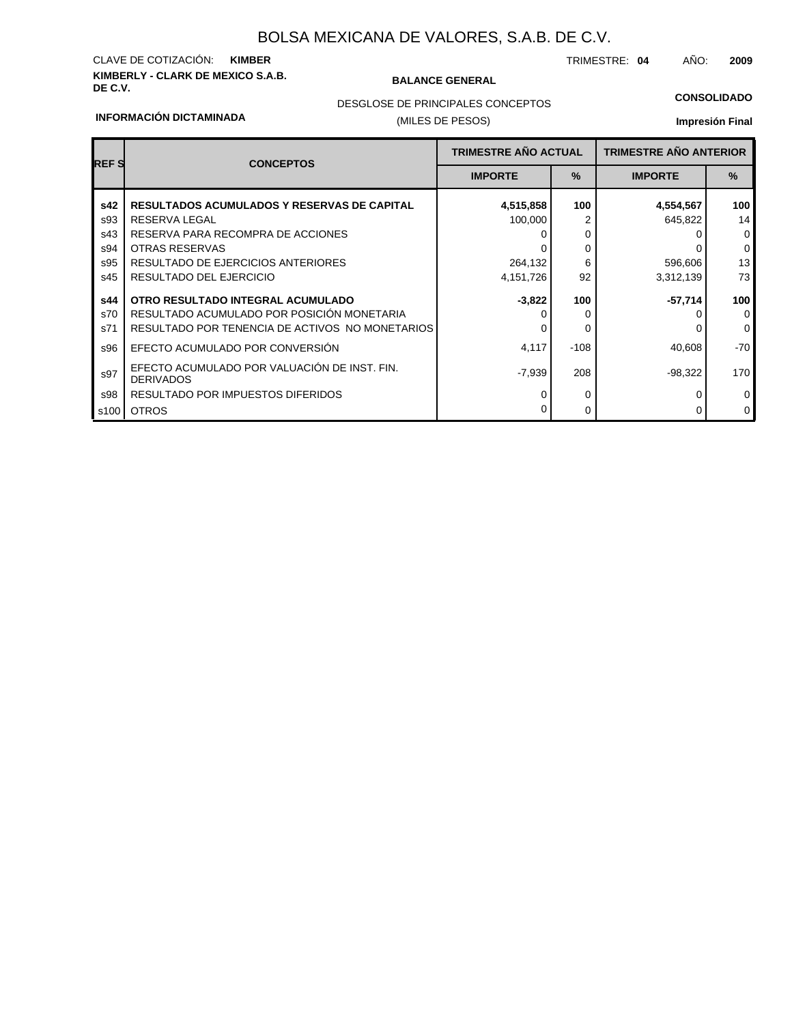### **KIMBERLY - CLARK DE MEXICO S.A.B.** CLAVE DE COTIZACIÓN: **KIMBER**

#### **BALANCE GENERAL**

TRIMESTRE: **04** AÑO: **2009**

#### **CONSOLIDADO**

#### **INFORMACIÓN DICTAMINADA**

### (MILES DE PESOS) DESGLOSE DE PRINCIPALES CONCEPTOS

| <b>REFS</b> | <b>CONCEPTOS</b>                                                 | <b>TRIMESTRE AÑO ACTUAL</b> |        | <b>TRIMESTRE AÑO ANTERIOR</b> |               |
|-------------|------------------------------------------------------------------|-----------------------------|--------|-------------------------------|---------------|
|             |                                                                  | <b>IMPORTE</b>              | $\%$   | <b>IMPORTE</b>                | $\frac{9}{6}$ |
| s42         | <b>RESULTADOS ACUMULADOS Y RESERVAS DE CAPITAL</b>               | 4,515,858                   | 100    | 4,554,567                     | 100           |
| s93         | RESERVA LEGAL                                                    | 100,000                     |        | 645,822                       | 14            |
| s43         | RESERVA PARA RECOMPRA DE ACCIONES                                |                             | 0      |                               | $\mathbf{0}$  |
| s94         | <b>OTRAS RESERVAS</b>                                            |                             | 0      |                               | $\mathbf 0$   |
| s95         | <b>RESULTADO DE EJERCICIOS ANTERIORES</b>                        | 264,132                     | 6      | 596,606                       | 13            |
| s45         | RESULTADO DEL EJERCICIO                                          | 4,151,726                   | 92     | 3,312,139                     | 73            |
| s44         | OTRO RESULTADO INTEGRAL ACUMULADO                                | $-3,822$                    | 100    | $-57,714$                     | 100           |
| s70         | RESULTADO ACUMULADO POR POSICIÓN MONETARIA                       |                             | 0      |                               | $\mathbf 0$   |
| s71         | RESULTADO POR TENENCIA DE ACTIVOS NO MONETARIOS                  | O                           | 0      |                               | $\mathbf 0$   |
| s96         | EFECTO ACUMULADO POR CONVERSIÓN                                  | 4,117                       | $-108$ | 40.608                        | $-70$         |
| s97         | EFECTO ACUMULADO POR VALUACIÓN DE INST. FIN.<br><b>DERIVADOS</b> | $-7,939$                    | 208    | $-98,322$                     | 170           |
| s98         | RESULTADO POR IMPUESTOS DIFERIDOS                                | O                           | 0      |                               | $\mathbf 0$   |
| s100        | <b>OTROS</b>                                                     |                             | 0      |                               | $\mathbf 0$   |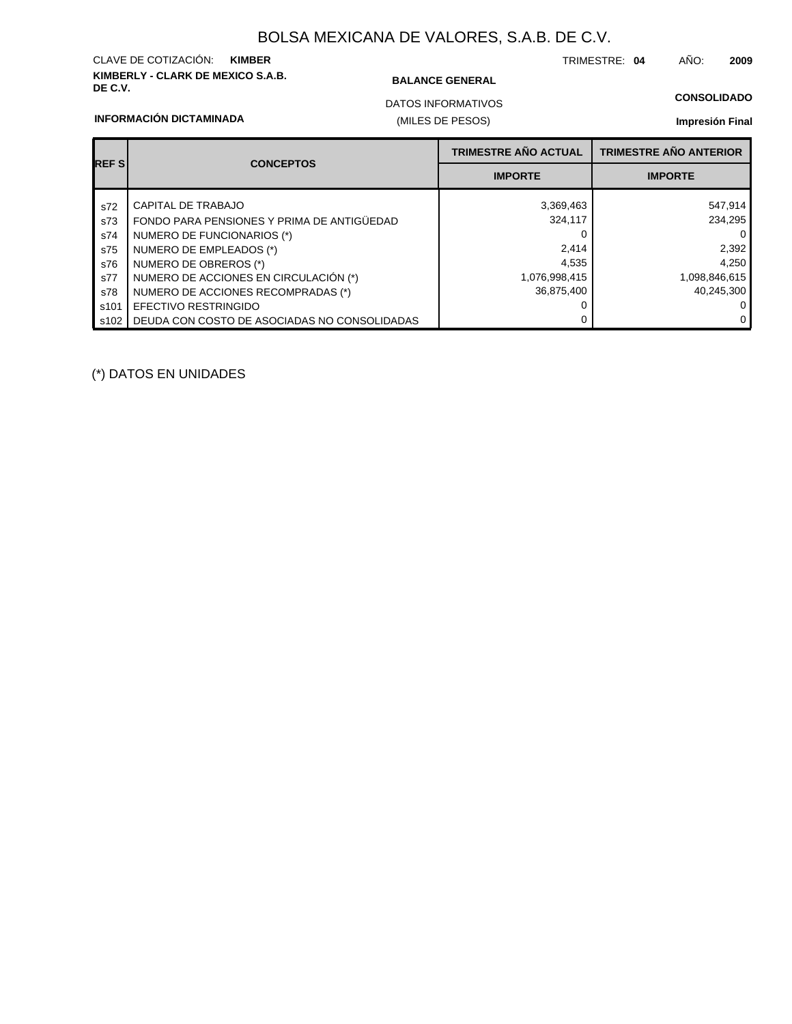### **KIMBERLY - CLARK DE MEXICO S.A.B.** CLAVE DE COTIZACIÓN: **KIMBER**

#### **BALANCE GENERAL**

TRIMESTRE: **04** AÑO: **2009**

### **CONSOLIDADO**

**INFORMACIÓN DICTAMINADA**

### (MILES DE PESOS) DATOS INFORMATIVOS

#### **Impresión Final**

| <b>REFS</b> | <b>CONCEPTOS</b>                             | <b>TRIMESTRE AÑO ACTUAL</b> | <b>TRIMESTRE AÑO ANTERIOR</b> |  |
|-------------|----------------------------------------------|-----------------------------|-------------------------------|--|
|             |                                              | <b>IMPORTE</b>              | <b>IMPORTE</b>                |  |
| s72         | CAPITAL DE TRABAJO                           | 3,369,463                   | 547,914                       |  |
| s73         | FONDO PARA PENSIONES Y PRIMA DE ANTIGÜEDAD   | 324,117                     | 234.295                       |  |
| s74         | NUMERO DE FUNCIONARIOS (*)                   |                             | 0                             |  |
| s75         | NUMERO DE EMPLEADOS (*)                      | 2.414                       | 2,392                         |  |
| s76         | NUMERO DE OBREROS (*)                        | 4,535                       | 4,250                         |  |
| s77         | NUMERO DE ACCIONES EN CIRCULACIÓN (*)        | 1,076,998,415               | 1,098,846,615                 |  |
| s78         | NUMERO DE ACCIONES RECOMPRADAS (*)           | 36,875,400                  | 40,245,300                    |  |
| s101        | EFECTIVO RESTRINGIDO                         |                             | 0 I                           |  |
| s102        | DEUDA CON COSTO DE ASOCIADAS NO CONSOLIDADAS |                             | $\overline{0}$                |  |

(\*) DATOS EN UNIDADES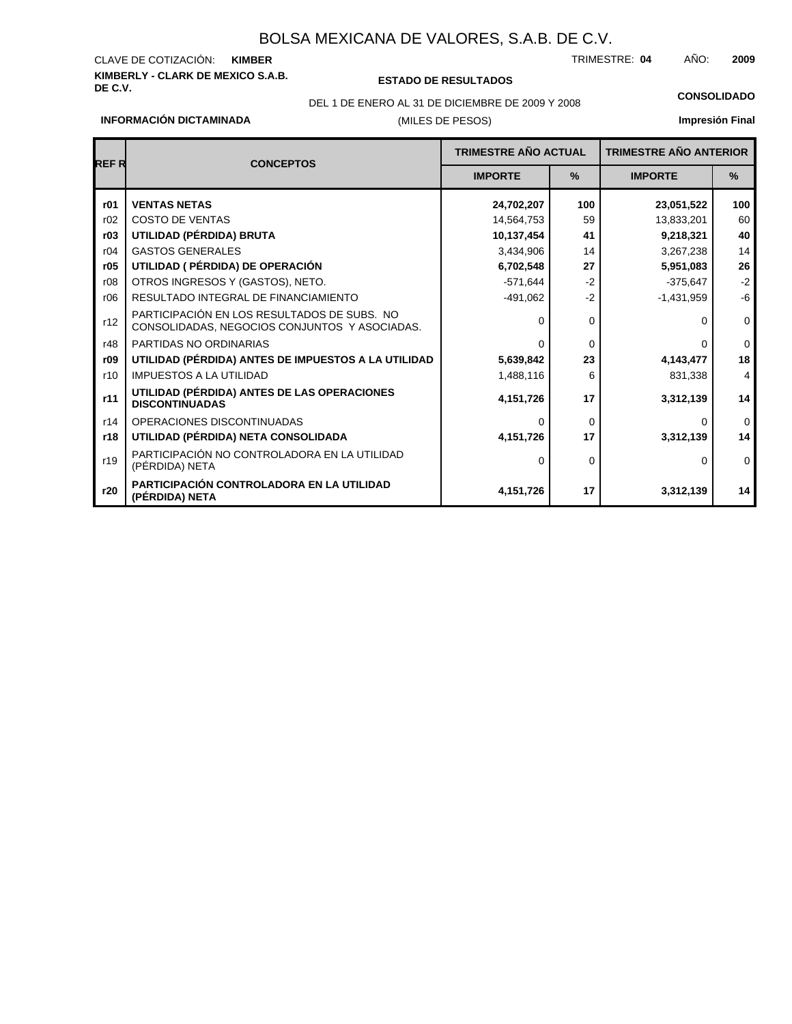## **KIMBERLY - CLARK DE MEXICO S.A.B.** CLAVE DE COTIZACIÓN:

### **DE C.V. ESTADO DE RESULTADOS**

TRIMESTRE: AÑO: **KIMBER 04 2009**

DEL 1 DE ENERO AL 31 DE DICIEMBRE DE 2009 Y 2008 **CONSOLIDADO**

**INFORMACIÓN DICTAMINADA**

### (MILES DE PESOS)

| <b>REFR</b> | <b>CONCEPTOS</b>                                                                             | TRIMESTRE AÑO ACTUAL |          | <b>TRIMESTRE AÑO ANTERIOR</b> |              |
|-------------|----------------------------------------------------------------------------------------------|----------------------|----------|-------------------------------|--------------|
|             |                                                                                              | <b>IMPORTE</b>       | %        | <b>IMPORTE</b>                | $\%$         |
| r01         | <b>VENTAS NETAS</b>                                                                          | 24,702,207           | 100      | 23,051,522                    | 100          |
| r02         | <b>COSTO DE VENTAS</b>                                                                       | 14,564,753           | 59       | 13,833,201                    | 60           |
| r03         | UTILIDAD (PÉRDIDA) BRUTA                                                                     | 10,137,454           | 41       | 9,218,321                     | 40           |
| r04         | <b>GASTOS GENERALES</b>                                                                      | 3,434,906            | 14       | 3,267,238                     | 14           |
| r05         | UTILIDAD ( PÉRDIDA) DE OPERACIÓN                                                             | 6,702,548            | 27       | 5,951,083                     | 26           |
| r08         | OTROS INGRESOS Y (GASTOS), NETO.                                                             | $-571,644$           | $-2$     | $-375,647$                    | $-2$         |
| r06         | RESULTADO INTEGRAL DE FINANCIAMIENTO                                                         | $-491,062$           | $-2$     | $-1,431,959$                  | $-6$         |
| r12         | PARTICIPACIÓN EN LOS RESULTADOS DE SUBS. NO<br>CONSOLIDADAS, NEGOCIOS CONJUNTOS Y ASOCIADAS. | ∩                    | $\Omega$ | 0                             | $\mathbf{0}$ |
| r48         | PARTIDAS NO ORDINARIAS                                                                       | $\Omega$             | $\Omega$ | 0                             | $\mathbf 0$  |
| r09         | UTILIDAD (PÉRDIDA) ANTES DE IMPUESTOS A LA UTILIDAD                                          | 5,639,842            | 23       | 4,143,477                     | 18           |
| r10         | <b>IMPUESTOS A LA UTILIDAD</b>                                                               | 1,488,116            | 6        | 831,338                       | 4            |
| r11         | UTILIDAD (PÉRDIDA) ANTES DE LAS OPERACIONES<br><b>DISCONTINUADAS</b>                         | 4,151,726            | 17       | 3,312,139                     | 14           |
| r14         | OPERACIONES DISCONTINUADAS                                                                   | ∩                    | $\Omega$ | $\Omega$                      | $\mathbf 0$  |
| r18         | UTILIDAD (PÉRDIDA) NETA CONSOLIDADA                                                          | 4,151,726            | 17       | 3,312,139                     | 14           |
| r19         | PARTICIPACIÓN NO CONTROLADORA EN LA UTILIDAD<br>(PÉRDIDA) NETA                               | $\Omega$             | $\Omega$ | $\Omega$                      | $\mathbf 0$  |
| r20         | PARTICIPACIÓN CONTROLADORA EN LA UTILIDAD<br>(PÉRDIDA) NETA                                  | 4,151,726            | 17       | 3,312,139                     | 14           |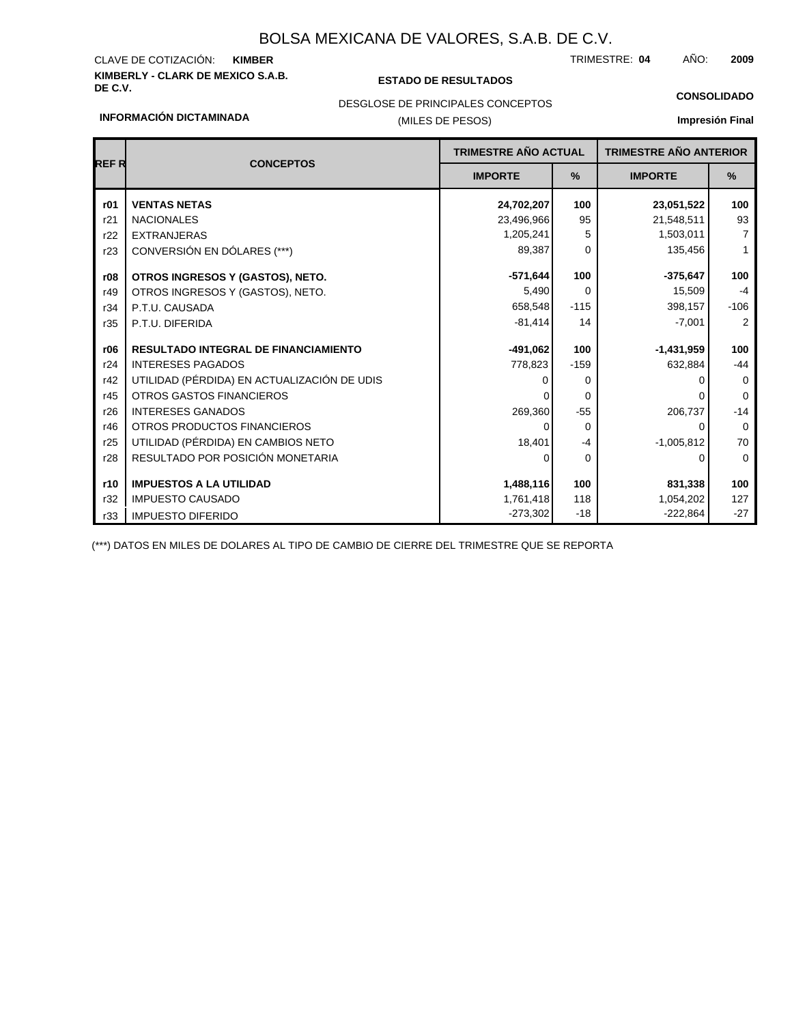## **KIMBERLY - CLARK DE MEXICO S.A.B.** CLAVE DE COTIZACIÓN:

r32

r33 IMPUESTO DIFERIDO

IMPUESTO CAUSADO

#### **DE C.V. ESTADO DE RESULTADOS**

TRIMESTRE: AÑO: **KIMBER 04 2009**

1,054,202 -222,864 127 -27

**CONSOLIDADO**

#### DESGLOSE DE PRINCIPALES CONCEPTOS

## al

| <b>INFORMACIÓN DICTAMINADA</b> |                                             | (MILES DE PESOS) |          | <b>Impresión Fina</b> |             |                             |  |                               |  |
|--------------------------------|---------------------------------------------|------------------|----------|-----------------------|-------------|-----------------------------|--|-------------------------------|--|
|                                |                                             |                  |          |                       |             | <b>TRIMESTRE AÑO ACTUAL</b> |  | <b>TRIMESTRE AÑO ANTERIOR</b> |  |
| <b>REFR</b>                    | <b>CONCEPTOS</b>                            | <b>IMPORTE</b>   | $\%$     | <b>IMPORTE</b>        | $\%$        |                             |  |                               |  |
| r01                            | <b>VENTAS NETAS</b>                         | 24,702,207       | 100      | 23,051,522            | 100         |                             |  |                               |  |
| r21                            | <b>NACIONALES</b>                           | 23,496,966       | 95       | 21,548,511            | 93          |                             |  |                               |  |
| r22                            | <b>EXTRANJERAS</b>                          | 1,205,241        | 5        | 1,503,011             | 7           |                             |  |                               |  |
| r23                            | CONVERSIÓN EN DÓLARES (***)                 | 89,387           | $\Omega$ | 135,456               | 1           |                             |  |                               |  |
| r08                            | OTROS INGRESOS Y (GASTOS), NETO.            | $-571,644$       | 100      | $-375,647$            | 100         |                             |  |                               |  |
| r49                            | OTROS INGRESOS Y (GASTOS), NETO.            | 5,490            | $\Omega$ | 15,509                | $-4$        |                             |  |                               |  |
| r34                            | P.T.U. CAUSADA                              | 658,548          | $-115$   | 398,157               | $-106$      |                             |  |                               |  |
| r35                            | P.T.U. DIFERIDA                             | $-81,414$        | 14       | $-7,001$              | 2           |                             |  |                               |  |
| r06                            | <b>RESULTADO INTEGRAL DE FINANCIAMIENTO</b> | $-491,062$       | 100      | $-1,431,959$          | 100         |                             |  |                               |  |
| r24                            | <b>INTERESES PAGADOS</b>                    | 778,823          | $-159$   | 632,884               | $-44$       |                             |  |                               |  |
| r42                            | UTILIDAD (PÉRDIDA) EN ACTUALIZACIÓN DE UDIS |                  | 0        |                       | 0           |                             |  |                               |  |
| r45                            | OTROS GASTOS FINANCIEROS                    |                  | O        |                       | $\mathbf 0$ |                             |  |                               |  |
| r26                            | <b>INTERESES GANADOS</b>                    | 269,360          | $-55$    | 206,737               | $-14$       |                             |  |                               |  |
| r46                            | OTROS PRODUCTOS FINANCIEROS                 |                  | $\Omega$ | ∩                     | 0           |                             |  |                               |  |
| r25                            | UTILIDAD (PÉRDIDA) EN CAMBIOS NETO          | 18,401           | $-4$     | $-1,005,812$          | 70          |                             |  |                               |  |
| r28                            | RESULTADO POR POSICIÓN MONETARIA            |                  | 0        | ∩                     | 0           |                             |  |                               |  |
| r10                            | <b>IMPUESTOS A LA UTILIDAD</b>              | 1,488,116        | 100      | 831,338               | 100         |                             |  |                               |  |

1,761,418 -273,302

118 -18

(\*\*\*) DATOS EN MILES DE DOLARES AL TIPO DE CAMBIO DE CIERRE DEL TRIMESTRE QUE SE REPORTA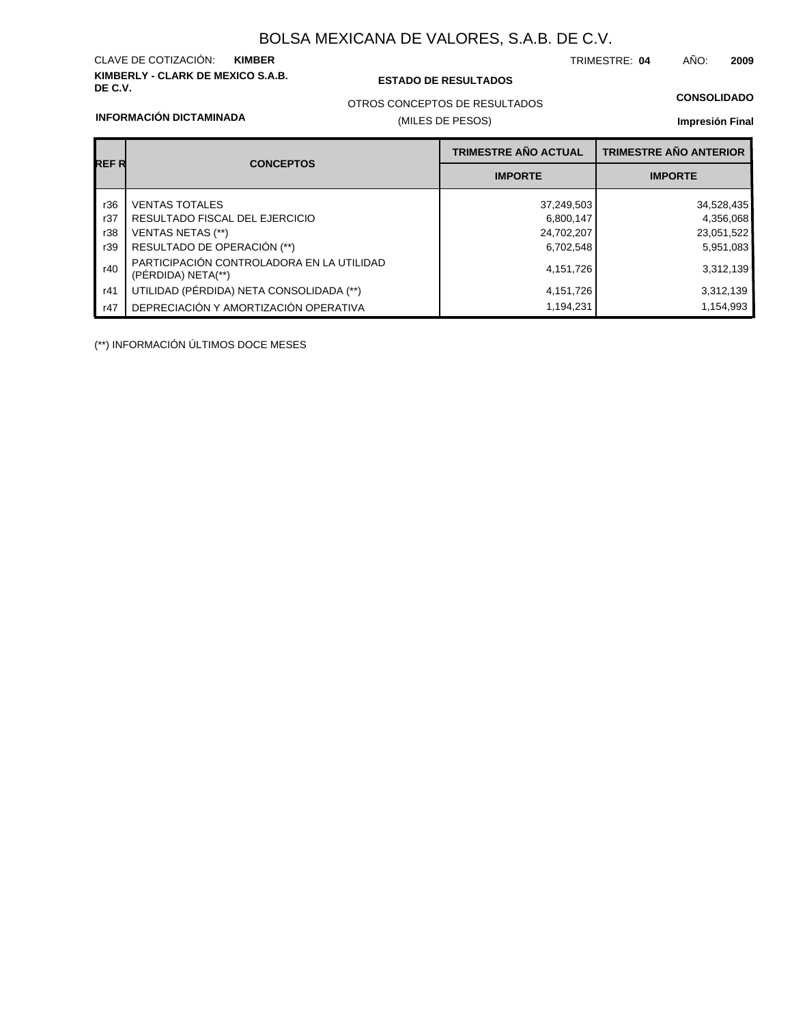### **KIMBERLY - CLARK DE MEXICO S.A.B.** CLAVE DE COTIZACIÓN:

#### **DE C.V. ESTADO DE RESULTADOS**

TRIMESTRE: AÑO: **KIMBER 04 2009**

#### **CONSOLIDADO**

#### **INFORMACIÓN DICTAMINADA**

### OTROS CONCEPTOS DE RESULTADOS

### (MILES DE PESOS)

### **Impresión Final**

|       |                                                                 | <b>TRIMESTRE AÑO ACTUAL</b> | <b>TRIMESTRE AÑO ANTERIOR</b> |  |
|-------|-----------------------------------------------------------------|-----------------------------|-------------------------------|--|
| REF R | <b>CONCEPTOS</b>                                                | <b>IMPORTE</b>              | <b>IMPORTE</b>                |  |
| r36   | <b>VENTAS TOTALES</b>                                           | 37,249,503                  | 34,528,435                    |  |
| r37   | RESULTADO FISCAL DEL EJERCICIO                                  | 6,800,147                   | 4,356,068                     |  |
| r38   | <b>VENTAS NETAS (**)</b>                                        | 24,702,207                  | 23,051,522                    |  |
| r39   | RESULTADO DE OPERACIÓN (**)                                     | 6,702,548                   | 5,951,083                     |  |
| r40   | PARTICIPACIÓN CONTROLADORA EN LA UTILIDAD<br>(PERDIDA) NETA(**) | 4,151,726                   | 3,312,139                     |  |
| r41   | UTILIDAD (PÉRDIDA) NETA CONSOLIDADA (**)                        | 4, 151, 726                 | 3,312,139                     |  |
| r47   | DEPRECIACIÓN Y AMORTIZACIÓN OPERATIVA                           | 1,194,231                   | 1,154,993                     |  |

(\*\*) INFORMACIÓN ÚLTIMOS DOCE MESES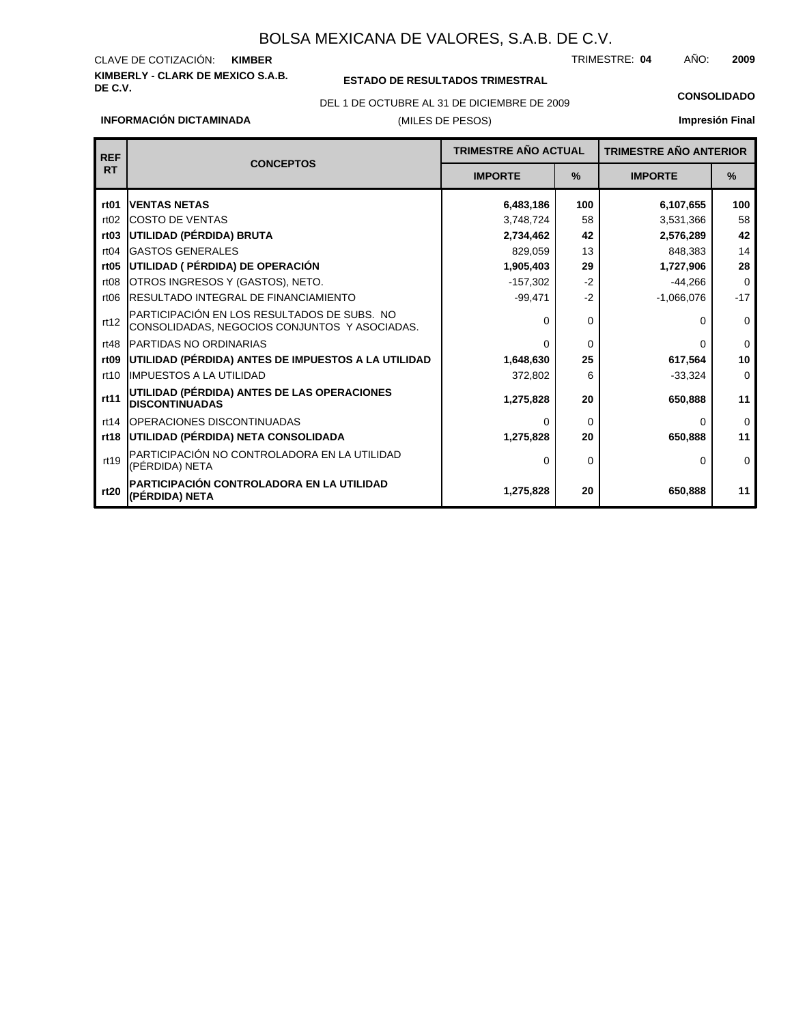#### **KIMBERLY - CLARK DE MEXICO S.A.B.** CLAVE DE COTIZACIÓN: TRIMESTRE: AÑO: **KIMBER 04 2009**

### **ESTADO DE RESULTADOS TRIMESTRAL**

(MILES DE PESOS) DEL 1 DE OCTUBRE AL 31 DE DICIEMBRE DE 2009 **CONSOLIDADO**

**Impresión Final**

| <b>REF</b>       | <b>CONCEPTOS</b>                                                                             | <b>TRIMESTRE AÑO ACTUAL</b> |               | <b>TRIMESTRE AÑO ANTERIOR</b> |             |
|------------------|----------------------------------------------------------------------------------------------|-----------------------------|---------------|-------------------------------|-------------|
| <b>RT</b>        |                                                                                              | <b>IMPORTE</b>              | $\frac{9}{6}$ | <b>IMPORTE</b>                | $\%$        |
| rt <sub>01</sub> | <b>VENTAS NETAS</b>                                                                          | 6,483,186                   | 100           | 6,107,655                     | 100         |
| rt02             | <b>COSTO DE VENTAS</b>                                                                       | 3,748,724                   | 58            | 3,531,366                     | 58          |
| rt <sub>03</sub> | UTILIDAD (PÉRDIDA) BRUTA                                                                     | 2,734,462                   | 42            | 2,576,289                     | 42          |
| rt04             | <b>GASTOS GENERALES</b>                                                                      | 829,059                     | 13            | 848,383                       | 14          |
| rt <sub>05</sub> | UTILIDAD ( PÉRDIDA) DE OPERACIÓN                                                             | 1,905,403                   | 29            | 1,727,906                     | 28          |
| rt <sub>08</sub> | OTROS INGRESOS Y (GASTOS), NETO.                                                             | $-157,302$                  | $-2$          | $-44.266$                     | $\mathbf 0$ |
| rt06             | <b>IRESULTADO INTEGRAL DE FINANCIAMIENTO</b>                                                 | $-2$<br>$-99,471$           |               | $-1,066,076$                  | $-17$       |
| rt12             | PARTICIPACIÓN EN LOS RESULTADOS DE SUBS. NO<br>CONSOLIDADAS, NEGOCIOS CONJUNTOS Y ASOCIADAS. | 0                           | $\Omega$      | 0                             | $\mathbf 0$ |
| rt48             | <b>IPARTIDAS NO ORDINARIAS</b>                                                               | $\Omega$                    | $\Omega$      | n                             | $\Omega$    |
| rt <sub>09</sub> | UTILIDAD (PÉRDIDA) ANTES DE IMPUESTOS A LA UTILIDAD                                          | 1,648,630                   | 25            | 617,564                       | 10          |
| rt10             | <b>IMPUESTOS A LA UTILIDAD</b>                                                               | 372,802                     | 6             | $-33,324$                     | 0           |
| rt11             | UTILIDAD (PÉRDIDA) ANTES DE LAS OPERACIONES<br><b>DISCONTINUADAS</b>                         | 1,275,828                   | 20            | 650.888                       | 11          |
| rt14             | OPERACIONES DISCONTINUADAS                                                                   | $\Omega$                    | 0             | 0                             | $\Omega$    |
| rt18             | UTILIDAD (PÉRDIDA) NETA CONSOLIDADA                                                          | 1,275,828                   | 20            | 650.888                       | 11          |
| rt19             | PARTICIPACIÓN NO CONTROLADORA EN LA UTILIDAD<br>(PÉRDIDA) NETA                               | $\Omega$                    | 0             | 0                             | $\Omega$    |
| rt20             | PARTICIPACIÓN CONTROLADORA EN LA UTILIDAD<br>(PÉRDIDA) NETA                                  | 1,275,828                   | 20            | 650,888                       | 11          |

**INFORMACIÓN DICTAMINADA**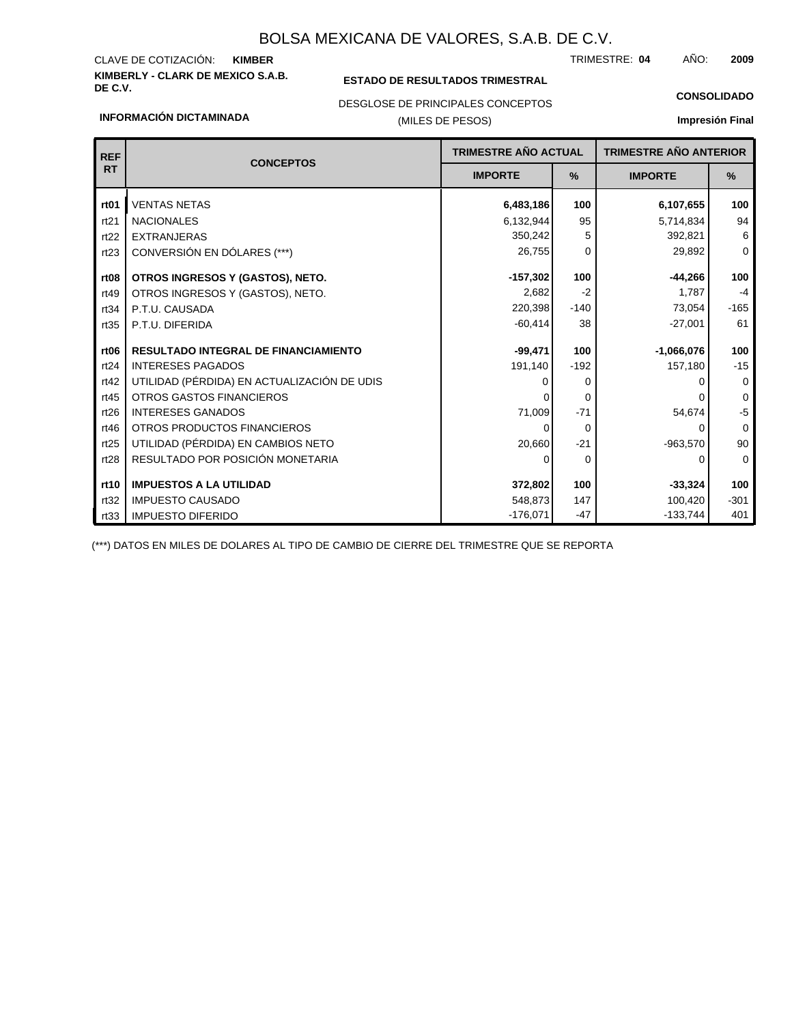## **KIMBERLY - CLARK DE MEXICO S.A.B.** CLAVE DE COTIZACIÓN:

**INFORMACIÓN DICTAMINADA**

### **ESTADO DE RESULTADOS TRIMESTRAL**

TRIMESTRE: AÑO: **KIMBER 04 2009**

#### DESGLOSE DE PRINCIPALES CONCEPTOS

### (MILES DE PESOS)

### **CONSOLIDADO Impresión Final**

| <b>REF</b>       | <b>CONCEPTOS</b>                            |                 | <b>TRIMESTRE AÑO ACTUAL</b> |                | <b>TRIMESTRE AÑO ANTERIOR</b> |
|------------------|---------------------------------------------|-----------------|-----------------------------|----------------|-------------------------------|
| <b>RT</b>        |                                             | <b>IMPORTE</b>  | %                           | <b>IMPORTE</b> | %                             |
| rt <sub>01</sub> | <b>VENTAS NETAS</b>                         | 6,483,186       | 100                         | 6,107,655      | 100                           |
| rt21             | <b>NACIONALES</b>                           | 6,132,944       | 95                          | 5,714,834      | 94                            |
| rt22             | <b>EXTRANJERAS</b>                          | 350,242         | 5                           | 392,821        | 6                             |
| rt23             | CONVERSIÓN EN DÓLARES (***)                 | 26,755          | 0                           | 29,892         | $\mathbf 0$                   |
| rt <sub>08</sub> | OTROS INGRESOS Y (GASTOS), NETO.            | $-157.302$      | 100                         | $-44,266$      | 100                           |
| rt49             | OTROS INGRESOS Y (GASTOS), NETO.            | 2,682           | $-2$                        | 1,787          | $-4$                          |
| rt34             | P.T.U. CAUSADA                              | 220,398         | $-140$                      | 73,054         | $-165$                        |
| rt35             | P.T.U. DIFERIDA                             | $-60,414$<br>38 |                             | $-27,001$      | 61                            |
| rt <sub>06</sub> | RESULTADO INTEGRAL DE FINANCIAMIENTO        | $-99.471$       | 100                         | $-1,066,076$   | 100                           |
| rt24             | <b>INTERESES PAGADOS</b>                    | 191,140         | $-192$                      | 157,180        | $-15$                         |
| rt42             | UTILIDAD (PÉRDIDA) EN ACTUALIZACIÓN DE UDIS | ∩               | 0                           |                | 0                             |
| rt45             | <b>OTROS GASTOS FINANCIEROS</b>             |                 | $\Omega$                    |                | $\Omega$                      |
| rt26             | <b>INTERESES GANADOS</b>                    | 71,009          | $-71$                       | 54,674         | $-5$                          |
| rt46             | OTROS PRODUCTOS FINANCIEROS                 | $\Omega$        | $\Omega$                    | $\Omega$       | $\Omega$                      |
| rt25             | UTILIDAD (PÉRDIDA) EN CAMBIOS NETO          | 20,660          | $-21$                       | $-963,570$     | 90                            |
| rt28             | RESULTADO POR POSICIÓN MONETARIA            | 0               | $\Omega$                    | 0              | 0                             |
| rt10             | <b>IMPUESTOS A LA UTILIDAD</b>              | 372,802         | 100                         | $-33,324$      | 100                           |
| rt32             | <b>IMPUESTO CAUSADO</b>                     | 548,873         | 147                         | 100,420        | $-301$                        |
| rt33             | <b>IMPUESTO DIFERIDO</b>                    | $-176,071$      | -47                         | $-133,744$     | 401                           |

(\*\*\*) DATOS EN MILES DE DOLARES AL TIPO DE CAMBIO DE CIERRE DEL TRIMESTRE QUE SE REPORTA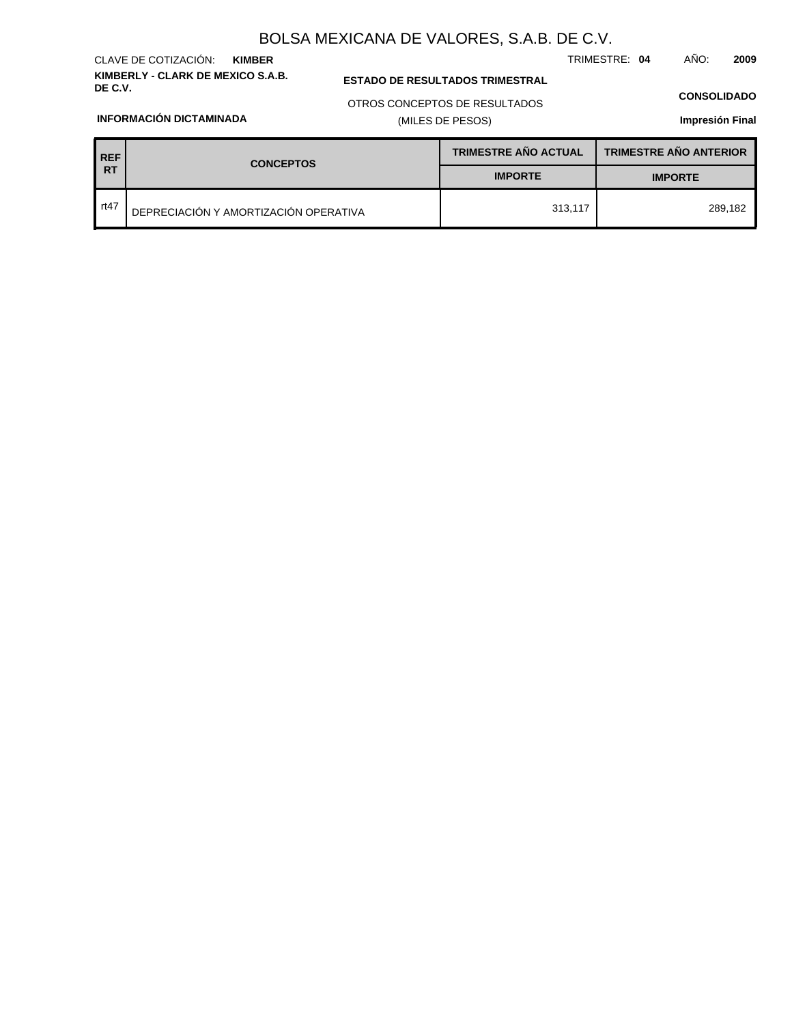**KIMBERLY - CLARK DE MEXICO S.A.B.** CLAVE DE COTIZACIÓN: **KIMBER**

**INFORMACIÓN DICTAMINADA**

### **ESTADO DE RESULTADOS TRIMESTRAL**

TRIMESTRE: **04** AÑO: **2009**

#### **CONSOLIDADO**

OTROS CONCEPTOS DE RESULTADOS

### (MILES DE PESOS)

| <b>REF</b> | <b>CONCEPTOS</b>                      | <b>TRIMESTRE AÑO ACTUAL</b> | <b>TRIMESTRE AÑO ANTERIOR</b> |  |
|------------|---------------------------------------|-----------------------------|-------------------------------|--|
| <b>RT</b>  |                                       | <b>IMPORTE</b>              | <b>IMPORTE</b>                |  |
| rt $47$    | DEPRECIACIÓN Y AMORTIZACIÓN OPERATIVA | 313,117                     | 289.182                       |  |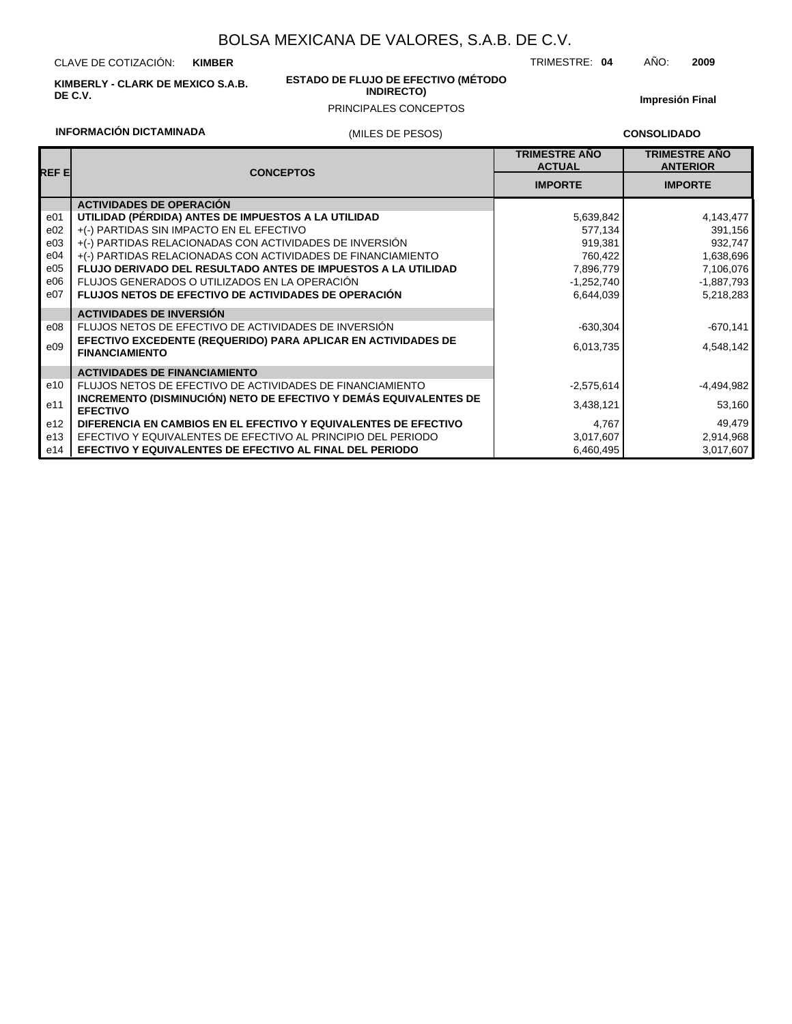CLAVE DE COTIZACIÓN: **KIMBER**

**INFORMACIÓN DICTAMINADA**

**KIMBERLY - CLARK DE MEXICO S.A.B. DE C.V.**

#### **ESTADO DE FLUJO DE EFECTIVO (MÉTODO INDIRECTO)**

### (MILES DE PESOS) PRINCIPALES CONCEPTOS

**Impresión Final**

TRIMESTRE: **04** AÑO: **2009**

#### **CONSOLIDADO**

| REF EI          | <b>CONCEPTOS</b>                                                                       | <b>TRIMESTRE AÑO</b><br><b>ACTUAL</b> | <b>TRIMESTRE AÑO</b><br><b>ANTERIOR</b> |
|-----------------|----------------------------------------------------------------------------------------|---------------------------------------|-----------------------------------------|
|                 |                                                                                        | <b>IMPORTE</b>                        | <b>IMPORTE</b>                          |
|                 | <b>ACTIVIDADES DE OPERACIÓN</b>                                                        |                                       |                                         |
| e01             | UTILIDAD (PÉRDIDA) ANTES DE IMPUESTOS A LA UTILIDAD                                    | 5,639,842                             | 4,143,477                               |
| e02             | +(-) PARTIDAS SIN IMPACTO EN EL EFECTIVO                                               | 577,134                               | 391,156                                 |
| e03             | +(-) PARTIDAS RELACIONADAS CON ACTIVIDADES DE INVERSIÓN                                | 919,381                               | 932,747                                 |
| e04             | +(-) PARTIDAS RELACIONADAS CON ACTIVIDADES DE FINANCIAMIENTO                           | 760,422                               | 1,638,696                               |
| e05             | <b>FLUJO DERIVADO DEL RESULTADO ANTES DE IMPUESTOS A LA UTILIDAD</b>                   | 7,896,779                             | 7,106,076                               |
| e06             | FLUJOS GENERADOS O UTILIZADOS EN LA OPERACIÓN                                          | -1,252,740                            | $-1,887,793$                            |
| e07             | <b>FLUJOS NETOS DE EFECTIVO DE ACTIVIDADES DE OPERACIÓN</b>                            | 6,644,039                             | 5,218,283                               |
|                 | <b>ACTIVIDADES DE INVERSIÓN</b>                                                        |                                       |                                         |
| e08             | FLUJOS NETOS DE EFECTIVO DE ACTIVIDADES DE INVERSIÓN                                   | $-630,304$                            | -670,141                                |
| e09             | EFECTIVO EXCEDENTE (REQUERIDO) PARA APLICAR EN ACTIVIDADES DE<br><b>FINANCIAMIENTO</b> | 6,013,735                             | 4,548,142                               |
|                 | <b>ACTIVIDADES DE FINANCIAMIENTO</b>                                                   |                                       |                                         |
| e10             | FLUJOS NETOS DE EFECTIVO DE ACTIVIDADES DE FINANCIAMIENTO                              | $-2,575,614$                          | $-4,494,982$                            |
| e11             | INCREMENTO (DISMINUCIÓN) NETO DE EFECTIVO Y DEMÁS EQUIVALENTES DE<br><b>EFECTIVO</b>   | 3,438,121                             | 53,160                                  |
| e <sub>12</sub> | DIFERENCIA EN CAMBIOS EN EL EFECTIVO Y EQUIVALENTES DE EFECTIVO                        | 4,767                                 | 49,479                                  |
| e13             | EFECTIVO Y EQUIVALENTES DE EFECTIVO AL PRINCIPIO DEL PERIODO                           | 3,017,607                             | 2,914,968                               |
| e14             | EFECTIVO Y EQUIVALENTES DE EFECTIVO AL FINAL DEL PERIODO                               | 6,460,495                             | 3,017,607                               |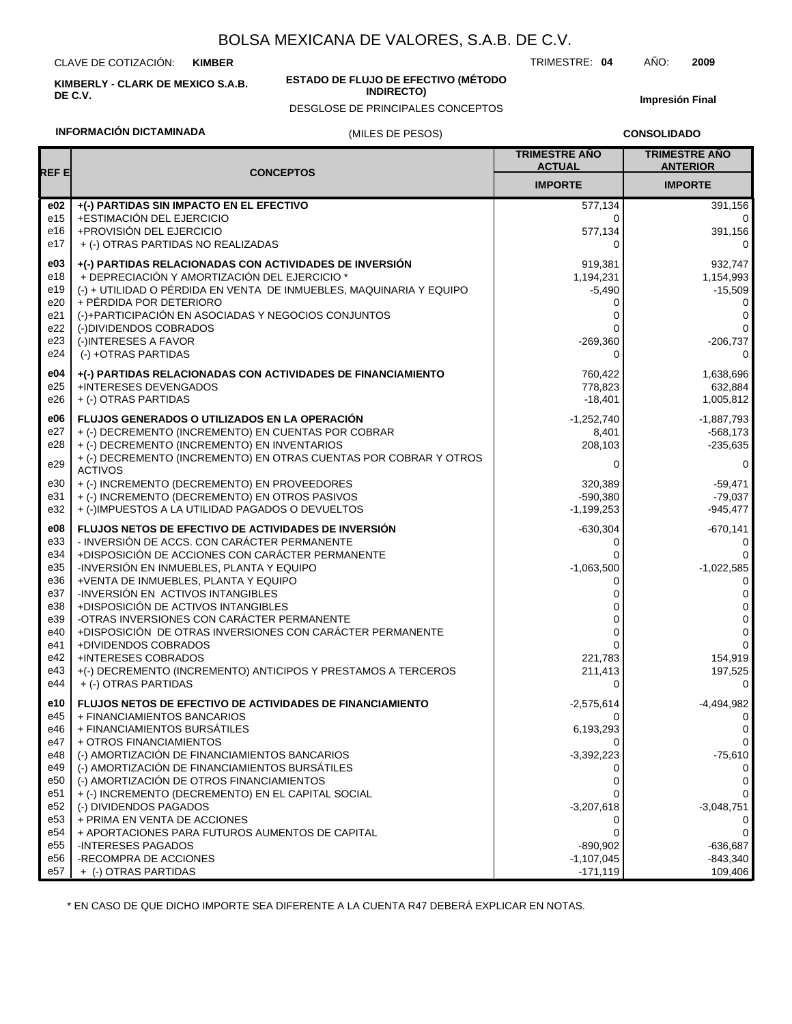CLAVE DE COTIZACIÓN: **KIMBER**

**KIMBERLY - CLARK DE MEXICO S.A.B. DE C.V.**

#### **ESTADO DE FLUJO DE EFECTIVO (MÉTODO INDIRECTO)**

DESGLOSE DE PRINCIPALES CONCEPTOS

**Impresión Final**

### **INFORMACIÓN DICTAMINADA**

#### (MILES DE PESOS)

**CONSOLIDADO**

| REF E      | <b>CONCEPTOS</b>                                                                    | <b>TRIMESTRE AÑO</b><br><b>ACTUAL</b> | <b>TRIMESTRE AÑO</b><br><b>ANTERIOR</b> |
|------------|-------------------------------------------------------------------------------------|---------------------------------------|-----------------------------------------|
|            |                                                                                     | <b>IMPORTE</b>                        | <b>IMPORTE</b>                          |
| e02        | +(-) PARTIDAS SIN IMPACTO EN EL EFECTIVO                                            | 577,134                               | 391,156                                 |
| e15        | +ESTIMACIÓN DEL EJERCICIO                                                           | 0                                     | $\Omega$                                |
| e16        | +PROVISIÓN DEL EJERCICIO                                                            | 577,134                               | 391,156                                 |
| e17        | + (-) OTRAS PARTIDAS NO REALIZADAS                                                  | 0                                     | 0                                       |
| e03        | +(-) PARTIDAS RELACIONADAS CON ACTIVIDADES DE INVERSIÓN                             | 919,381                               | 932,747                                 |
| e18        | + DEPRECIACIÓN Y AMORTIZACIÓN DEL EJERCICIO *                                       | 1,194,231                             | 1,154,993                               |
| e19        | (-) + UTILIDAD O PÉRDIDA EN VENTA DE INMUEBLES, MAQUINARIA Y EQUIPO                 | $-5,490$                              | $-15,509$                               |
| e20        | + PÉRDIDA POR DETERIORO                                                             | 0                                     | 0                                       |
| e21        | (-)+PARTICIPACIÓN EN ASOCIADAS Y NEGOCIOS CONJUNTOS                                 | 0                                     | 0                                       |
| e22        | (-)DIVIDENDOS COBRADOS                                                              | 0                                     | 0                                       |
| e23<br>e24 | (-)INTERESES A FAVOR<br>(-) +OTRAS PARTIDAS                                         | $-269,360$<br>0                       | $-206,737$<br>0                         |
|            |                                                                                     |                                       |                                         |
| e04        | +(-) PARTIDAS RELACIONADAS CON ACTIVIDADES DE FINANCIAMIENTO                        | 760,422                               | 1,638,696                               |
| e25        | +INTERESES DEVENGADOS                                                               | 778,823                               | 632,884                                 |
| e26        | + (-) OTRAS PARTIDAS                                                                | $-18,401$                             | 1,005,812                               |
| e06        | <b>FLUJOS GENERADOS O UTILIZADOS EN LA OPERACIÓN</b>                                | $-1,252,740$                          | $-1,887,793$                            |
| e27        | + (-) DECREMENTO (INCREMENTO) EN CUENTAS POR COBRAR                                 | 8,401                                 | $-568,173$                              |
| e28        | + (-) DECREMENTO (INCREMENTO) EN INVENTARIOS                                        | 208,103                               | $-235,635$                              |
| e29        | + (-) DECREMENTO (INCREMENTO) EN OTRAS CUENTAS POR COBRAR Y OTROS<br><b>ACTIVOS</b> | 0                                     | 0                                       |
| e30        | + (-) INCREMENTO (DECREMENTO) EN PROVEEDORES                                        | 320,389                               | $-59,471$                               |
| e31        | + (-) INCREMENTO (DECREMENTO) EN OTROS PASIVOS                                      | $-590.380$                            | $-79,037$                               |
| e32        | + (-)IMPUESTOS A LA UTILIDAD PAGADOS O DEVUELTOS                                    | $-1,199,253$                          | $-945,477$                              |
| e08        | FLUJOS NETOS DE EFECTIVO DE ACTIVIDADES DE INVERSIÓN                                | $-630,304$                            | $-670,141$                              |
| e33        | - INVERSIÓN DE ACCS. CON CARÁCTER PERMANENTE                                        | 0                                     | 0                                       |
| e34        | +DISPOSICIÓN DE ACCIONES CON CARÁCTER PERMANENTE                                    |                                       | 0                                       |
| e35        | -INVERSIÓN EN INMUEBLES, PLANTA Y EQUIPO                                            | $-1,063,500$                          | $-1,022,585$                            |
| e36        | +VENTA DE INMUEBLES, PLANTA Y EQUIPO                                                | 0                                     | 0                                       |
| e37        | -INVERSIÓN EN ACTIVOS INTANGIBLES                                                   | 0                                     | 0                                       |
| e38        | +DISPOSICIÓN DE ACTIVOS INTANGIBLES                                                 |                                       | 0                                       |
| e39        | -OTRAS INVERSIONES CON CARÁCTER PERMANENTE                                          | 0                                     | 0                                       |
| e40<br>e41 | +DISPOSICIÓN DE OTRAS INVERSIONES CON CARÁCTER PERMANENTE<br>+DIVIDENDOS COBRADOS   | 0<br>0                                | 0<br>$\Omega$                           |
| e42        | +INTERESES COBRADOS                                                                 | 221,783                               | 154,919                                 |
| e43        | +(-) DECREMENTO (INCREMENTO) ANTICIPOS Y PRESTAMOS A TERCEROS                       | 211,413                               | 197,525                                 |
| e44        | + (-) OTRAS PARTIDAS                                                                | 0                                     | $\Omega$                                |
| e10        | <b>FLUJOS NETOS DE EFECTIVO DE ACTIVIDADES DE FINANCIAMIENTO</b>                    | $-2,575,614$                          | $-4,494,982$                            |
| e45        | + FINANCIAMIENTOS BANCARIOS                                                         | 0                                     | 0                                       |
| e46        | + FINANCIAMIENTOS BURSÁTILES                                                        | 6,193,293                             | 0                                       |
| e47        | + OTROS FINANCIAMIENTOS                                                             | 0                                     | 0                                       |
| e48        | (-) AMORTIZACIÓN DE FINANCIAMIENTOS BANCARIOS                                       | $-3,392,223$                          | $-75,610$                               |
| e49        | (-) AMORTIZACIÓN DE FINANCIAMIENTOS BURSÁTILES                                      |                                       |                                         |
| e50        | (-) AMORTIZACIÓN DE OTROS FINANCIAMIENTOS                                           | 0                                     | 0                                       |
| e51<br>e52 | + (-) INCREMENTO (DECREMENTO) EN EL CAPITAL SOCIAL<br>(-) DIVIDENDOS PAGADOS        | 0<br>$-3,207,618$                     | $-3,048,751$                            |
| e53        | + PRIMA EN VENTA DE ACCIONES                                                        | 0                                     | U                                       |
| e54        | + APORTACIONES PARA FUTUROS AUMENTOS DE CAPITAL                                     | 0                                     | 0                                       |
| e55        | <b>-INTERESES PAGADOS</b>                                                           | $-890,902$                            | -636,687                                |
| e56        | -RECOMPRA DE ACCIONES                                                               | $-1,107,045$                          | -843,340                                |
| e57        | + (-) OTRAS PARTIDAS                                                                | $-171,119$                            | 109,406                                 |

\* EN CASO DE QUE DICHO IMPORTE SEA DIFERENTE A LA CUENTA R47 DEBERÁ EXPLICAR EN NOTAS.

TRIMESTRE: **04** AÑO: **2009**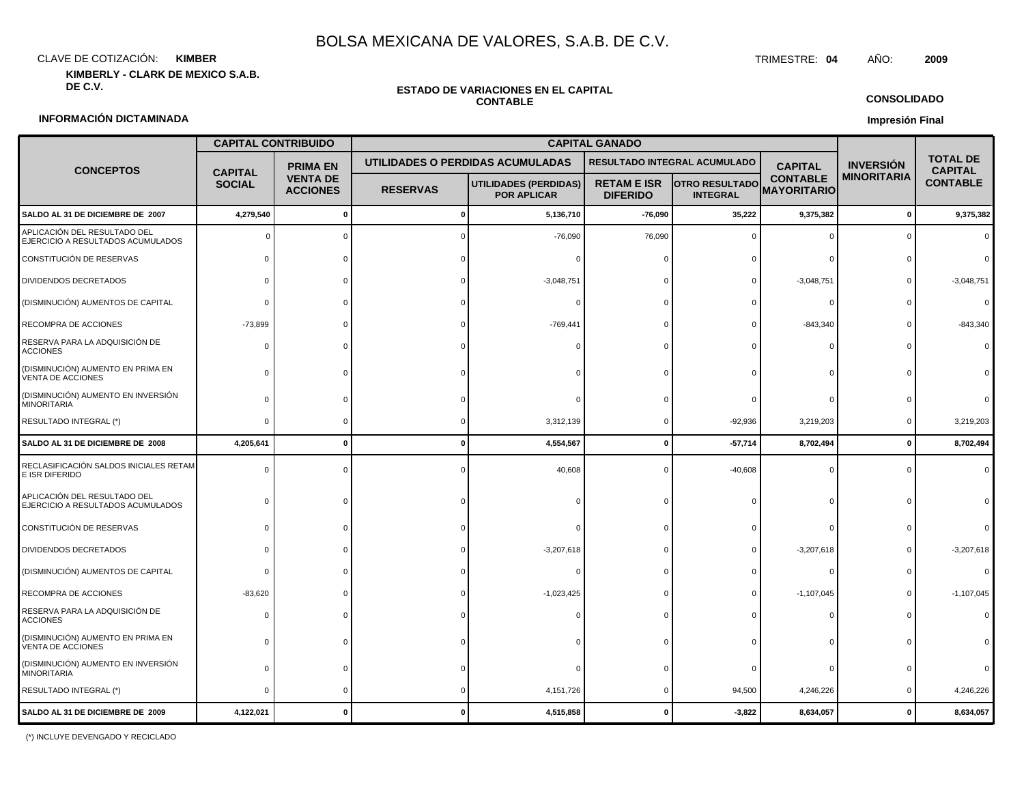CLAVE DE COTIZACIÓN: TRIMESTRE: **04** AÑO: **2009 KIMBER**

**KIMBERLY - CLARK DE MEXICO S.A.B.**

## **ESTADO DE VARIACIONES EN EL CAPITAL**

**CONSOLIDADO**

**Impresión Final**

#### **INFORMACIÓN DICTAMINADA**

# **CONTABLE**

|                                                                   | <b>CAPITAL CONTRIBUIDO</b> |                                    |                 |                                                    |                                       |                                          |                                       |                    |                                   |  |
|-------------------------------------------------------------------|----------------------------|------------------------------------|-----------------|----------------------------------------------------|---------------------------------------|------------------------------------------|---------------------------------------|--------------------|-----------------------------------|--|
| <b>CONCEPTOS</b>                                                  | <b>CAPITAL</b>             | <b>PRIMA EN</b>                    |                 | UTILIDADES O PERDIDAS ACUMULADAS                   |                                       | RESULTADO INTEGRAL ACUMULADO             | <b>CAPITAL</b>                        | <b>INVERSION</b>   | <b>TOTAL DE</b><br><b>CAPITAL</b> |  |
|                                                                   | <b>SOCIAL</b>              | <b>VENTA DE</b><br><b>ACCIONES</b> | <b>RESERVAS</b> | <b>UTILIDADES (PERDIDAS)</b><br><b>POR APLICAR</b> | <b>RETAM E ISR</b><br><b>DIFERIDO</b> | <b>OTRO RESULTADO</b><br><b>INTEGRAL</b> | <b>CONTABLE</b><br><b>MAYORITARIO</b> | <b>MINORITARIA</b> | <b>CONTABLE</b>                   |  |
| SALDO AL 31 DE DICIEMBRE DE 2007                                  | 4,279,540                  | $\Omega$                           |                 | 5,136,710                                          | $-76,090$                             | 35,222                                   | 9,375,382                             | $\mathbf 0$        | 9,375,382                         |  |
| APLICACIÓN DEL RESULTADO DEL<br>EJERCICIO A RESULTADOS ACUMULADOS |                            |                                    |                 | $-76,090$                                          | 76,090                                |                                          |                                       |                    |                                   |  |
| CONSTITUCIÓN DE RESERVAS                                          |                            |                                    |                 |                                                    |                                       |                                          |                                       |                    |                                   |  |
| DIVIDENDOS DECRETADOS                                             |                            |                                    |                 | $-3,048,751$                                       |                                       |                                          | $-3,048,751$                          |                    | $-3,048,751$                      |  |
| (DISMINUCIÓN) AUMENTOS DE CAPITAL                                 | $\Omega$                   |                                    |                 |                                                    |                                       |                                          |                                       |                    |                                   |  |
| RECOMPRA DE ACCIONES                                              | $-73,899$                  |                                    |                 | $-769,441$                                         |                                       |                                          | $-843,340$                            |                    | $-843,340$                        |  |
| RESERVA PARA LA ADQUISICIÓN DE<br><b>ACCIONES</b>                 |                            |                                    |                 |                                                    |                                       |                                          |                                       |                    |                                   |  |
| (DISMINUCIÓN) AUMENTO EN PRIMA EN<br>VENTA DE ACCIONES            | $\Omega$                   |                                    |                 |                                                    |                                       |                                          |                                       |                    |                                   |  |
| (DISMINUCIÓN) AUMENTO EN INVERSIÓN<br><b>MINORITARIA</b>          | C                          |                                    |                 |                                                    |                                       |                                          |                                       |                    |                                   |  |
| RESULTADO INTEGRAL (*)                                            | $\Omega$                   | $\Omega$                           |                 | 3,312,139                                          | $\Omega$                              | $-92,936$                                | 3,219,203                             | $\Omega$           | 3,219,203                         |  |
| SALDO AL 31 DE DICIEMBRE DE 2008                                  | 4,205,641                  | $\mathbf 0$                        | 0               | 4,554,567                                          | $\mathbf{0}$                          | $-57,714$                                | 8,702,494                             | $\mathbf 0$        | 8,702,494                         |  |
| RECLASIFICACIÓN SALDOS INICIALES RETAM<br>E ISR DIFERIDO          | $\Omega$                   |                                    |                 | 40,608                                             |                                       | $-40,608$                                |                                       |                    |                                   |  |
| APLICACIÓN DEL RESULTADO DEL<br>EJERCICIO A RESULTADOS ACUMULADOS | C                          |                                    |                 |                                                    |                                       |                                          |                                       |                    |                                   |  |
| CONSTITUCIÓN DE RESERVAS                                          |                            |                                    |                 |                                                    |                                       |                                          |                                       |                    |                                   |  |
| DIVIDENDOS DECRETADOS                                             |                            |                                    |                 | $-3,207,618$                                       |                                       |                                          | $-3,207,618$                          |                    | $-3,207,618$                      |  |
| (DISMINUCIÓN) AUMENTOS DE CAPITAL                                 | $\Omega$                   |                                    |                 |                                                    |                                       |                                          |                                       |                    |                                   |  |
| RECOMPRA DE ACCIONES                                              | $-83,620$                  |                                    |                 | $-1,023,425$                                       |                                       |                                          | $-1,107,045$                          |                    | $-1,107,045$                      |  |
| RESERVA PARA LA ADQUISICIÓN DE<br><b>ACCIONES</b>                 | 0                          |                                    |                 |                                                    |                                       |                                          |                                       |                    |                                   |  |
| (DISMINUCIÓN) AUMENTO EN PRIMA EN<br>VENTA DE ACCIONES            | $\Omega$                   |                                    |                 |                                                    |                                       |                                          |                                       |                    |                                   |  |
| (DISMINUCIÓN) AUMENTO EN INVERSIÓN<br><b>MINORITARIA</b>          | $\Omega$                   |                                    |                 |                                                    |                                       |                                          |                                       |                    |                                   |  |
| RESULTADO INTEGRAL (*)                                            | $\Omega$                   |                                    |                 | 4, 151, 726                                        |                                       | 94,500                                   | 4,246,226                             |                    | 4,246,226                         |  |
| SALDO AL 31 DE DICIEMBRE DE 2009                                  | 4,122,021                  |                                    |                 | 4,515,858                                          |                                       | $-3,822$                                 | 8,634,057                             |                    | 8,634,057                         |  |

(\*) INCLUYE DEVENGADO Y RECICLADO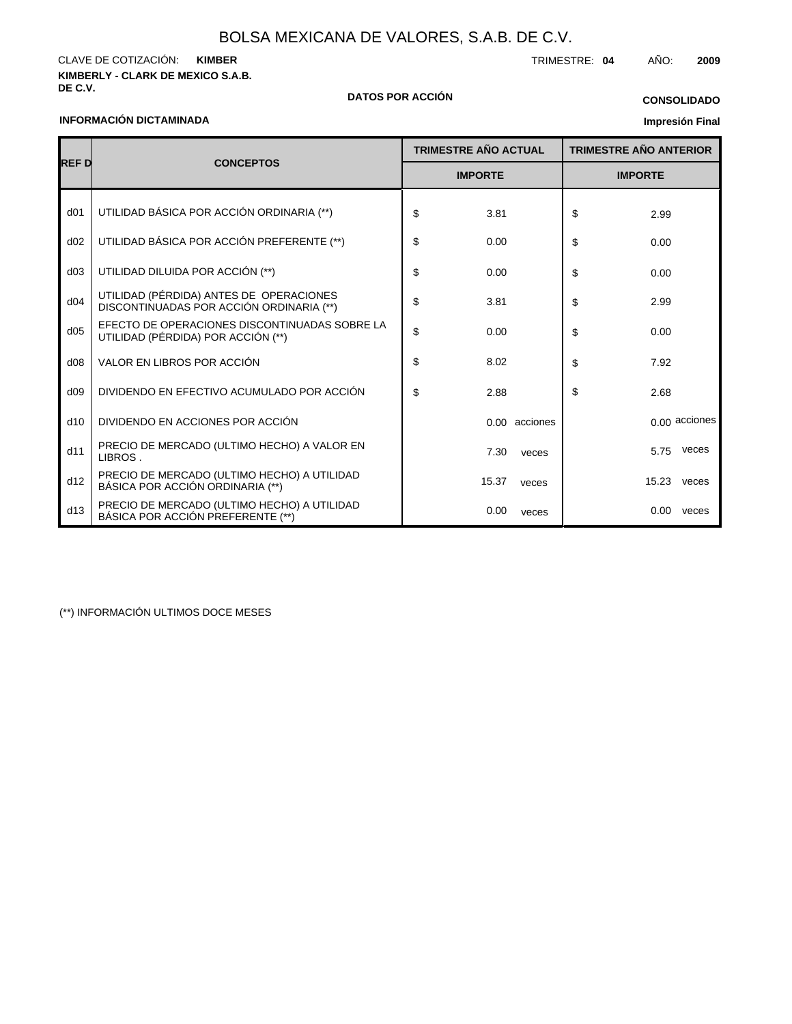**KIMBERLY - CLARK DE MEXICO S.A.B.** CLAVE DE COTIZACIÓN: TRIMESTRE: **04** AÑO: **2009 KIMBER**

### **INFORMACIÓN DICTAMINADA**

### **DE C.V. DATOS POR ACCIÓN**

### **CONSOLIDADO**

### **Impresión Final**

|                 | <b>CONCEPTOS</b>                                                                    |    | <b>TRIMESTRE AÑO ACTUAL</b> |               |    | <b>TRIMESTRE AÑO ANTERIOR</b> |               |  |
|-----------------|-------------------------------------------------------------------------------------|----|-----------------------------|---------------|----|-------------------------------|---------------|--|
| <b>REFD</b>     |                                                                                     |    | <b>IMPORTE</b>              |               |    | <b>IMPORTE</b>                |               |  |
| d <sub>01</sub> | UTILIDAD BÁSICA POR ACCIÓN ORDINARIA (**)                                           | \$ | 3.81                        |               | \$ | 2.99                          |               |  |
| d02             | UTILIDAD BÁSICA POR ACCIÓN PREFERENTE (**)                                          | \$ | 0.00                        |               | \$ | 0.00                          |               |  |
| d03             | UTILIDAD DILUIDA POR ACCIÓN (**)                                                    | \$ | 0.00                        |               | \$ | 0.00                          |               |  |
| d04             | UTILIDAD (PÉRDIDA) ANTES DE OPERACIONES<br>DISCONTINUADAS POR ACCIÓN ORDINARIA (**) | \$ | 3.81                        |               | \$ | 2.99                          |               |  |
| d05             | EFECTO DE OPERACIONES DISCONTINUADAS SOBRE LA<br>UTILIDAD (PÉRDIDA) POR ACCIÓN (**) | \$ | 0.00                        |               | \$ | 0.00                          |               |  |
| d08             | VALOR EN LIBROS POR ACCIÓN                                                          | \$ | 8.02                        |               | \$ | 7.92                          |               |  |
| d09             | DIVIDENDO EN EFECTIVO ACUMULADO POR ACCIÓN                                          | \$ | 2.88                        |               | \$ | 2.68                          |               |  |
| d10             | DIVIDENDO EN ACCIONES POR ACCIÓN                                                    |    |                             | 0.00 acciones |    |                               | 0.00 acciones |  |
| d11             | PRECIO DE MERCADO (ULTIMO HECHO) A VALOR EN<br>LIBROS.                              |    | 7.30                        | veces         |    | 5.75                          | veces         |  |
| d12             | PRECIO DE MERCADO (ULTIMO HECHO) A UTILIDAD<br>BÁSICA POR ACCIÓN ORDINARIA (**)     |    | 15.37                       | veces         |    | 15.23                         | veces         |  |
| d13             | PRECIO DE MERCADO (ULTIMO HECHO) A UTILIDAD<br>BÁSICA POR ACCIÓN PREFERENTE (**)    |    | 0.00                        | veces         |    | 0.00                          | veces         |  |

(\*\*) INFORMACIÓN ULTIMOS DOCE MESES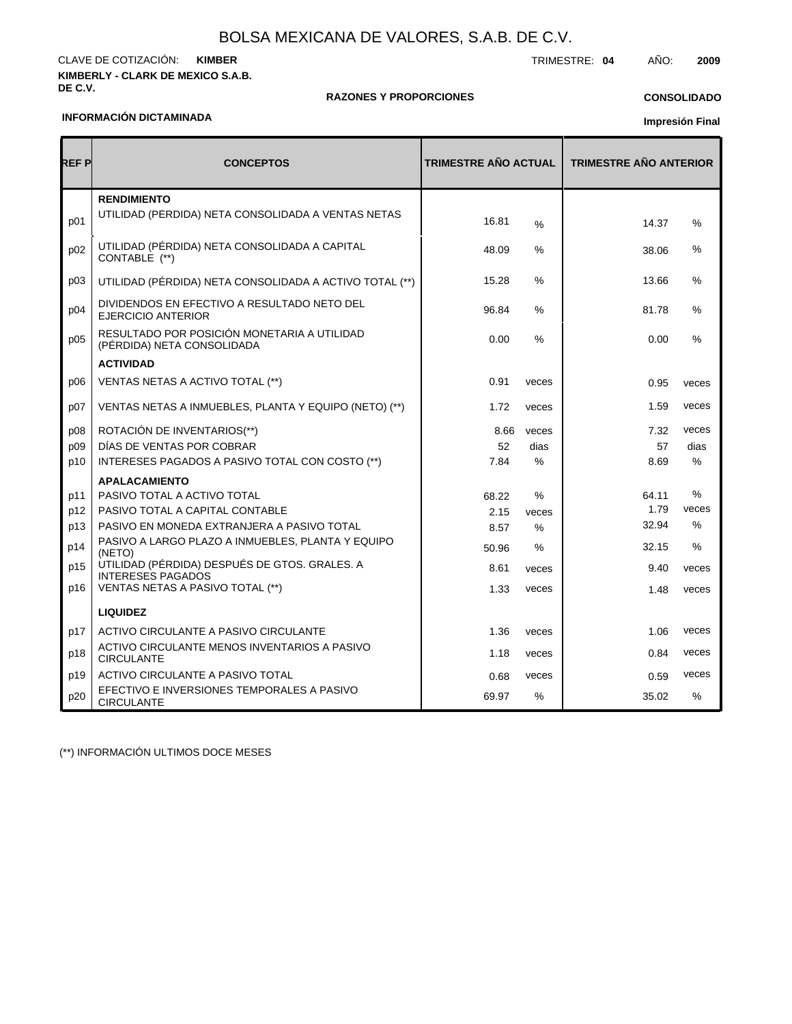#### **KIMBERLY - CLARK DE MEXICO S.A.B. DE C.V.** CLAVE DE COTIZACIÓN: TRIMESTRE: **04** AÑO: **2009 KIMBER**

#### **RAZONES Y PROPORCIONES**

### **CONSOLIDADO**

#### **INFORMACIÓN DICTAMINADA**

| <b>Impresión Final</b> |  |
|------------------------|--|
|------------------------|--|

| REF P | <b>CONCEPTOS</b>                                                          | <b>TRIMESTRE AÑO ACTUAL</b> |       | <b>TRIMESTRE AÑO ANTERIOR</b> |       |  |  |
|-------|---------------------------------------------------------------------------|-----------------------------|-------|-------------------------------|-------|--|--|
| p01   | <b>RENDIMIENTO</b><br>UTILIDAD (PERDIDA) NETA CONSOLIDADA A VENTAS NETAS  | 16.81                       | $\%$  | 14.37                         | %     |  |  |
| p02   | UTILIDAD (PÉRDIDA) NETA CONSOLIDADA A CAPITAL<br>CONTABLE (**)            | 48.09                       | %     | 38.06                         | %     |  |  |
| p03   | UTILIDAD (PÉRDIDA) NETA CONSOLIDADA A ACTIVO TOTAL (**)                   | 15.28                       | %     | 13.66                         | $\%$  |  |  |
| p04   | DIVIDENDOS EN EFECTIVO A RESULTADO NETO DEL<br><b>EJERCICIO ANTERIOR</b>  | 96.84                       | %     | 81.78                         | %     |  |  |
| p05   | RESULTADO POR POSICIÓN MONETARIA A UTILIDAD<br>(PÉRDIDA) NETA CONSOLIDADA | 0.00                        | $\%$  | 0.00                          | $\%$  |  |  |
|       | <b>ACTIVIDAD</b>                                                          |                             |       |                               |       |  |  |
| p06   | VENTAS NETAS A ACTIVO TOTAL (**)                                          | 0.91                        | veces | 0.95                          | veces |  |  |
| p07   | VENTAS NETAS A INMUEBLES, PLANTA Y EQUIPO (NETO) (**)                     | 1.72                        | veces | 1.59                          | veces |  |  |
| p08   | ROTACIÓN DE INVENTARIOS(**)                                               | 8.66                        | veces | 7.32                          | veces |  |  |
| p09   | DIAS DE VENTAS POR COBRAR                                                 | 52                          | dias  | 57                            | dias  |  |  |
| p10   | INTERESES PAGADOS A PASIVO TOTAL CON COSTO (**)                           | 7.84                        | $\%$  | 8.69                          | $\%$  |  |  |
|       | <b>APALACAMIENTO</b>                                                      |                             |       |                               |       |  |  |
| p11   | PASIVO TOTAL A ACTIVO TOTAL                                               | 68.22                       | %     | 64.11                         | $\%$  |  |  |
| p12   | PASIVO TOTAL A CAPITAL CONTABLE                                           | 2.15                        | veces | 1.79                          | veces |  |  |
| p13   | PASIVO EN MONEDA EXTRANJERA A PASIVO TOTAL                                | 8.57                        | $\%$  | 32.94                         | $\%$  |  |  |
| p14   | PASIVO A LARGO PLAZO A INMUEBLES, PLANTA Y EQUIPO<br>(NETO)               | 50.96                       | %     | 32.15                         | $\%$  |  |  |
| p15   | UTILIDAD (PÉRDIDA) DESPUÉS DE GTOS. GRALES. A<br><b>INTERESES PAGADOS</b> | 8.61                        | veces | 9.40                          | veces |  |  |
| p16   | VENTAS NETAS A PASIVO TOTAL (**)                                          | 1.33                        | veces | 1.48                          | veces |  |  |
|       | <b>LIQUIDEZ</b>                                                           |                             |       |                               |       |  |  |
| p17   | ACTIVO CIRCULANTE A PASIVO CIRCULANTE                                     | 1.36                        | veces | 1.06                          | veces |  |  |
| p18   | ACTIVO CIRCULANTE MENOS INVENTARIOS A PASIVO<br><b>CIRCULANTE</b>         | 1.18                        | veces | 0.84                          | veces |  |  |
| p19   | ACTIVO CIRCULANTE A PASIVO TOTAL                                          | 0.68                        | veces | 0.59                          | veces |  |  |
| p20   | EFECTIVO E INVERSIONES TEMPORALES A PASIVO<br><b>CIRCULANTE</b>           | 69.97                       | $\%$  | 35.02                         | $\%$  |  |  |

(\*\*) INFORMACIÓN ULTIMOS DOCE MESES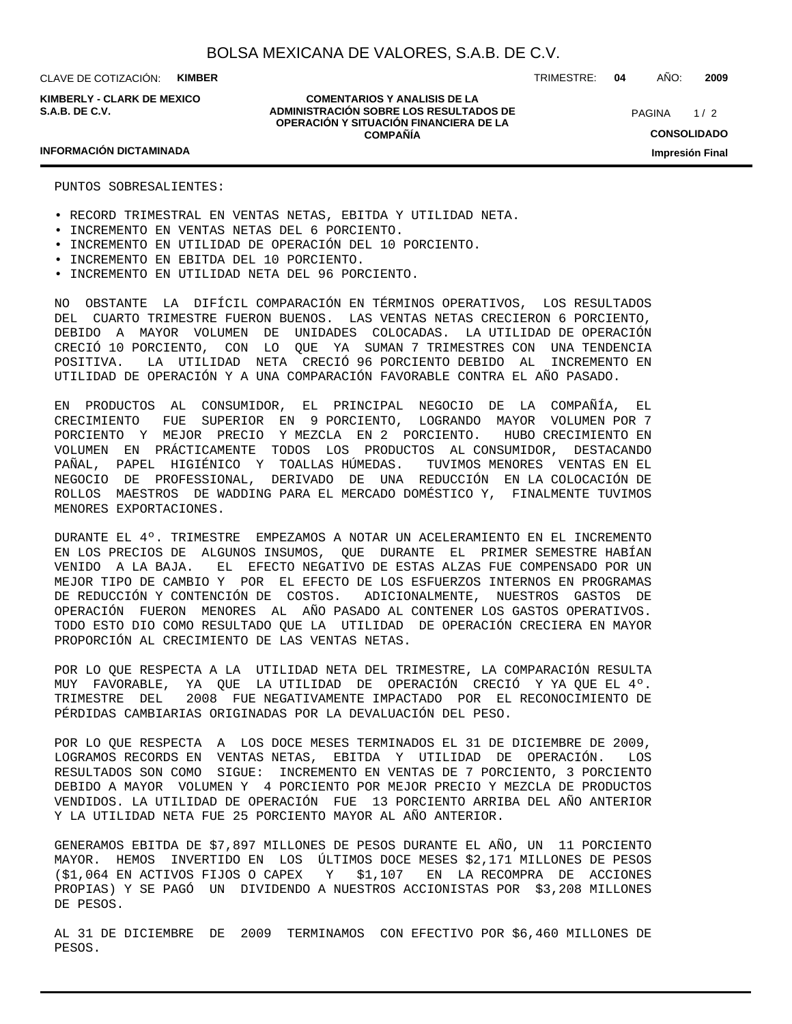CLAVE DE COTIZACIÓN: **KIMBER**

**KIMBERLY - CLARK DE MEXICO S.A.B. DE C.V.**

**COMENTARIOS Y ANALISIS DE LA ADMINISTRACIÓN SOBRE LOS RESULTADOS DE OPERACIÓN Y SITUACIÓN FINANCIERA DE LA COMPAÑÍA**

 $1/2$ **CONSOLIDADO** PAGINA

#### **Impresión Final**

### **INFORMACIÓN DICTAMINADA**

PUNTOS SOBRESALIENTES:

- RECORD TRIMESTRAL EN VENTAS NETAS, EBITDA Y UTILIDAD NETA.
- INCREMENTO EN VENTAS NETAS DEL 6 PORCIENTO.
- INCREMENTO EN UTILIDAD DE OPERACIÓN DEL 10 PORCIENTO.
- INCREMENTO EN EBITDA DEL 10 PORCIENTO.
- INCREMENTO EN UTILIDAD NETA DEL 96 PORCIENTO.

NO OBSTANTE LA DIFÍCIL COMPARACIÓN EN TÉRMINOS OPERATIVOS, LOS RESULTADOS DEL CUARTO TRIMESTRE FUERON BUENOS. LAS VENTAS NETAS CRECIERON 6 PORCIENTO, DEBIDO A MAYOR VOLUMEN DE UNIDADES COLOCADAS. LA UTILIDAD DE OPERACIÓN CRECIÓ 10 PORCIENTO, CON LO QUE YA SUMAN 7 TRIMESTRES CON UNA TENDENCIA POSITIVA. LA UTILIDAD NETA CRECIÓ 96 PORCIENTO DEBIDO AL INCREMENTO EN UTILIDAD DE OPERACIÓN Y A UNA COMPARACIÓN FAVORABLE CONTRA EL AÑO PASADO.

EN PRODUCTOS AL CONSUMIDOR, EL PRINCIPAL NEGOCIO DE LA COMPAÑÍA, EL CRECIMIENTO FUE SUPERIOR EN 9 PORCIENTO, LOGRANDO MAYOR VOLUMEN POR 7 PORCIENTO Y MEJOR PRECIO Y MEZCLA EN 2 PORCIENTO. HUBO CRECIMIENTO EN VOLUMEN EN PRÁCTICAMENTE TODOS LOS PRODUCTOS AL CONSUMIDOR, DESTACANDO PAÑAL, PAPEL HIGIÉNICO Y TOALLAS HÚMEDAS. TUVIMOS MENORES VENTAS EN EL NEGOCIO DE PROFESSIONAL, DERIVADO DE UNA REDUCCIÓN EN LA COLOCACIÓN DE ROLLOS MAESTROS DE WADDING PARA EL MERCADO DOMÉSTICO Y, FINALMENTE TUVIMOS MENORES EXPORTACIONES.

DURANTE EL 4º. TRIMESTRE EMPEZAMOS A NOTAR UN ACELERAMIENTO EN EL INCREMENTO EN LOS PRECIOS DE ALGUNOS INSUMOS, QUE DURANTE EL PRIMER SEMESTRE HABÍAN VENIDO A LA BAJA. EL EFECTO NEGATIVO DE ESTAS ALZAS FUE COMPENSADO POR UN MEJOR TIPO DE CAMBIO Y POR EL EFECTO DE LOS ESFUERZOS INTERNOS EN PROGRAMAS DE REDUCCIÓN Y CONTENCIÓN DE COSTOS. ADICIONALMENTE, NUESTROS GASTOS DE OPERACIÓN FUERON MENORES AL AÑO PASADO AL CONTENER LOS GASTOS OPERATIVOS. TODO ESTO DIO COMO RESULTADO QUE LA UTILIDAD DE OPERACIÓN CRECIERA EN MAYOR PROPORCIÓN AL CRECIMIENTO DE LAS VENTAS NETAS.

POR LO QUE RESPECTA A LA UTILIDAD NETA DEL TRIMESTRE, LA COMPARACIÓN RESULTA MUY FAVORABLE, YA QUE LA UTILIDAD DE OPERACIÓN CRECIÓ Y YA QUE EL 4º. TRIMESTRE DEL 2008 FUE NEGATIVAMENTE IMPACTADO POR EL RECONOCIMIENTO DE PÉRDIDAS CAMBIARIAS ORIGINADAS POR LA DEVALUACIÓN DEL PESO.

POR LO QUE RESPECTA A LOS DOCE MESES TERMINADOS EL 31 DE DICIEMBRE DE 2009, LOGRAMOS RECORDS EN VENTAS NETAS, EBITDA Y UTILIDAD DE OPERACIÓN. LOS RESULTADOS SON COMO SIGUE: INCREMENTO EN VENTAS DE 7 PORCIENTO, 3 PORCIENTO DEBIDO A MAYOR VOLUMEN Y 4 PORCIENTO POR MEJOR PRECIO Y MEZCLA DE PRODUCTOS VENDIDOS. LA UTILIDAD DE OPERACIÓN FUE 13 PORCIENTO ARRIBA DEL AÑO ANTERIOR Y LA UTILIDAD NETA FUE 25 PORCIENTO MAYOR AL AÑO ANTERIOR.

GENERAMOS EBITDA DE \$7,897 MILLONES DE PESOS DURANTE EL AÑO, UN 11 PORCIENTO MAYOR. HEMOS INVERTIDO EN LOS ÚLTIMOS DOCE MESES \$2,171 MILLONES DE PESOS (\$1,064 EN ACTIVOS FIJOS O CAPEX Y \$1,107 EN LA RECOMPRA DE ACCIONES PROPIAS) Y SE PAGÓ UN DIVIDENDO A NUESTROS ACCIONISTAS POR \$3,208 MILLONES DE PESOS.

AL 31 DE DICIEMBRE DE 2009 TERMINAMOS CON EFECTIVO POR \$6,460 MILLONES DE PESOS.

#### TRIMESTRE: **04** AÑO: **2009**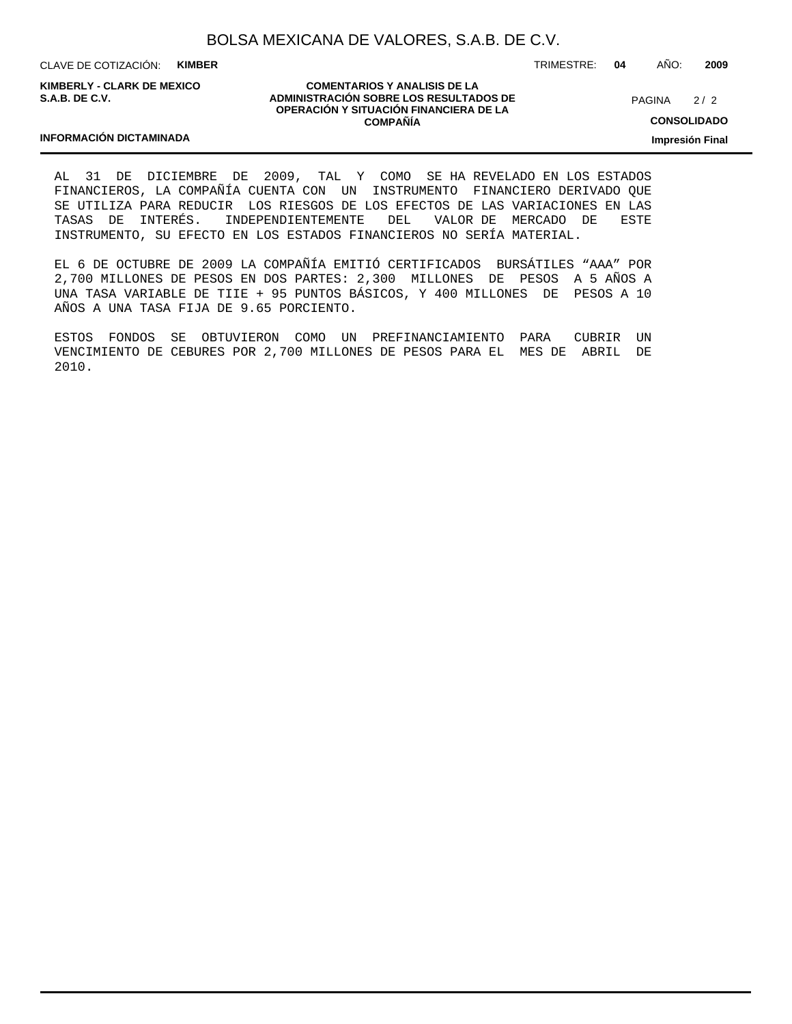CLAVE DE COTIZACIÓN: **KIMBER**

**KIMBERLY - CLARK DE MEXICO S.A.B. DE C.V.**

**INFORMACIÓN DICTAMINADA**

#### **COMENTARIOS Y ANALISIS DE LA ADMINISTRACIÓN SOBRE LOS RESULTADOS DE OPERACIÓN Y SITUACIÓN FINANCIERA DE LA COMPAÑÍA**

 $2/2$ PAGINA

TRIMESTRE: **04** AÑO: **2009**

**CONSOLIDADO**

**Impresión Final**

AL 31 DE DICIEMBRE DE 2009, TAL Y COMO SE HA REVELADO EN LOS ESTADOS FINANCIEROS, LA COMPAÑÍA CUENTA CON UN INSTRUMENTO FINANCIERO DERIVADO QUE SE UTILIZA PARA REDUCIR LOS RIESGOS DE LOS EFECTOS DE LAS VARIACIONES EN LAS TASAS DE INTERÉS. INDEPENDIENTEMENTE DEL VALOR DE MERCADO DE ESTE INSTRUMENTO, SU EFECTO EN LOS ESTADOS FINANCIEROS NO SERÍA MATERIAL.

EL 6 DE OCTUBRE DE 2009 LA COMPAÑÍA EMITIÓ CERTIFICADOS BURSÁTILES "AAA" POR 2,700 MILLONES DE PESOS EN DOS PARTES: 2,300 MILLONES DE PESOS A 5 AÑOS A UNA TASA VARIABLE DE TIIE + 95 PUNTOS BÁSICOS, Y 400 MILLONES DE PESOS A 10 AÑOS A UNA TASA FIJA DE 9.65 PORCIENTO.

ESTOS FONDOS SE OBTUVIERON COMO UN PREFINANCIAMIENTO PARA CUBRIR UN VENCIMIENTO DE CEBURES POR 2,700 MILLONES DE PESOS PARA EL MES DE ABRIL DE 2010.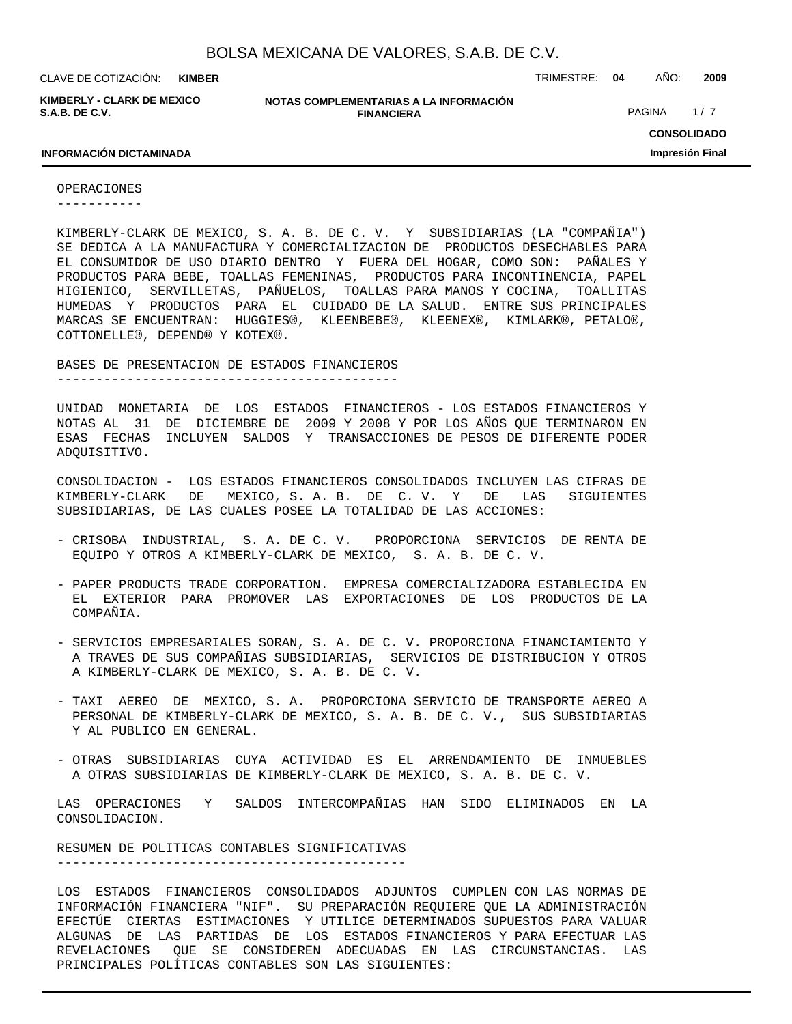**KIMBER**

**KIMBERLY - CLARK DE MEXICO S.A.B. DE C.V.**

**NOTAS COMPLEMENTARIAS A LA INFORMACIÓN FINANCIERA**

CLAVE DE COTIZACIÓN: TRIMESTRE: **04** AÑO: **2009**

PAGINA 1/7

**CONSOLIDADO Impresión Final**

#### **INFORMACIÓN DICTAMINADA**

OPERACIONES

-----------

KIMBERLY-CLARK DE MEXICO, S. A. B. DE C. V. Y SUBSIDIARIAS (LA "COMPAÑIA") SE DEDICA A LA MANUFACTURA Y COMERCIALIZACION DE PRODUCTOS DESECHABLES PARA EL CONSUMIDOR DE USO DIARIO DENTRO Y FUERA DEL HOGAR, COMO SON: PAÑALES Y PRODUCTOS PARA BEBE, TOALLAS FEMENINAS, PRODUCTOS PARA INCONTINENCIA, PAPEL HIGIENICO, SERVILLETAS, PAÑUELOS, TOALLAS PARA MANOS Y COCINA, TOALLITAS HUMEDAS Y PRODUCTOS PARA EL CUIDADO DE LA SALUD. ENTRE SUS PRINCIPALES MARCAS SE ENCUENTRAN: HUGGIES®, KLEENBEBE®, KLEENEX®, KIMLARK®, PETALO®, COTTONELLE®, DEPEND® Y KOTEX®.

BASES DE PRESENTACION DE ESTADOS FINANCIEROS

--------------------------------------------

UNIDAD MONETARIA DE LOS ESTADOS FINANCIEROS - LOS ESTADOS FINANCIEROS Y NOTAS AL 31 DE DICIEMBRE DE 2009 Y 2008 Y POR LOS AÑOS QUE TERMINARON EN ESAS FECHAS INCLUYEN SALDOS Y TRANSACCIONES DE PESOS DE DIFERENTE PODER ADQUISITIVO.

CONSOLIDACION - LOS ESTADOS FINANCIEROS CONSOLIDADOS INCLUYEN LAS CIFRAS DE KIMBERLY-CLARK DE MEXICO, S. A. B. DE C. V. Y DE LAS SIGUIENTES SUBSIDIARIAS, DE LAS CUALES POSEE LA TOTALIDAD DE LAS ACCIONES:

- CRISOBA INDUSTRIAL, S. A. DE C. V. PROPORCIONA SERVICIOS DE RENTA DE EQUIPO Y OTROS A KIMBERLY-CLARK DE MEXICO, S. A. B. DE C. V.
- PAPER PRODUCTS TRADE CORPORATION. EMPRESA COMERCIALIZADORA ESTABLECIDA EN EL EXTERIOR PARA PROMOVER LAS EXPORTACIONES DE LOS PRODUCTOS DE LA COMPAÑIA.
- SERVICIOS EMPRESARIALES SORAN, S. A. DE C. V. PROPORCIONA FINANCIAMIENTO Y A TRAVES DE SUS COMPAÑIAS SUBSIDIARIAS, SERVICIOS DE DISTRIBUCION Y OTROS A KIMBERLY-CLARK DE MEXICO, S. A. B. DE C. V.
- TAXI AEREO DE MEXICO, S. A. PROPORCIONA SERVICIO DE TRANSPORTE AEREO A PERSONAL DE KIMBERLY-CLARK DE MEXICO, S. A. B. DE C. V., SUS SUBSIDIARIAS Y AL PUBLICO EN GENERAL.
- OTRAS SUBSIDIARIAS CUYA ACTIVIDAD ES EL ARRENDAMIENTO DE INMUEBLES A OTRAS SUBSIDIARIAS DE KIMBERLY-CLARK DE MEXICO, S. A. B. DE C. V.

LAS OPERACIONES Y SALDOS INTERCOMPAÑIAS HAN SIDO ELIMINADOS EN LA CONSOLIDACION.

RESUMEN DE POLITICAS CONTABLES SIGNIFICATIVAS ---------------------------------------------

LOS ESTADOS FINANCIEROS CONSOLIDADOS ADJUNTOS CUMPLEN CON LAS NORMAS DE INFORMACIÓN FINANCIERA "NIF". SU PREPARACIÓN REQUIERE QUE LA ADMINISTRACIÓN EFECTÚE CIERTAS ESTIMACIONES Y UTILICE DETERMINADOS SUPUESTOS PARA VALUAR ALGUNAS DE LAS PARTIDAS DE LOS ESTADOS FINANCIEROS Y PARA EFECTUAR LAS REVELACIONES QUE SE CONSIDEREN ADECUADAS EN LAS CIRCUNSTANCIAS. LAS PRINCIPALES POLÍTICAS CONTABLES SON LAS SIGUIENTES: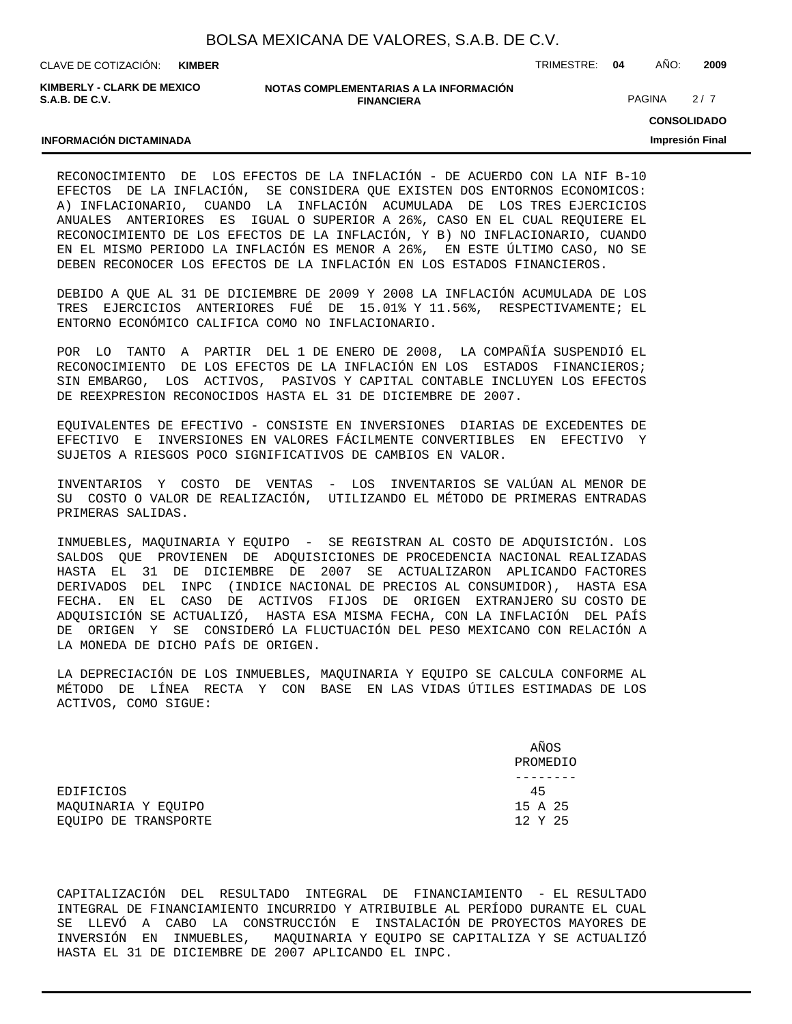| BOLSA MEXICANA DE VALORES, S.A.B. DE C.V. |  |  |  |
|-------------------------------------------|--|--|--|
|-------------------------------------------|--|--|--|

CLAVE DE COTIZACIÓN: TRIMESTRE: **04** AÑO: **2009 KIMBER**

**KIMBERLY - CLARK DE MEXICO S.A.B. DE C.V.**

#### **NOTAS COMPLEMENTARIAS A LA INFORMACIÓN FINANCIERA**

PAGINA 2/7

**CONSOLIDADO Impresión Final**

#### **INFORMACIÓN DICTAMINADA**

RECONOCIMIENTO DE LOS EFECTOS DE LA INFLACIÓN - DE ACUERDO CON LA NIF B-10 EFECTOS DE LA INFLACIÓN, SE CONSIDERA QUE EXISTEN DOS ENTORNOS ECONOMICOS: A) INFLACIONARIO, CUANDO LA INFLACIÓN ACUMULADA DE LOS TRES EJERCICIOS ANUALES ANTERIORES ES IGUAL O SUPERIOR A 26%, CASO EN EL CUAL REQUIERE EL RECONOCIMIENTO DE LOS EFECTOS DE LA INFLACIÓN, Y B) NO INFLACIONARIO, CUANDO EN EL MISMO PERIODO LA INFLACIÓN ES MENOR A 26%, EN ESTE ÚLTIMO CASO, NO SE DEBEN RECONOCER LOS EFECTOS DE LA INFLACIÓN EN LOS ESTADOS FINANCIEROS.

DEBIDO A QUE AL 31 DE DICIEMBRE DE 2009 Y 2008 LA INFLACIÓN ACUMULADA DE LOS TRES EJERCICIOS ANTERIORES FUÉ DE 15.01% Y 11.56%, RESPECTIVAMENTE; EL ENTORNO ECONÓMICO CALIFICA COMO NO INFLACIONARIO.

POR LO TANTO A PARTIR DEL 1 DE ENERO DE 2008, LA COMPAÑÍA SUSPENDIÓ EL RECONOCIMIENTO DE LOS EFECTOS DE LA INFLACIÓN EN LOS ESTADOS FINANCIEROS; SIN EMBARGO, LOS ACTIVOS, PASIVOS Y CAPITAL CONTABLE INCLUYEN LOS EFECTOS DE REEXPRESION RECONOCIDOS HASTA EL 31 DE DICIEMBRE DE 2007.

EQUIVALENTES DE EFECTIVO - CONSISTE EN INVERSIONES DIARIAS DE EXCEDENTES DE EFECTIVO E INVERSIONES EN VALORES FÁCILMENTE CONVERTIBLES EN EFECTIVO Y SUJETOS A RIESGOS POCO SIGNIFICATIVOS DE CAMBIOS EN VALOR.

INVENTARIOS Y COSTO DE VENTAS - LOS INVENTARIOS SE VALÚAN AL MENOR DE SU COSTO O VALOR DE REALIZACIÓN, UTILIZANDO EL MÉTODO DE PRIMERAS ENTRADAS PRIMERAS SALIDAS.

INMUEBLES, MAQUINARIA Y EQUIPO - SE REGISTRAN AL COSTO DE ADQUISICIÓN. LOS SALDOS QUE PROVIENEN DE ADQUISICIONES DE PROCEDENCIA NACIONAL REALIZADAS HASTA EL 31 DE DICIEMBRE DE 2007 SE ACTUALIZARON APLICANDO FACTORES DERIVADOS DEL INPC (INDICE NACIONAL DE PRECIOS AL CONSUMIDOR), HASTA ESA FECHA. EN EL CASO DE ACTIVOS FIJOS DE ORIGEN EXTRANJERO SU COSTO DE ADQUISICIÓN SE ACTUALIZÓ, HASTA ESA MISMA FECHA, CON LA INFLACIÓN DEL PAÍS DE ORIGEN Y SE CONSIDERÓ LA FLUCTUACIÓN DEL PESO MEXICANO CON RELACIÓN A LA MONEDA DE DICHO PAÍS DE ORIGEN.

LA DEPRECIACIÓN DE LOS INMUEBLES, MAQUINARIA Y EQUIPO SE CALCULA CONFORME AL MÉTODO DE LÍNEA RECTA Y CON BASE EN LAS VIDAS ÚTILES ESTIMADAS DE LOS ACTIVOS, COMO SIGUE:

 AÑOS PROMEDIO -------- EDIFICIOS 45 MAQUINARIA Y EQUIPO 15 A 25 EQUIPO DE TRANSPORTE  $12$  Y 25

CAPITALIZACIÓN DEL RESULTADO INTEGRAL DE FINANCIAMIENTO - EL RESULTADO INTEGRAL DE FINANCIAMIENTO INCURRIDO Y ATRIBUIBLE AL PERÍODO DURANTE EL CUAL SE LLEVÓ A CABO LA CONSTRUCCIÓN E INSTALACIÓN DE PROYECTOS MAYORES DE INVERSIÓN EN INMUEBLES, MAQUINARIA Y EQUIPO SE CAPITALIZA Y SE ACTUALIZÓ HASTA EL 31 DE DICIEMBRE DE 2007 APLICANDO EL INPC.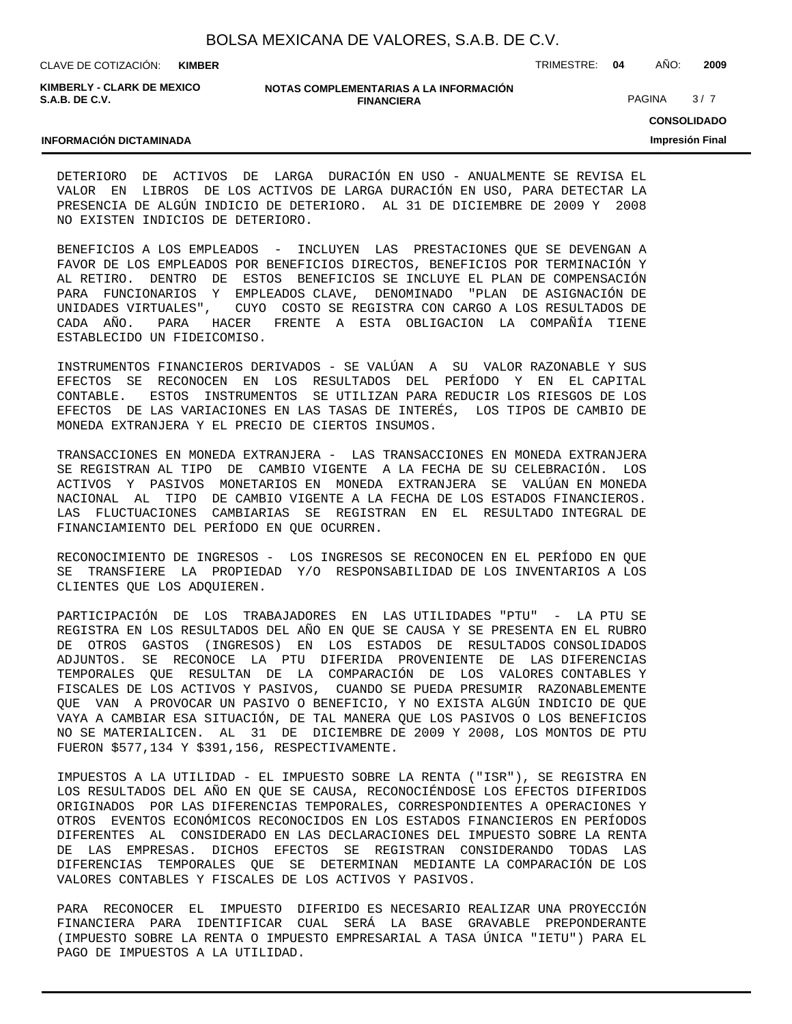CLAVE DE COTIZACIÓN: TRIMESTRE: **04** AÑO: **2009 KIMBER**

**KIMBERLY - CLARK DE MEXICO S.A.B. DE C.V.**

#### **NOTAS COMPLEMENTARIAS A LA INFORMACIÓN FINANCIERA**

PAGINA 3/7

**CONSOLIDADO**

**Impresión Final**

#### **INFORMACIÓN DICTAMINADA**

DETERIORO DE ACTIVOS DE LARGA DURACIÓN EN USO - ANUALMENTE SE REVISA EL VALOR EN LIBROS DE LOS ACTIVOS DE LARGA DURACIÓN EN USO, PARA DETECTAR LA PRESENCIA DE ALGÚN INDICIO DE DETERIORO. AL 31 DE DICIEMBRE DE 2009 Y 2008 NO EXISTEN INDICIOS DE DETERIORO.

BENEFICIOS A LOS EMPLEADOS - INCLUYEN LAS PRESTACIONES QUE SE DEVENGAN A FAVOR DE LOS EMPLEADOS POR BENEFICIOS DIRECTOS, BENEFICIOS POR TERMINACIÓN Y AL RETIRO. DENTRO DE ESTOS BENEFICIOS SE INCLUYE EL PLAN DE COMPENSACIÓN PARA FUNCIONARIOS Y EMPLEADOS CLAVE, DENOMINADO "PLAN DE ASIGNACIÓN DE UNIDADES VIRTUALES", CUYO COSTO SE REGISTRA CON CARGO A LOS RESULTADOS DE CADA AÑO. PARA HACER FRENTE A ESTA OBLIGACION LA COMPAÑÍA TIENE ESTABLECIDO UN FIDEICOMISO.

INSTRUMENTOS FINANCIEROS DERIVADOS - SE VALÚAN A SU VALOR RAZONABLE Y SUS EFECTOS SE RECONOCEN EN LOS RESULTADOS DEL PERÍODO Y EN EL CAPITAL CONTABLE. ESTOS INSTRUMENTOS SE UTILIZAN PARA REDUCIR LOS RIESGOS DE LOS EFECTOS DE LAS VARIACIONES EN LAS TASAS DE INTERÉS, LOS TIPOS DE CAMBIO DE MONEDA EXTRANJERA Y EL PRECIO DE CIERTOS INSUMOS.

TRANSACCIONES EN MONEDA EXTRANJERA - LAS TRANSACCIONES EN MONEDA EXTRANJERA SE REGISTRAN AL TIPO DE CAMBIO VIGENTE A LA FECHA DE SU CELEBRACIÓN. LOS ACTIVOS Y PASIVOS MONETARIOS EN MONEDA EXTRANJERA SE VALÚAN EN MONEDA NACIONAL AL TIPO DE CAMBIO VIGENTE A LA FECHA DE LOS ESTADOS FINANCIEROS. LAS FLUCTUACIONES CAMBIARIAS SE REGISTRAN EN EL RESULTADO INTEGRAL DE FINANCIAMIENTO DEL PERÍODO EN QUE OCURREN.

RECONOCIMIENTO DE INGRESOS - LOS INGRESOS SE RECONOCEN EN EL PERÍODO EN QUE SE TRANSFIERE LA PROPIEDAD Y/O RESPONSABILIDAD DE LOS INVENTARIOS A LOS CLIENTES QUE LOS ADQUIEREN.

PARTICIPACIÓN DE LOS TRABAJADORES EN LAS UTILIDADES "PTU" - LA PTU SE REGISTRA EN LOS RESULTADOS DEL AÑO EN QUE SE CAUSA Y SE PRESENTA EN EL RUBRO DE OTROS GASTOS (INGRESOS) EN LOS ESTADOS DE RESULTADOS CONSOLIDADOS ADJUNTOS. SE RECONOCE LA PTU DIFERIDA PROVENIENTE DE LAS DIFERENCIAS TEMPORALES QUE RESULTAN DE LA COMPARACIÓN DE LOS VALORES CONTABLES Y FISCALES DE LOS ACTIVOS Y PASIVOS, CUANDO SE PUEDA PRESUMIR RAZONABLEMENTE QUE VAN A PROVOCAR UN PASIVO O BENEFICIO, Y NO EXISTA ALGÚN INDICIO DE QUE VAYA A CAMBIAR ESA SITUACIÓN, DE TAL MANERA QUE LOS PASIVOS O LOS BENEFICIOS NO SE MATERIALICEN. AL 31 DE DICIEMBRE DE 2009 Y 2008, LOS MONTOS DE PTU FUERON \$577,134 Y \$391,156, RESPECTIVAMENTE.

IMPUESTOS A LA UTILIDAD - EL IMPUESTO SOBRE LA RENTA ("ISR"), SE REGISTRA EN LOS RESULTADOS DEL AÑO EN QUE SE CAUSA, RECONOCIÉNDOSE LOS EFECTOS DIFERIDOS ORIGINADOS POR LAS DIFERENCIAS TEMPORALES, CORRESPONDIENTES A OPERACIONES Y OTROS EVENTOS ECONÓMICOS RECONOCIDOS EN LOS ESTADOS FINANCIEROS EN PERÍODOS DIFERENTES AL CONSIDERADO EN LAS DECLARACIONES DEL IMPUESTO SOBRE LA RENTA DE LAS EMPRESAS. DICHOS EFECTOS SE REGISTRAN CONSIDERANDO TODAS LAS DIFERENCIAS TEMPORALES QUE SE DETERMINAN MEDIANTE LA COMPARACIÓN DE LOS VALORES CONTABLES Y FISCALES DE LOS ACTIVOS Y PASIVOS.

PARA RECONOCER EL IMPUESTO DIFERIDO ES NECESARIO REALIZAR UNA PROYECCIÓN FINANCIERA PARA IDENTIFICAR CUAL SERÁ LA BASE GRAVABLE PREPONDERANTE (IMPUESTO SOBRE LA RENTA O IMPUESTO EMPRESARIAL A TASA ÚNICA "IETU") PARA EL PAGO DE IMPUESTOS A LA UTILIDAD.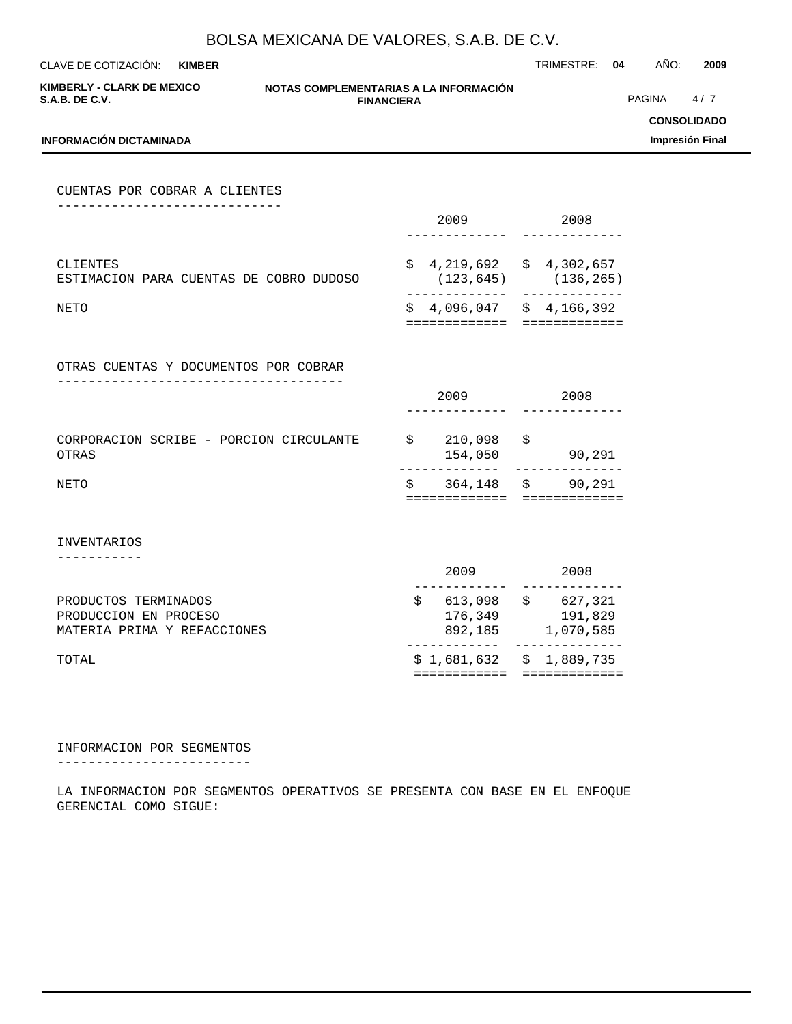CLAVE DE COTIZACIÓN: TRIMESTRE: **04** AÑO: **2009 KIMBER**

**KIMBERLY - CLARK DE MEXICO S.A.B. DE C.V.**

#### **NOTAS COMPLEMENTARIAS A LA INFORMACIÓN FINANCIERA**

------------- -------------

============= =============

============= =============

PAGINA 4/7

**CONSOLIDADO**

**Impresión Final**

## **INFORMACIÓN DICTAMINADA** CUENTAS POR COBRAR A CLIENTES ----------------------------- 2009 2008 ------------- ------------- CLIENTES \$ 4,219,692 \$ 4,302,657

ESTIMACION PARA CUENTAS DE COBRO DUDOSO (123,645) (136,265)

NETO SALLA SALLA SALLA SALLA SALLA SALLA SALLA SALLA SALLA SALLA SALLA SALLA SALLA SALLA SALLA SALLA SALLA SAL

OTRAS CUENTAS Y DOCUMENTOS POR COBRAR -------------------------------------

|                                                  | 2009               |   | 2008   |
|--------------------------------------------------|--------------------|---|--------|
| CORPORACION SCRIBE - PORCION CIRCULANTE<br>OTRAS | 210,098<br>154,050 | S | 90,291 |

NETO S 364,148 \$ 90,291

INVENTARIOS

-----------

| TOTAL                       |         | $$1,681,632 \t$1,889,735$ |
|-----------------------------|---------|---------------------------|
| MATERIA PRIMA Y REFACCIONES | 892,185 | 1,070,585                 |
| PRODUCCION EN PROCESO       | 176,349 | 191,829                   |
| PRODUCTOS TERMINADOS        | 613,098 | 627,321<br>S              |
|                             | 2009    | 2008                      |

INFORMACION POR SEGMENTOS

-------------------------

LA INFORMACION POR SEGMENTOS OPERATIVOS SE PRESENTA CON BASE EN EL ENFOQUE GERENCIAL COMO SIGUE: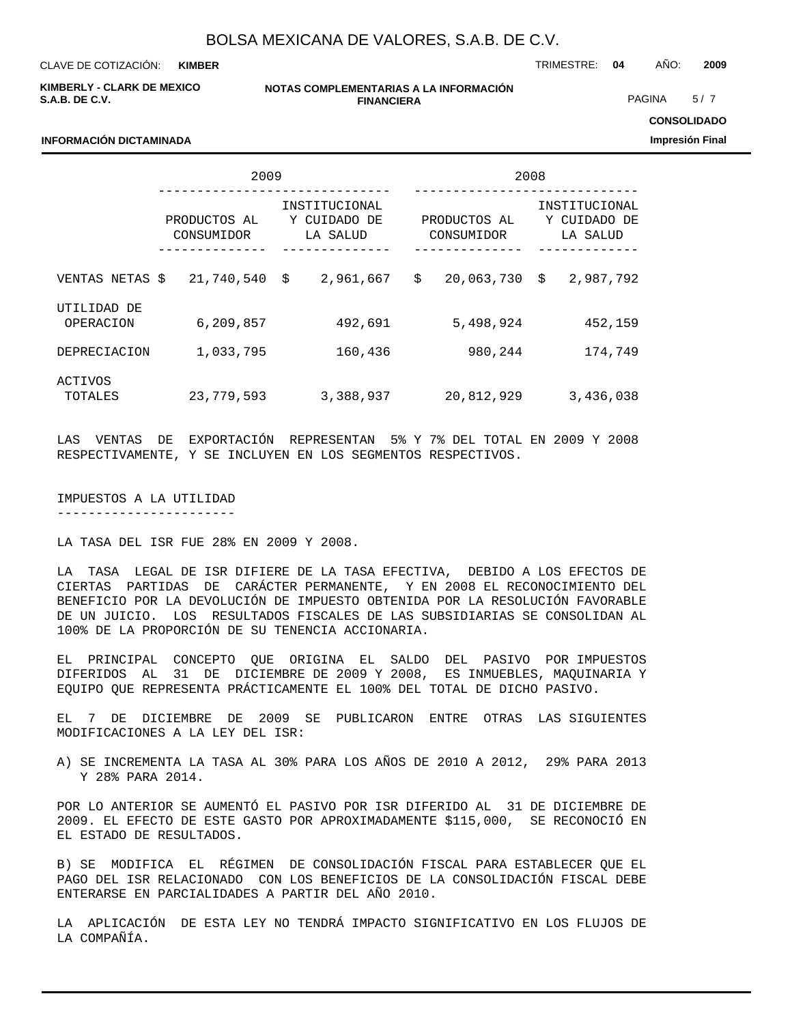**KIMBER**

CLAVE DE COTIZACIÓN: TRIMESTRE: **04** AÑO: **2009**

**KIMBERLY - CLARK DE MEXICO S.A.B. DE C.V.**

**INFORMACIÓN DICTAMINADA**

#### **NOTAS COMPLEMENTARIAS A LA INFORMACIÓN FINANCIERA**

PAGINA 5/7

**CONSOLIDADO**

**Impresión Final**

|                          | 2009                       |                                           | 2008             |                            |  |                                           |  |
|--------------------------|----------------------------|-------------------------------------------|------------------|----------------------------|--|-------------------------------------------|--|
|                          | PRODUCTOS AL<br>CONSUMIDOR | INSTITUCIONAL<br>Y CUIDADO DE<br>LA SALUD |                  | PRODUCTOS AL<br>CONSUMIDOR |  | INSTITUCIONAL<br>Y CUIDADO DE<br>LA SALUD |  |
|                          |                            |                                           |                  |                            |  |                                           |  |
| VENTAS NETAS \$          | 21,740,540                 | Š.<br>2,961,667                           | \$<br>20,063,730 | Ŝ.<br>2,987,792            |  |                                           |  |
| UTILIDAD DE<br>OPERACION | 6,209,857                  | 492,691                                   | 5,498,924        | 452,159                    |  |                                           |  |
| DEPRECIACION             | 1,033,795                  | 160,436                                   | 980,244          | 174,749                    |  |                                           |  |
| ACTIVOS<br>TOTALES       | 23,779,593                 | 3,388,937                                 | 20,812,929       | 3,436,038                  |  |                                           |  |

LAS VENTAS DE EXPORTACIÓN REPRESENTAN 5% Y 7% DEL TOTAL EN 2009 Y 2008 RESPECTIVAMENTE, Y SE INCLUYEN EN LOS SEGMENTOS RESPECTIVOS.

IMPUESTOS A LA UTILIDAD

-----------------------

LA TASA DEL ISR FUE 28% EN 2009 Y 2008.

LA TASA LEGAL DE ISR DIFIERE DE LA TASA EFECTIVA, DEBIDO A LOS EFECTOS DE CIERTAS PARTIDAS DE CARÁCTER PERMANENTE, Y EN 2008 EL RECONOCIMIENTO DEL BENEFICIO POR LA DEVOLUCIÓN DE IMPUESTO OBTENIDA POR LA RESOLUCIÓN FAVORABLE DE UN JUICIO. LOS RESULTADOS FISCALES DE LAS SUBSIDIARIAS SE CONSOLIDAN AL 100% DE LA PROPORCIÓN DE SU TENENCIA ACCIONARIA.

EL PRINCIPAL CONCEPTO QUE ORIGINA EL SALDO DEL PASIVO POR IMPUESTOS DIFERIDOS AL 31 DE DICIEMBRE DE 2009 Y 2008, ES INMUEBLES, MAQUINARIA Y EQUIPO QUE REPRESENTA PRÁCTICAMENTE EL 100% DEL TOTAL DE DICHO PASIVO.

EL 7 DE DICIEMBRE DE 2009 SE PUBLICARON ENTRE OTRAS LAS SIGUIENTES MODIFICACIONES A LA LEY DEL ISR:

A) SE INCREMENTA LA TASA AL 30% PARA LOS AÑOS DE 2010 A 2012, 29% PARA 2013 Y 28% PARA 2014.

POR LO ANTERIOR SE AUMENTÓ EL PASIVO POR ISR DIFERIDO AL 31 DE DICIEMBRE DE 2009. EL EFECTO DE ESTE GASTO POR APROXIMADAMENTE \$115,000, SE RECONOCIÓ EN EL ESTADO DE RESULTADOS.

B) SE MODIFICA EL RÉGIMEN DE CONSOLIDACIÓN FISCAL PARA ESTABLECER QUE EL PAGO DEL ISR RELACIONADO CON LOS BENEFICIOS DE LA CONSOLIDACIÓN FISCAL DEBE ENTERARSE EN PARCIALIDADES A PARTIR DEL AÑO 2010.

LA APLICACIÓN DE ESTA LEY NO TENDRÁ IMPACTO SIGNIFICATIVO EN LOS FLUJOS DE LA COMPAÑÍA.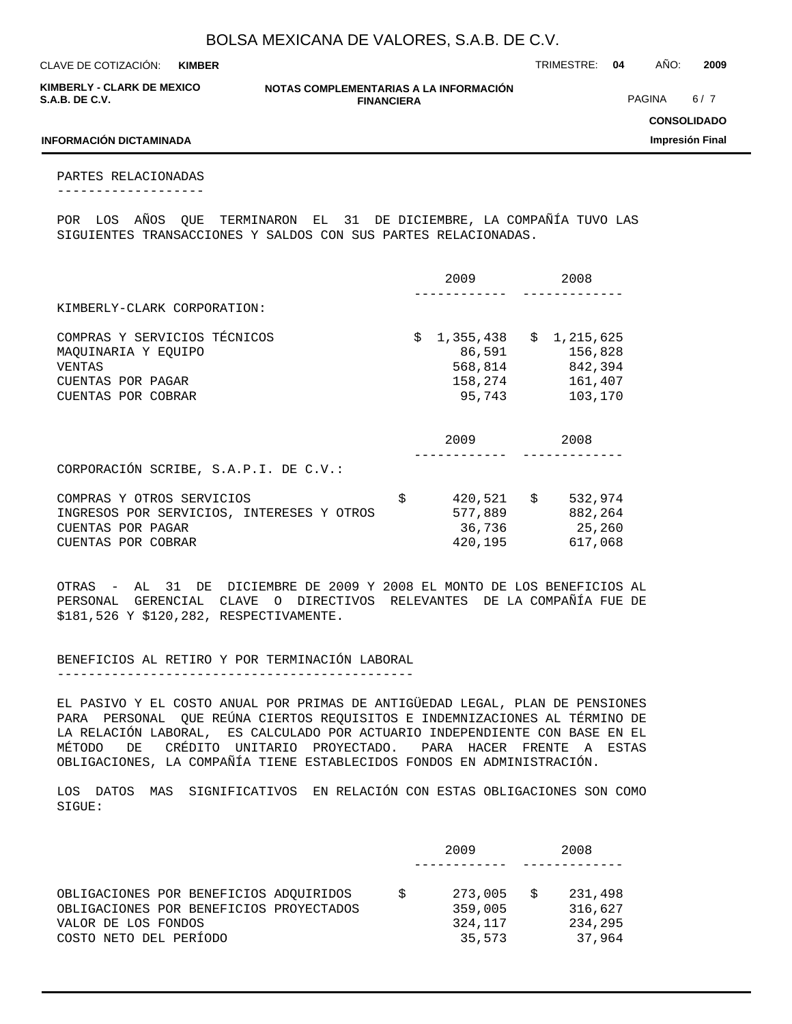**KIMBER**

CLAVE DE COTIZACIÓN: TRIMESTRE: **04** AÑO: **2009**

| <b>KIMBERLY - CLARK DE MEXICO</b> |  |
|-----------------------------------|--|
| S.A.B. DE C.V.                    |  |

**NOTAS COMPLEMENTARIAS A LA INFORMACIÓN FINANCIERA**

PAGINA 6/7

**CONSOLIDADO**

**Impresión Final**

#### **INFORMACIÓN DICTAMINADA**

PARTES RELACIONADAS -------------------

POR LOS AÑOS QUE TERMINARON EL 31 DE DICIEMBRE, LA COMPAÑÍA TUVO LAS SIGUIENTES TRANSACCIONES Y SALDOS CON SUS PARTES RELACIONADAS.

|                                                                                                                   | 2009                                                      | 2008                                                    |
|-------------------------------------------------------------------------------------------------------------------|-----------------------------------------------------------|---------------------------------------------------------|
| KIMBERLY-CLARK CORPORATION:                                                                                       |                                                           |                                                         |
| COMPRAS Y SERVICIOS TÉCNICOS<br>MAOUINARIA Y EOUIPO<br>VENTAS<br>CUENTAS POR PAGAR<br>CUENTAS POR COBRAR          | \$<br>1,355,438<br>86,591<br>568,814<br>158,274<br>95,743 | \$1,215,625<br>156,828<br>842,394<br>161,407<br>103,170 |
|                                                                                                                   | 2009                                                      | 2008                                                    |
| CORPORACIÓN SCRIBE, S.A.P.I. DE C.V.:                                                                             |                                                           |                                                         |
| COMPRAS Y OTROS SERVICIOS<br>INGRESOS POR SERVICIOS, INTERESES Y OTROS<br>CUENTAS POR PAGAR<br>CUENTAS POR COBRAR | \$<br>$420,521$ \$<br>577,889<br>36,736<br>420,195        | 532,974<br>882,264<br>25,260<br>617,068                 |

OTRAS - AL 31 DE DICIEMBRE DE 2009 Y 2008 EL MONTO DE LOS BENEFICIOS AL PERSONAL GERENCIAL CLAVE O DIRECTIVOS RELEVANTES DE LA COMPAÑÍA FUE DE \$181,526 Y \$120,282, RESPECTIVAMENTE.

BENEFICIOS AL RETIRO Y POR TERMINACIÓN LABORAL ----------------------------------------------

EL PASIVO Y EL COSTO ANUAL POR PRIMAS DE ANTIGÜEDAD LEGAL, PLAN DE PENSIONES PARA PERSONAL QUE REÚNA CIERTOS REQUISITOS E INDEMNIZACIONES AL TÉRMINO DE LA RELACIÓN LABORAL, ES CALCULADO POR ACTUARIO INDEPENDIENTE CON BASE EN EL MÉTODO DE CRÉDITO UNITARIO PROYECTADO. PARA HACER FRENTE A ESTAS OBLIGACIONES, LA COMPAÑÍA TIENE ESTABLECIDOS FONDOS EN ADMINISTRACIÓN.

LOS DATOS MAS SIGNIFICATIVOS EN RELACIÓN CON ESTAS OBLIGACIONES SON COMO SIGUE:

|                                                                                                                                    | 2009 |                                         | 2008                                    |
|------------------------------------------------------------------------------------------------------------------------------------|------|-----------------------------------------|-----------------------------------------|
|                                                                                                                                    |      |                                         |                                         |
| OBLIGACIONES POR BENEFICIOS ADOUIRIDOS<br>OBLIGACIONES POR BENEFICIOS PROYECTADOS<br>VALOR DE LOS FONDOS<br>COSTO NETO DEL PERÍODO |      | 273,005<br>359,005<br>324,117<br>35,573 | 231,498<br>316,627<br>234,295<br>37,964 |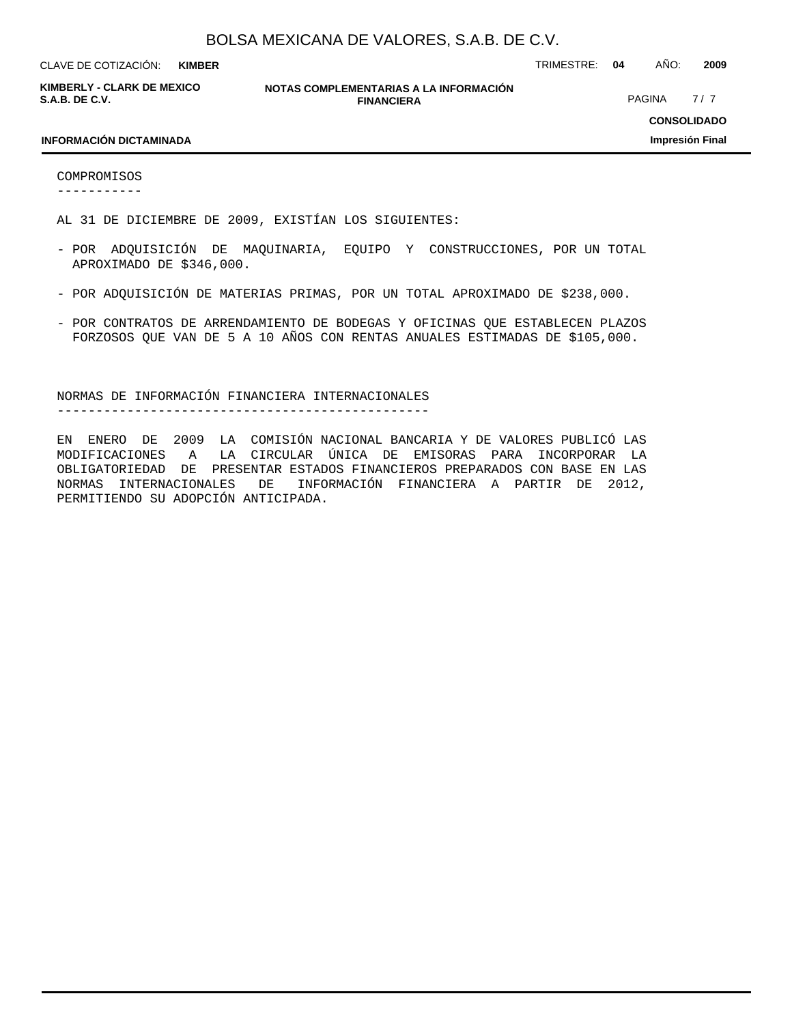**KIMBER**

CLAVE DE COTIZACIÓN: TRIMESTRE: **04** AÑO: **2009**

**KIMBERLY - CLARK DE MEXICO S.A.B. DE C.V.**

**NOTAS COMPLEMENTARIAS A LA INFORMACIÓN FINANCIERA**

PAGINA 7/7

#### **INFORMACIÓN DICTAMINADA**

**CONSOLIDADO Impresión Final**

COMPROMISOS -----------

AL 31 DE DICIEMBRE DE 2009, EXISTÍAN LOS SIGUIENTES:

- POR ADQUISICIÓN DE MAQUINARIA, EQUIPO Y CONSTRUCCIONES, POR UN TOTAL APROXIMADO DE \$346,000.
- POR ADQUISICIÓN DE MATERIAS PRIMAS, POR UN TOTAL APROXIMADO DE \$238,000.
- POR CONTRATOS DE ARRENDAMIENTO DE BODEGAS Y OFICINAS QUE ESTABLECEN PLAZOS FORZOSOS QUE VAN DE 5 A 10 AÑOS CON RENTAS ANUALES ESTIMADAS DE \$105,000.

NORMAS DE INFORMACIÓN FINANCIERA INTERNACIONALES

------------------------------------------------

EN ENERO DE 2009 LA COMISIÓN NACIONAL BANCARIA Y DE VALORES PUBLICÓ LAS MODIFICACIONES A LA CIRCULAR ÚNICA DE EMISORAS PARA INCORPORAR LA OBLIGATORIEDAD DE PRESENTAR ESTADOS FINANCIEROS PREPARADOS CON BASE EN LAS NORMAS INTERNACIONALES DE INFORMACIÓN FINANCIERA A PARTIR DE 2012, PERMITIENDO SU ADOPCIÓN ANTICIPADA.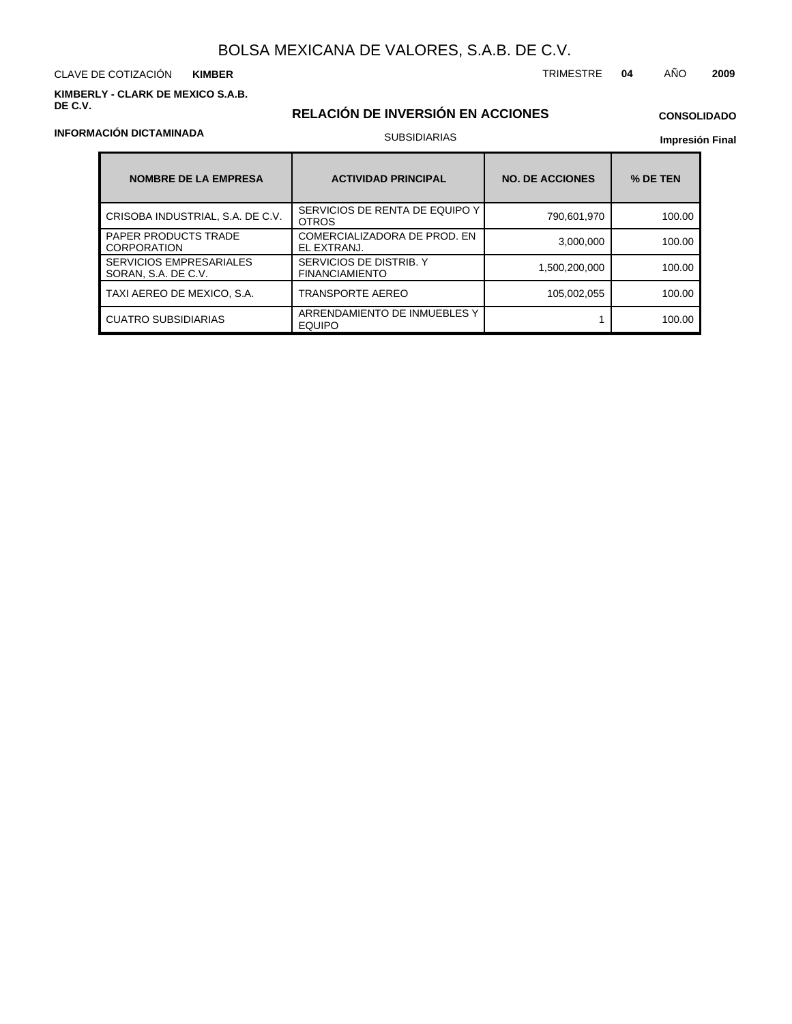CLAVE DE COTIZACIÓN TRIMESTRE **04** AÑO **2009 KIMBER**

**KIMBERLY - CLARK DE MEXICO S.A.B. DE C.V.**

### **RELACIÓN DE INVERSIÓN EN ACCIONES** SUBSIDIARIAS

### **CONSOLIDADO**

**Impresión Final**

| <b>NOMBRE DE LA EMPRESA</b>                           | <b>ACTIVIDAD PRINCIPAL</b>                       | <b>NO. DE ACCIONES</b> | % DE TEN |
|-------------------------------------------------------|--------------------------------------------------|------------------------|----------|
| CRISOBA INDUSTRIAL, S.A. DE C.V.                      | SERVICIOS DE RENTA DE EQUIPO Y<br><b>OTROS</b>   | 790,601,970            | 100.00   |
| <b>PAPER PRODUCTS TRADE</b><br><b>CORPORATION</b>     | COMERCIALIZADORA DE PROD. EN<br>EL EXTRANJ.      | 3,000,000              | 100.00   |
| <b>SERVICIOS EMPRESARIALES</b><br>SORAN, S.A. DE C.V. | SERVICIOS DE DISTRIB. Y<br><b>FINANCIAMIENTO</b> | 1,500,200,000          | 100.00   |
| TAXI AEREO DE MEXICO, S.A.                            | TRANSPORTE AEREO                                 | 105,002,055            | 100.00   |
| <b>CUATRO SUBSIDIARIAS</b>                            | ARRENDAMIENTO DE INMUEBLES Y<br><b>EQUIPO</b>    |                        | 100.00   |

#### **INFORMACIÓN DICTAMINADA**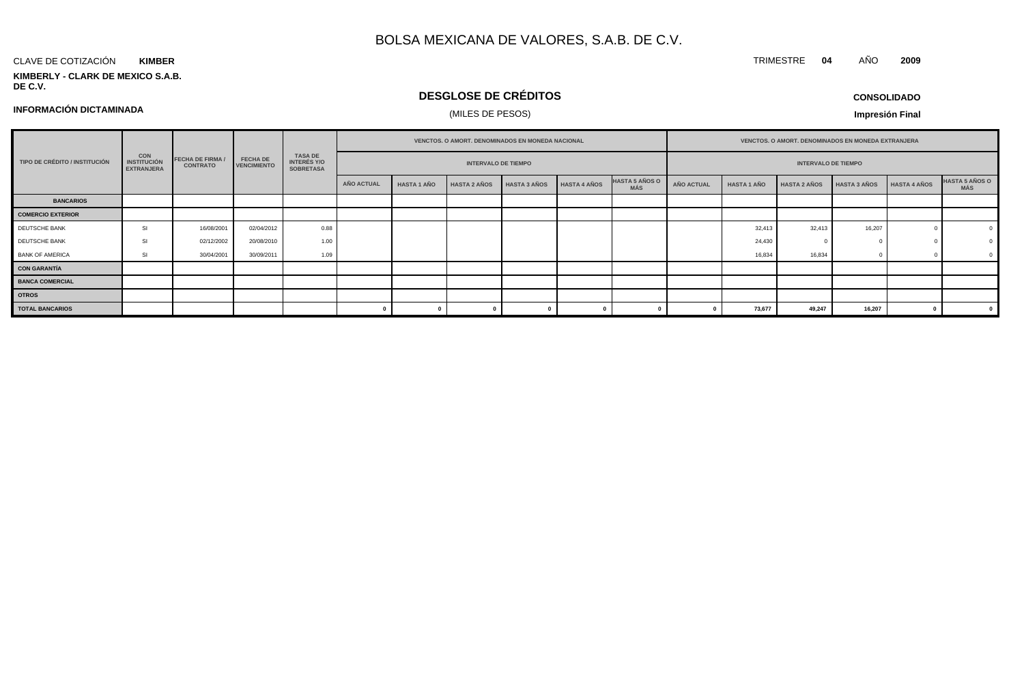#### CLAVE DE COTIZACIÓN **KIMBER**

**KIMBERLY - CLARK DE MEXICO S.A.B. DE C.V.**

### **DESGLOSE DE CRÉDITOS**

**CONSOLIDADO**

TRIMESTRE **04** AÑO **2009**

**INFORMACIÓN DICTAMINADA**

### (MILES DE PESOS)

|                               |                                                       |                                            |                                       |                                                          | VENCTOS. O AMORT. DENOMINADOS EN MONEDA NACIONAL |                    |                            |                     |                     | VENCTOS. O AMORT. DENOMINADOS EN MONEDA EXTRANJERA |                   |                    |                            |                     |                     |                              |
|-------------------------------|-------------------------------------------------------|--------------------------------------------|---------------------------------------|----------------------------------------------------------|--------------------------------------------------|--------------------|----------------------------|---------------------|---------------------|----------------------------------------------------|-------------------|--------------------|----------------------------|---------------------|---------------------|------------------------------|
| TIPO DE CRÉDITO / INSTITUCIÓN | <b>CON</b><br><b>INSTITUCIÓN</b><br><b>EXTRANJERA</b> | <b>FECHA DE FIRMA /</b><br><b>CONTRATO</b> | <b>FECHA DE</b><br><b>VENCIMIENTO</b> | <b>TASA DE</b><br><b>INTERÉS Y/O</b><br><b>SOBRETASA</b> |                                                  |                    | <b>INTERVALO DE TIEMPO</b> |                     |                     |                                                    |                   |                    | <b>INTERVALO DE TIEMPO</b> |                     |                     |                              |
|                               |                                                       |                                            |                                       |                                                          | AÑO ACTUAL                                       | <b>HASTA 1 AÑO</b> | <b>HASTA 2 AÑOS</b>        | <b>HASTA 3 AÑOS</b> | <b>HASTA 4 AÑOS</b> | <b>HASTA 5 AÑOS O</b><br><b>MÁS</b>                | <b>AÑO ACTUAL</b> | <b>HASTA 1 AÑO</b> | <b>HASTA 2 AÑOS</b>        | <b>HASTA 3 AÑOS</b> | <b>HASTA 4 AÑOS</b> | <b>HASTA 5 AÑOS O</b><br>MÁS |
| <b>BANCARIOS</b>              |                                                       |                                            |                                       |                                                          |                                                  |                    |                            |                     |                     |                                                    |                   |                    |                            |                     |                     |                              |
| <b>COMERCIO EXTERIOR</b>      |                                                       |                                            |                                       |                                                          |                                                  |                    |                            |                     |                     |                                                    |                   |                    |                            |                     |                     |                              |
| DEUTSCHE BANK                 | S                                                     | 16/08/2001                                 | 02/04/2012                            | 0.88                                                     |                                                  |                    |                            |                     |                     |                                                    |                   | 32,413             | 32,413                     | 16,207              |                     |                              |
| DEUTSCHE BANK                 | <b>SI</b>                                             | 02/12/2002                                 | 20/08/2010                            | 1.00                                                     |                                                  |                    |                            |                     |                     |                                                    |                   | 24,430             |                            |                     |                     |                              |
| <b>BANK OF AMERICA</b>        | <b>SI</b>                                             | 30/04/2001                                 | 30/09/2011                            | 1.09                                                     |                                                  |                    |                            |                     |                     |                                                    |                   | 16,834             | 16,834                     |                     |                     |                              |
| <b>CON GARANTÍA</b>           |                                                       |                                            |                                       |                                                          |                                                  |                    |                            |                     |                     |                                                    |                   |                    |                            |                     |                     |                              |
| <b>BANCA COMERCIAL</b>        |                                                       |                                            |                                       |                                                          |                                                  |                    |                            |                     |                     |                                                    |                   |                    |                            |                     |                     |                              |
| <b>OTROS</b>                  |                                                       |                                            |                                       |                                                          |                                                  |                    |                            |                     |                     |                                                    |                   |                    |                            |                     |                     |                              |
| <b>TOTAL BANCARIOS</b>        |                                                       |                                            |                                       |                                                          |                                                  |                    |                            |                     |                     |                                                    |                   | 73,677             | 49,247                     | 16,207              |                     |                              |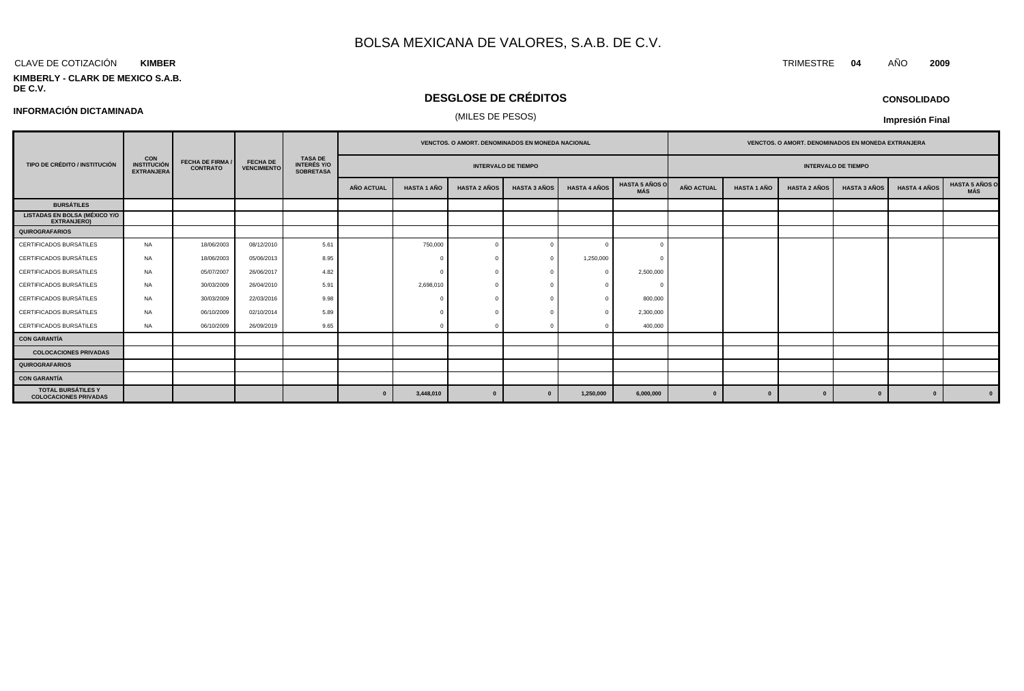#### CLAVE DE COTIZACIÓN TRIMESTRE **04** AÑO **2009 KIMBER**

#### **KIMBERLY - CLARK DE MEXICO S.A.B. DE C.V.**

### **DESGLOSE DE CRÉDITOS**

## (MILES DE PESOS) **INFORMACIÓN DICTAMINADA**

**CONSOLIDADO**

|                                                            |                                                       |                                            |                                       |                                                          |                   |                    |                     | VENCTOS. O AMORT. DENOMINADOS EN MONEDA NACIONAL |                     |                              | VENCTOS. O AMORT. DENOMINADOS EN MONEDA EXTRANJERA |                    |                     |                     |                     |                              |
|------------------------------------------------------------|-------------------------------------------------------|--------------------------------------------|---------------------------------------|----------------------------------------------------------|-------------------|--------------------|---------------------|--------------------------------------------------|---------------------|------------------------------|----------------------------------------------------|--------------------|---------------------|---------------------|---------------------|------------------------------|
| TIPO DE CRÉDITO / INSTITUCIÓN                              | <b>CON</b><br><b>INSTITUCIÓN</b><br><b>EXTRANJERA</b> | <b>FECHA DE FIRMA /</b><br><b>CONTRATO</b> | <b>FECHA DE</b><br><b>VENCIMIENTO</b> | <b>TASA DE</b><br><b>INTERÉS Y/O</b><br><b>SOBRETASA</b> |                   |                    |                     | <b>INTERVALO DE TIEMPO</b>                       |                     |                              | <b>INTERVALO DE TIEMPO</b>                         |                    |                     |                     |                     |                              |
|                                                            |                                                       |                                            |                                       |                                                          | <b>AÑO ACTUAL</b> | <b>HASTA 1 AÑO</b> | <b>HASTA 2 AÑOS</b> | <b>HASTA 3 AÑOS</b>                              | <b>HASTA 4 AÑOS</b> | <b>HASTA 5 AÑOS O</b><br>MÁS | <b>AÑO ACTUAL</b>                                  | <b>HASTA 1 AÑO</b> | <b>HASTA 2 AÑOS</b> | <b>HASTA 3 AÑOS</b> | <b>HASTA 4 AÑOS</b> | <b>HASTA 5 AÑOS O</b><br>MÁS |
| <b>BURSÁTILES</b>                                          |                                                       |                                            |                                       |                                                          |                   |                    |                     |                                                  |                     |                              |                                                    |                    |                     |                     |                     |                              |
| <b>LISTADAS EN BOLSA (MÉXICO Y/O</b><br><b>EXTRANJERO)</b> |                                                       |                                            |                                       |                                                          |                   |                    |                     |                                                  |                     |                              |                                                    |                    |                     |                     |                     |                              |
| <b>QUIROGRAFARIOS</b>                                      |                                                       |                                            |                                       |                                                          |                   |                    |                     |                                                  |                     |                              |                                                    |                    |                     |                     |                     |                              |
| CERTIFICADOS BURSÁTILES                                    | <b>NA</b>                                             | 18/06/2003                                 | 08/12/2010                            | 5.61                                                     |                   | 750,000            |                     |                                                  | $\cap$              |                              |                                                    |                    |                     |                     |                     |                              |
| CERTIFICADOS BURSÁTILES                                    | <b>NA</b>                                             | 18/06/2003                                 | 05/06/2013                            | 8.95                                                     |                   |                    |                     |                                                  | 1,250,000           |                              |                                                    |                    |                     |                     |                     |                              |
| CERTIFICADOS BURSÁTILES                                    | <b>NA</b>                                             | 05/07/2007                                 | 26/06/2017                            | 4.82                                                     |                   | $\Omega$           |                     |                                                  | $\Omega$            | 2,500,000                    |                                                    |                    |                     |                     |                     |                              |
| CERTIFICADOS BURSÁTILES                                    | <b>NA</b>                                             | 30/03/2009                                 | 26/04/2010                            | 5.91                                                     |                   | 2,698,010          |                     |                                                  |                     |                              |                                                    |                    |                     |                     |                     |                              |
| <b>CERTIFICADOS BURSÁTILES</b>                             | <b>NA</b>                                             | 30/03/2009                                 | 22/03/2016                            | 9.98                                                     |                   |                    |                     |                                                  |                     | 800,000                      |                                                    |                    |                     |                     |                     |                              |
| CERTIFICADOS BURSÁTILES                                    | <b>NA</b>                                             | 06/10/2009                                 | 02/10/2014                            | 5.89                                                     |                   |                    |                     |                                                  |                     | 2,300,000                    |                                                    |                    |                     |                     |                     |                              |
| CERTIFICADOS BURSÁTILES                                    | <b>NA</b>                                             | 06/10/2009                                 | 26/09/2019                            | 9.65                                                     |                   |                    |                     |                                                  |                     | 400,000                      |                                                    |                    |                     |                     |                     |                              |
| <b>CON GARANTÍA</b>                                        |                                                       |                                            |                                       |                                                          |                   |                    |                     |                                                  |                     |                              |                                                    |                    |                     |                     |                     |                              |
| <b>COLOCACIONES PRIVADAS</b>                               |                                                       |                                            |                                       |                                                          |                   |                    |                     |                                                  |                     |                              |                                                    |                    |                     |                     |                     |                              |
| <b>QUIROGRAFARIOS</b>                                      |                                                       |                                            |                                       |                                                          |                   |                    |                     |                                                  |                     |                              |                                                    |                    |                     |                     |                     |                              |
| <b>CON GARANTÍA</b>                                        |                                                       |                                            |                                       |                                                          |                   |                    |                     |                                                  |                     |                              |                                                    |                    |                     |                     |                     |                              |
| <b>TOTAL BURSÁTILES Y</b><br><b>COLOCACIONES PRIVADAS</b>  |                                                       |                                            |                                       |                                                          | $\mathbf{0}$      | 3,448,010          | $\mathbf{0}$        |                                                  | 1,250,000           | 6,000,000                    | $\bf{0}$                                           | $\bf{0}$           | $\mathbf{0}$        | $\Omega$            | $\mathbf{0}$        |                              |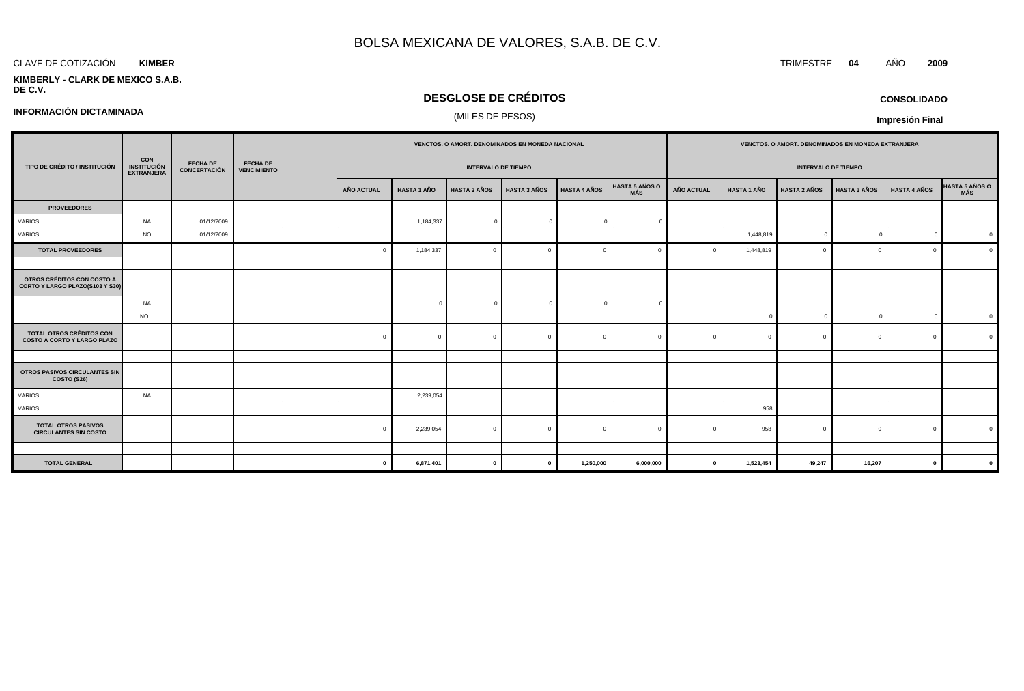#### CLAVE DE COTIZACIÓN TRIMESTRE **04** AÑO **2009 KIMBER**

**INFORMACIÓN DICTAMINADA**

#### **KIMBERLY - CLARK DE MEXICO S.A.B. DE C.V.**

### **DESGLOSE DE CRÉDITOS**

### (MILES DE PESOS)

**CONSOLIDADO**

|                                                                       |                                                 |                                 |                                       |                   |                            |                     | VENCTOS. O AMORT. DENOMINADOS EN MONEDA NACIONAL |                     |                              |                            |                    | VENCTOS. O AMORT. DENOMINADOS EN MONEDA EXTRANJERA |                     |                     |                |
|-----------------------------------------------------------------------|-------------------------------------------------|---------------------------------|---------------------------------------|-------------------|----------------------------|---------------------|--------------------------------------------------|---------------------|------------------------------|----------------------------|--------------------|----------------------------------------------------|---------------------|---------------------|----------------|
| TIPO DE CRÉDITO / INSTITUCIÓN                                         | <b>CON<br/>INSTITUCIÓN</b><br><b>EXTRANJERA</b> | <b>FECHA DE</b><br>CONCERTACIÓN | <b>FECHA DE</b><br><b>VENCIMIENTO</b> |                   | <b>INTERVALO DE TIEMPO</b> |                     |                                                  |                     |                              | <b>INTERVALO DE TIEMPO</b> |                    |                                                    |                     |                     |                |
|                                                                       |                                                 |                                 |                                       | <b>AÑO ACTUAL</b> | <b>HASTA 1 AÑO</b>         | <b>HASTA 2 AÑOS</b> | <b>HASTA 3 AÑOS</b>                              | <b>HASTA 4 AÑOS</b> | <b>HASTA 5 AÑOS O</b><br>MÁS | <b>AÑO ACTUAL</b>          | <b>HASTA 1 AÑO</b> | <b>HASTA 2 AÑOS</b>                                | <b>HASTA 3 AÑOS</b> | <b>HASTA 4 AÑOS</b> | HASTA 5 AÑOS O |
| <b>PROVEEDORES</b>                                                    |                                                 |                                 |                                       |                   |                            |                     |                                                  |                     |                              |                            |                    |                                                    |                     |                     |                |
| VARIOS                                                                | <b>NA</b>                                       | 01/12/2009                      |                                       |                   | 1,184,337                  | $\overline{0}$      |                                                  | $\Omega$            |                              |                            |                    |                                                    |                     |                     |                |
| VARIOS                                                                | <b>NO</b>                                       | 01/12/2009                      |                                       |                   |                            |                     |                                                  |                     |                              |                            | 1,448,819          | $\mathbf 0$                                        | $\overline{0}$      | $\overline{0}$      | $\overline{0}$ |
| <b>TOTAL PROVEEDORES</b>                                              |                                                 |                                 |                                       |                   | 1,184,337                  | $\overline{0}$      |                                                  | $\Omega$            |                              |                            | 1,448,819          |                                                    | $\Omega$            | $\Omega$            | $\Omega$       |
|                                                                       |                                                 |                                 |                                       |                   |                            |                     |                                                  |                     |                              |                            |                    |                                                    |                     |                     |                |
| OTROS CRÉDITOS CON COSTO A<br>CORTO Y LARGO PLAZO(S103 Y S30)         |                                                 |                                 |                                       |                   |                            |                     |                                                  |                     |                              |                            |                    |                                                    |                     |                     |                |
|                                                                       | <b>NA</b>                                       |                                 |                                       |                   | $\Omega$                   | $\Omega$            | $\Omega$                                         | $\Omega$            |                              |                            |                    |                                                    |                     |                     |                |
|                                                                       | <b>NO</b>                                       |                                 |                                       |                   |                            |                     |                                                  |                     |                              |                            | $\Omega$           |                                                    | $\Omega$            | $\Omega$            | $\overline{0}$ |
| <b>TOTAL OTROS CRÉDITOS CON</b><br><b>COSTO A CORTO Y LARGO PLAZO</b> |                                                 |                                 |                                       | $\Omega$          | $\Omega$                   | $\Omega$            |                                                  | $\mathbf{0}$        | $\sqrt{ }$                   |                            | $\Omega$           |                                                    | $\Omega$            | $\mathbf{0}$        |                |
|                                                                       |                                                 |                                 |                                       |                   |                            |                     |                                                  |                     |                              |                            |                    |                                                    |                     |                     |                |
| OTROS PASIVOS CIRCULANTES SIN<br>COSTO (S26)                          |                                                 |                                 |                                       |                   |                            |                     |                                                  |                     |                              |                            |                    |                                                    |                     |                     |                |
| VARIOS                                                                | <b>NA</b>                                       |                                 |                                       |                   | 2,239,054                  |                     |                                                  |                     |                              |                            |                    |                                                    |                     |                     |                |
| VARIOS                                                                |                                                 |                                 |                                       |                   |                            |                     |                                                  |                     |                              |                            | 958                |                                                    |                     |                     |                |
| <b>TOTAL OTROS PASIVOS</b><br><b>CIRCULANTES SIN COSTO</b>            |                                                 |                                 |                                       |                   | 2,239,054                  | $\Omega$            |                                                  | $\mathbf{0}$        | $\Omega$                     |                            | 958                |                                                    | $\Omega$            | $\mathbf{0}$        | $\Omega$       |
|                                                                       |                                                 |                                 |                                       |                   |                            |                     |                                                  |                     |                              |                            |                    |                                                    |                     |                     |                |
| <b>TOTAL GENERAL</b>                                                  |                                                 |                                 |                                       | $\Omega$          | 6,871,401                  | $\mathbf{0}$        |                                                  | 1,250,000           | 6,000,000                    | $\mathbf{0}$               | 1,523,454          | 49,247                                             | 16,207              | $\mathbf{0}$        | $\mathbf{0}$   |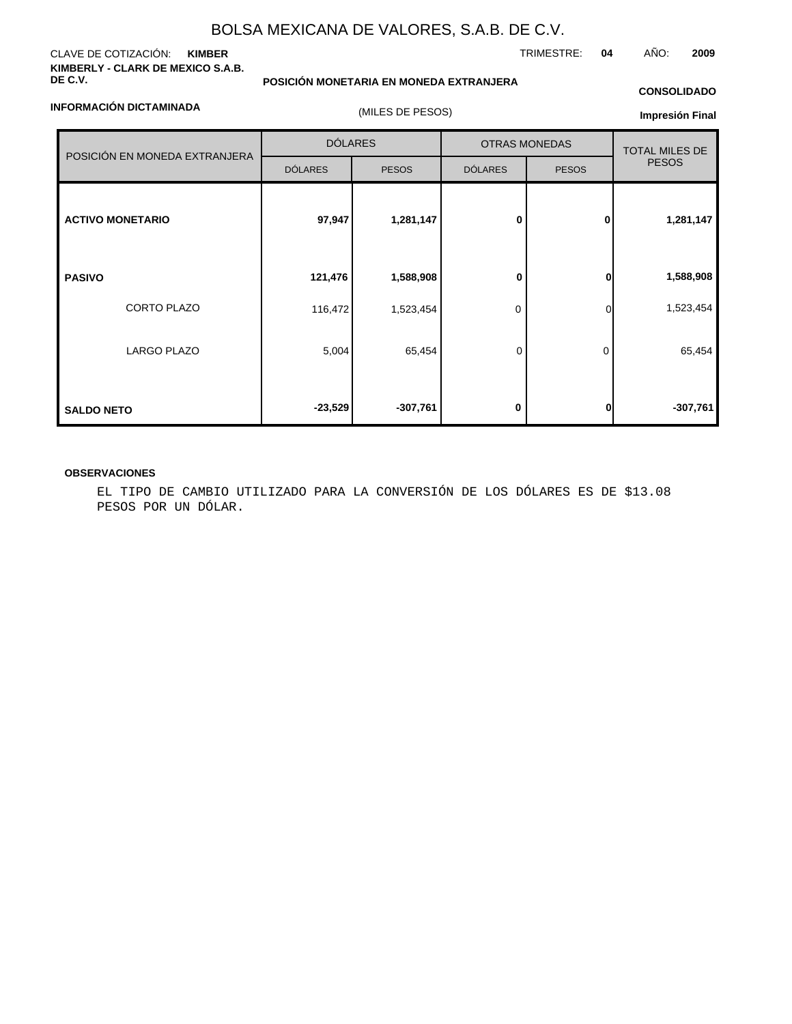#### CLAVE DE COTIZACIÓN: **KIMBER KIMBERLY - CLARK DE MEXICO S.A.B. DE C.V.**

**INFORMACIÓN DICTAMINADA**

### **POSICIÓN MONETARIA EN MONEDA EXTRANJERA**

### **CONSOLIDADO**

| NFUKWAUIUN DIUTAWINADA        | (MILES DE PESOS) |              |                      |                       |              |  |  |
|-------------------------------|------------------|--------------|----------------------|-----------------------|--------------|--|--|
|                               | <b>DÓLARES</b>   |              | <b>OTRAS MONEDAS</b> | <b>TOTAL MILES DE</b> |              |  |  |
| POSICIÓN EN MONEDA EXTRANJERA | <b>DÓLARES</b>   | <b>PESOS</b> | <b>DÓLARES</b>       | <b>PESOS</b>          | <b>PESOS</b> |  |  |
| <b>ACTIVO MONETARIO</b>       | 97,947           | 1,281,147    | 0                    | 0                     | 1,281,147    |  |  |
| <b>PASIVO</b>                 | 121,476          | 1,588,908    | 0                    | ŋ                     | 1,588,908    |  |  |
| <b>CORTO PLAZO</b>            | 116,472          | 1,523,454    | 0                    | $\Omega$              | 1,523,454    |  |  |
| LARGO PLAZO                   | 5,004            | 65,454       | $\mathbf 0$          | 0                     | 65,454       |  |  |
| <b>SALDO NETO</b>             | $-23,529$        | $-307,761$   | 0                    |                       | $-307,761$   |  |  |

#### **OBSERVACIONES**

EL TIPO DE CAMBIO UTILIZADO PARA LA CONVERSIÓN DE LOS DÓLARES ES DE \$13.08 PESOS POR UN DÓLAR.

TRIMESTRE: **04** AÑO: **2009**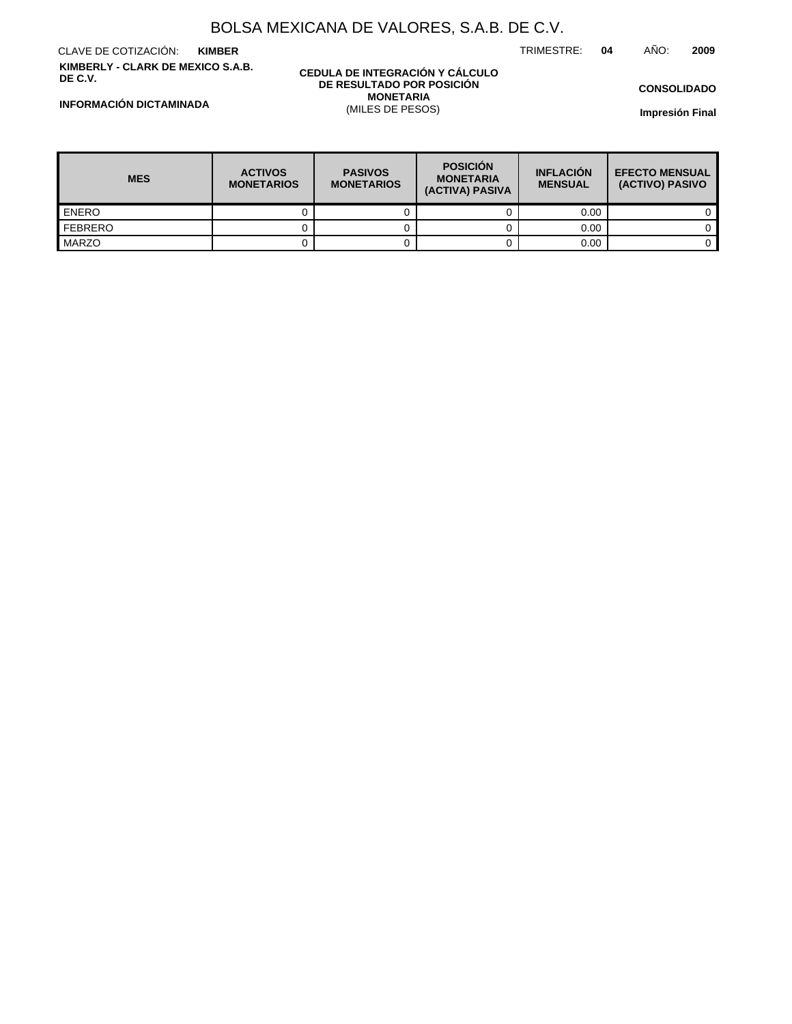TRIMESTRE: **04** AÑO: **2009**

CLAVE DE COTIZACIÓN: **KIMBER KIMBERLY - CLARK DE MEXICO S.A.B. DE C.V.**

#### **CEDULA DE INTEGRACIÓN Y CÁLCULO DE RESULTADO POR POSICIÓN MONETARIA** (MILES DE PESOS)

**CONSOLIDADO**

**Impresión Final**

**INFORMACIÓN DICTAMINADA**

| <b>MES</b>       | <b>ACTIVOS</b><br><b>MONETARIOS</b> | <b>PASIVOS</b><br><b>MONETARIOS</b> | <b>POSICIÓN</b><br><b>MONETARIA</b><br>(ACTIVA) PASIVA | <b>INFLACIÓN</b><br><b>MENSUAL</b> | <b>EFECTO MENSUAL</b><br>(ACTIVO) PASIVO |
|------------------|-------------------------------------|-------------------------------------|--------------------------------------------------------|------------------------------------|------------------------------------------|
| <b>LENERO</b>    |                                     |                                     |                                                        | 0.00                               |                                          |
| <b>I</b> FEBRERO |                                     |                                     |                                                        | 0.00                               |                                          |
| MARZO            |                                     |                                     |                                                        | 0.00                               |                                          |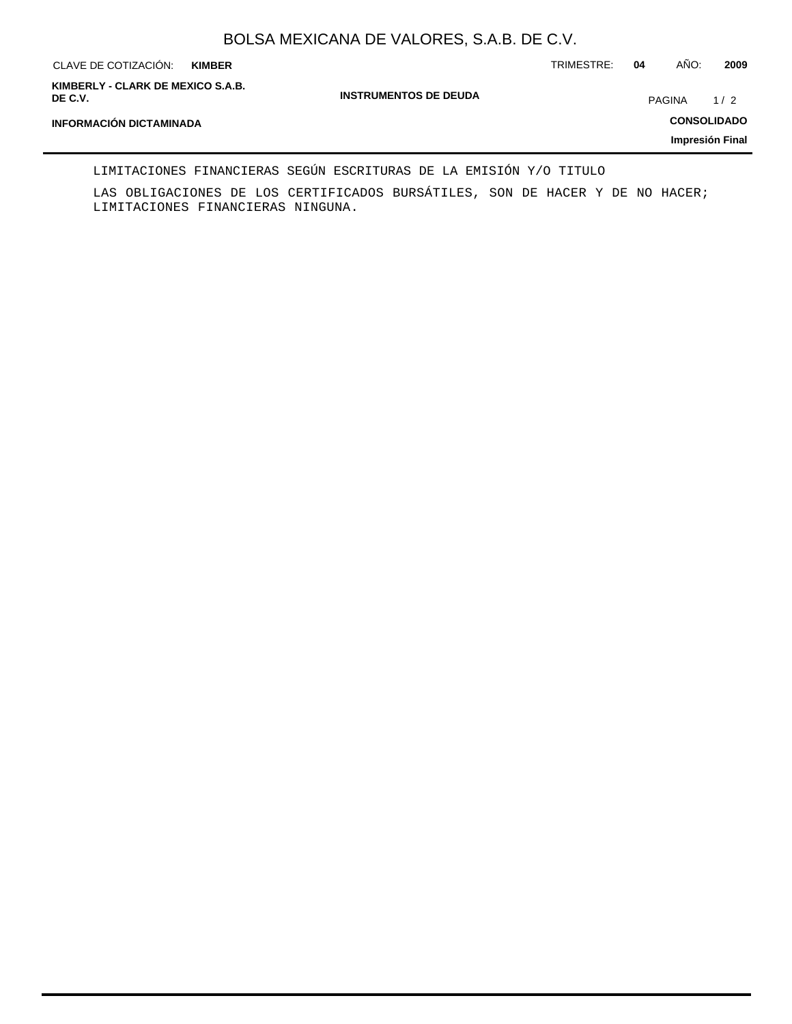| CLAVE DE COTIZACIÓN:<br><b>KIMBER</b>        |                              | TRIMESTRE: | 04            | AÑO: | 2009               |
|----------------------------------------------|------------------------------|------------|---------------|------|--------------------|
| KIMBERLY - CLARK DE MEXICO S.A.B.<br>DE C.V. | <b>INSTRUMENTOS DE DEUDA</b> |            | <b>PAGINA</b> |      | 1/2                |
| <b>INFORMACIÓN DICTAMINADA</b>               |                              |            |               |      | <b>CONSOLIDADO</b> |
|                                              |                              |            |               |      | Impresión Final    |

LIMITACIONES FINANCIERAS SEGÚN ESCRITURAS DE LA EMISIÓN Y/O TITULO

LAS OBLIGACIONES DE LOS CERTIFICADOS BURSÁTILES, SON DE HACER Y DE NO HACER; LIMITACIONES FINANCIERAS NINGUNA.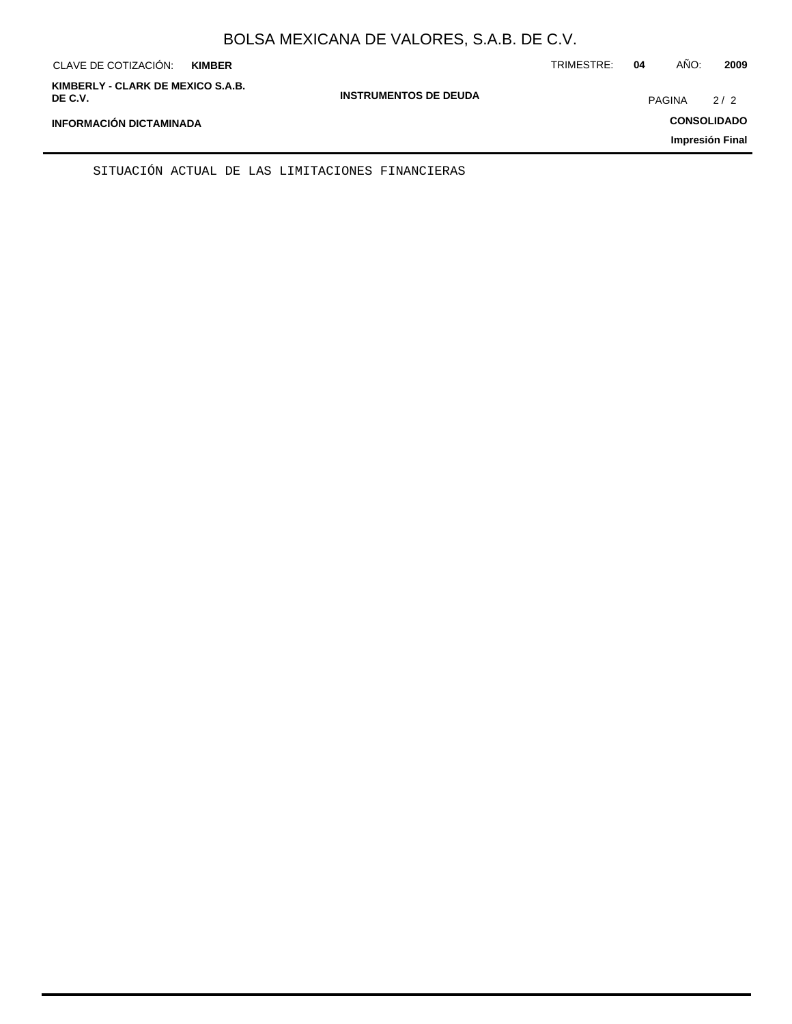| CLAVE DE COTIZACIÓN:                         | <b>KIMBER</b> |                              | TRIMESTRE: | 04            | AÑO: | 2009               |
|----------------------------------------------|---------------|------------------------------|------------|---------------|------|--------------------|
| KIMBERLY - CLARK DE MEXICO S.A.B.<br>DE C.V. |               | <b>INSTRUMENTOS DE DEUDA</b> |            | <b>PAGINA</b> |      | 2/2                |
| <b>INFORMACIÓN DICTAMINADA</b>               |               |                              |            |               |      | <b>CONSOLIDADO</b> |
|                                              |               |                              |            |               |      | Impresión Final    |

SITUACIÓN ACTUAL DE LAS LIMITACIONES FINANCIERAS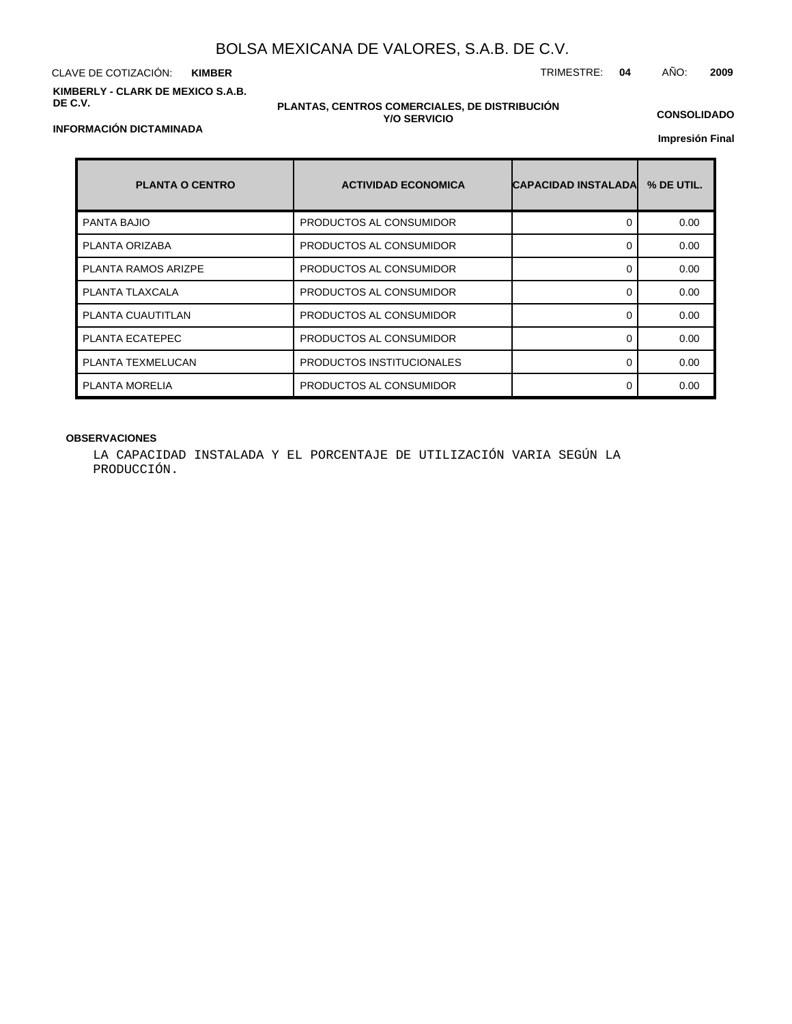CLAVE DE COTIZACIÓN: TRIMESTRE: **04** AÑO: **2009 KIMBER KIMBERLY - CLARK DE MEXICO S.A.B. DE C.V.**

#### **PLANTAS, CENTROS COMERCIALES, DE DISTRIBUCIÓN Y/O SERVICIO**

**CONSOLIDADO**

**Impresión Final**

| <b>PLANTA O CENTRO</b>     | <b>ACTIVIDAD ECONOMICA</b> | <b>CAPACIDAD INSTALADA</b> | % DE UTIL. |
|----------------------------|----------------------------|----------------------------|------------|
| <b>PANTA BAJIO</b>         | PRODUCTOS AL CONSUMIDOR    | 0                          | 0.00       |
| PLANTA ORIZABA             | PRODUCTOS AL CONSUMIDOR    | ∩                          | 0.00       |
| <b>PLANTA RAMOS ARIZPE</b> | PRODUCTOS AL CONSUMIDOR    | ∩                          | 0.00       |
| PLANTA TLAXCALA            | PRODUCTOS AL CONSUMIDOR    | 0                          | 0.00       |
| PLANTA CUAUTITLAN          | PRODUCTOS AL CONSUMIDOR    | ∩                          | 0.00       |
| PLANTA ECATEPEC            | PRODUCTOS AL CONSUMIDOR    | ∩                          | 0.00       |
| PLANTA TEXMELUCAN          | PRODUCTOS INSTITUCIONALES  | ∩                          | 0.00       |
| PLANTA MORELIA             | PRODUCTOS AL CONSUMIDOR    | ∩                          | 0.00       |

### **OBSERVACIONES**

LA CAPACIDAD INSTALADA Y EL PORCENTAJE DE UTILIZACIÓN VARIA SEGÚN LA PRODUCCIÓN.

### **INFORMACIÓN DICTAMINADA**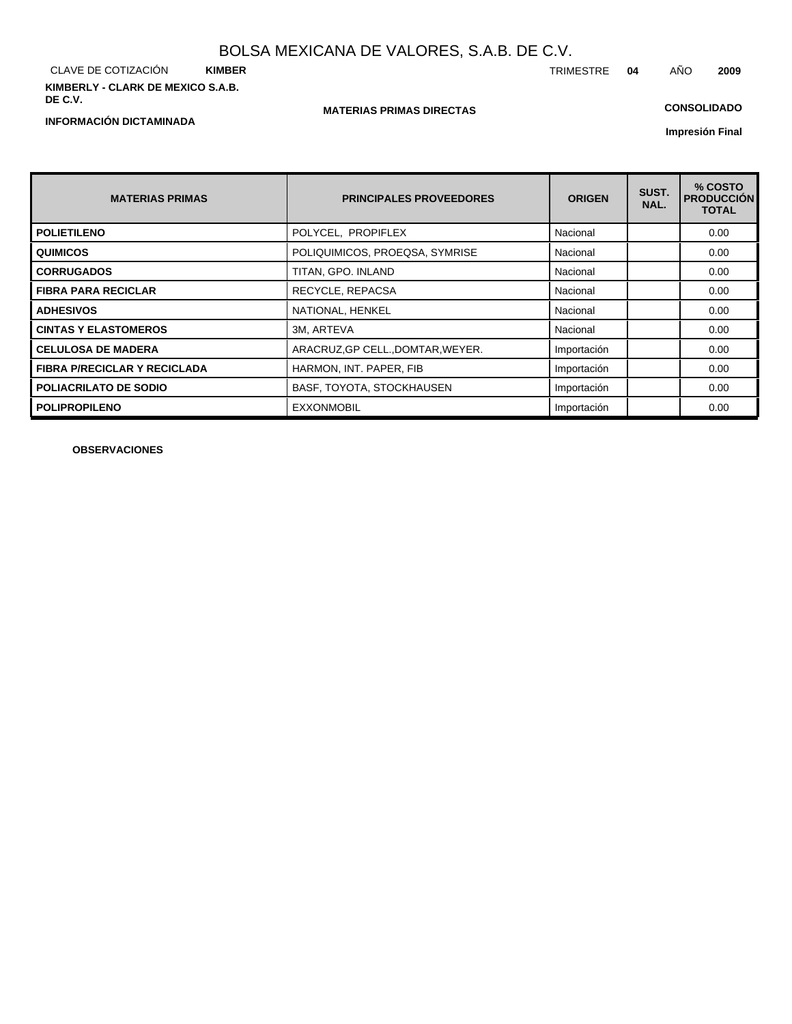CLAVE DE COTIZACIÓN **KIMBER KIMBERLY - CLARK DE MEXICO S.A.B. DE C.V.**

**INFORMACIÓN DICTAMINADA**

### **MATERIAS PRIMAS DIRECTAS**

### **CONSOLIDADO**

**Impresión Final**

| <b>MATERIAS PRIMAS</b>              | <b>PRINCIPALES PROVEEDORES</b>    | <b>ORIGEN</b> | SUST.<br>NAL. | % COSTO<br><b>PRODUCCIÓN</b><br><b>TOTAL</b> |
|-------------------------------------|-----------------------------------|---------------|---------------|----------------------------------------------|
| <b>POLIETILENO</b>                  | POLYCEL, PROPIFLEX                | Nacional      |               | 0.00                                         |
| <b>QUIMICOS</b>                     | POLIQUIMICOS, PROEQSA, SYMRISE    | Nacional      |               | 0.00                                         |
| <b>CORRUGADOS</b>                   | TITAN, GPO. INLAND                | Nacional      |               | 0.00                                         |
| <b>FIBRA PARA RECICLAR</b>          | RECYCLE, REPACSA                  | Nacional      |               | 0.00                                         |
| <b>ADHESIVOS</b>                    | NATIONAL, HENKEL                  | Nacional      |               | 0.00                                         |
| <b>CINTAS Y ELASTOMEROS</b>         | 3M, ARTEVA                        | Nacional      |               | 0.00                                         |
| <b>CELULOSA DE MADERA</b>           | ARACRUZ, GP CELL., DOMTAR, WEYER. | Importación   |               | 0.00                                         |
| <b>FIBRA P/RECICLAR Y RECICLADA</b> | HARMON, INT. PAPER, FIB           | Importación   |               | 0.00                                         |
| <b>POLIACRILATO DE SODIO</b>        | BASF, TOYOTA, STOCKHAUSEN         | Importación   |               | 0.00                                         |
| <b>POLIPROPILENO</b>                | <b>EXXONMOBIL</b>                 | Importación   |               | 0.00                                         |

**OBSERVACIONES**

TRIMESTRE **04** AÑO **2009**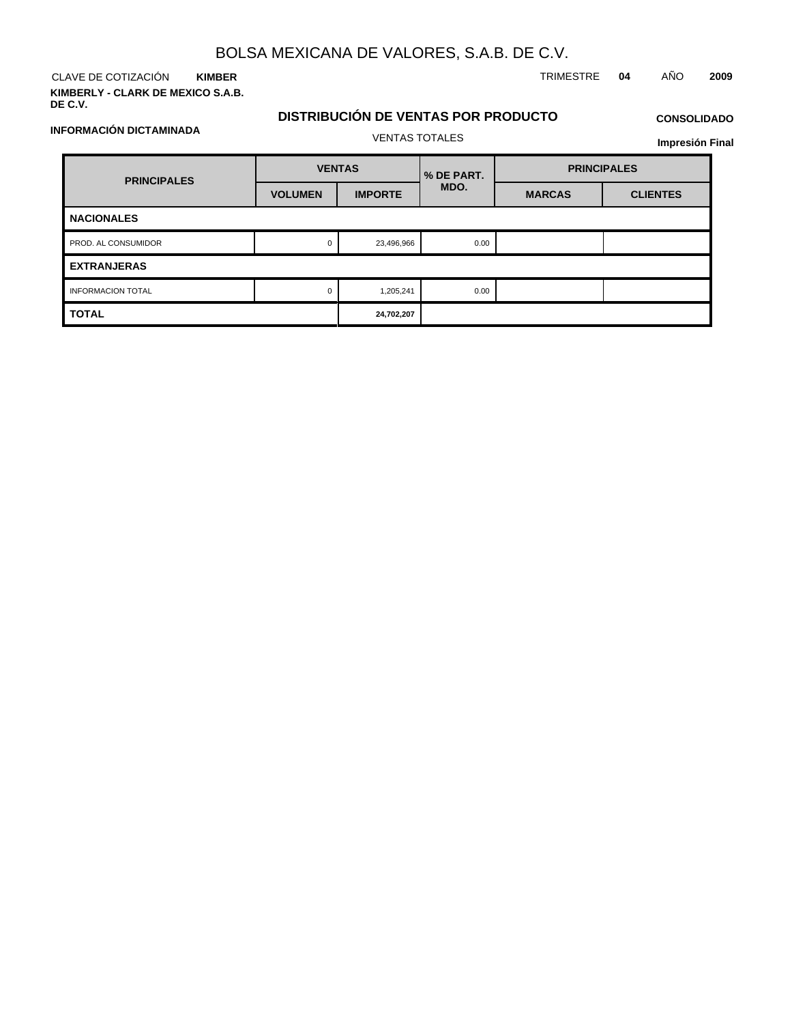CLAVE DE COTIZACIÓN TRIMESTRE **04** AÑO **2009 KIMBER KIMBERLY - CLARK DE MEXICO S.A.B.**

**INFORMACIÓN DICTAMINADA**

**DE C.V.**

### **DISTRIBUCIÓN DE VENTAS POR PRODUCTO**

## **CONSOLIDADO**

**Impresión Final**

| <b>PRINCIPALES</b>       | <b>VENTAS</b>  |                | % DE PART. | <b>PRINCIPALES</b> |                 |  |  |
|--------------------------|----------------|----------------|------------|--------------------|-----------------|--|--|
|                          | <b>VOLUMEN</b> | <b>IMPORTE</b> | MDO.       | <b>MARCAS</b>      | <b>CLIENTES</b> |  |  |
| <b>NACIONALES</b>        |                |                |            |                    |                 |  |  |
| PROD. AL CONSUMIDOR      | $\mathbf 0$    | 23,496,966     | 0.00       |                    |                 |  |  |
| <b>EXTRANJERAS</b>       |                |                |            |                    |                 |  |  |
| <b>INFORMACION TOTAL</b> | $\Omega$       | 1,205,241      | 0.00       |                    |                 |  |  |
| <b>TOTAL</b>             |                | 24,702,207     |            |                    |                 |  |  |

VENTAS TOTALES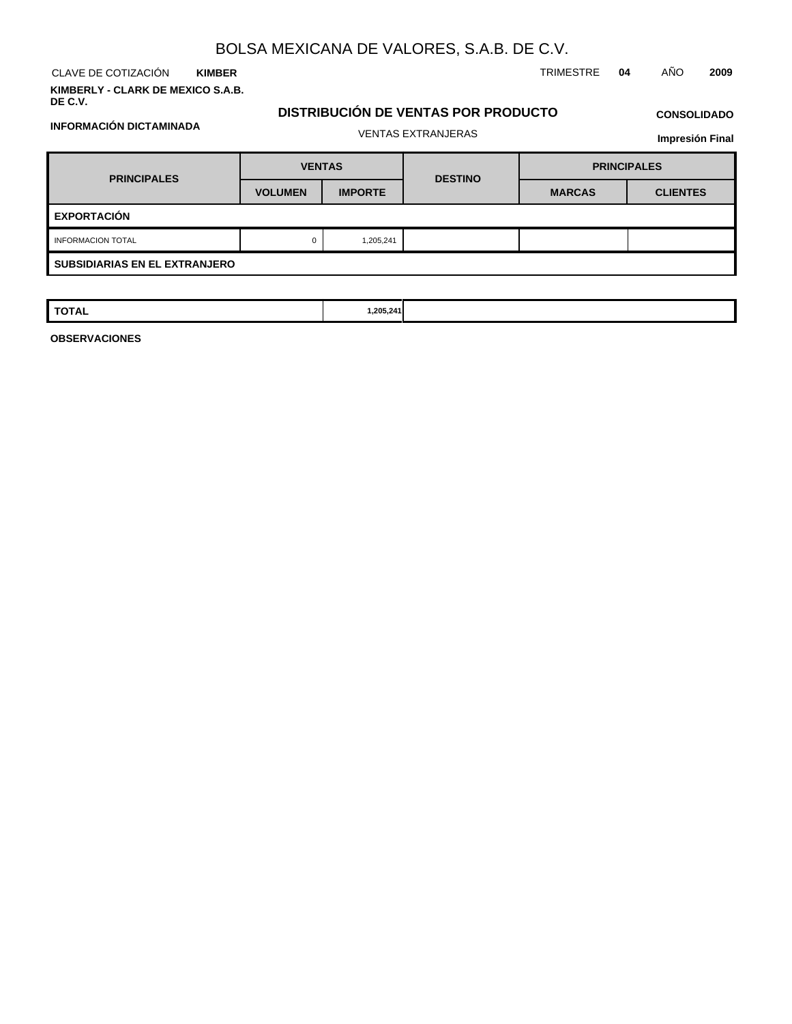**KIMBER**

**KIMBERLY - CLARK DE MEXICO S.A.B. DE C.V.**

**INFORMACIÓN DICTAMINADA**

CLAVE DE COTIZACIÓN TRIMESTRE **04** AÑO **2009**

### **DISTRIBUCIÓN DE VENTAS POR PRODUCTO** VENTAS EXTRANJERAS

## **CONSOLIDADO**

| <b>Impresión Final</b> |  |
|------------------------|--|
|------------------------|--|

| <b>PRINCIPALES</b>                   | <b>VENTAS</b>  |                | <b>DESTINO</b> | <b>PRINCIPALES</b> |                 |  |  |  |
|--------------------------------------|----------------|----------------|----------------|--------------------|-----------------|--|--|--|
|                                      | <b>VOLUMEN</b> | <b>IMPORTE</b> |                | <b>MARCAS</b>      | <b>CLIENTES</b> |  |  |  |
| <b>EXPORTACIÓN</b>                   |                |                |                |                    |                 |  |  |  |
| <b>INFORMACION TOTAL</b>             | $\Omega$       | 1,205,241      |                |                    |                 |  |  |  |
| <b>SUBSIDIARIAS EN EL EXTRANJERO</b> |                |                |                |                    |                 |  |  |  |

| <b>TOTAL</b> | 1,205,241 |  |  |
|--------------|-----------|--|--|
|              |           |  |  |

**OBSERVACIONES**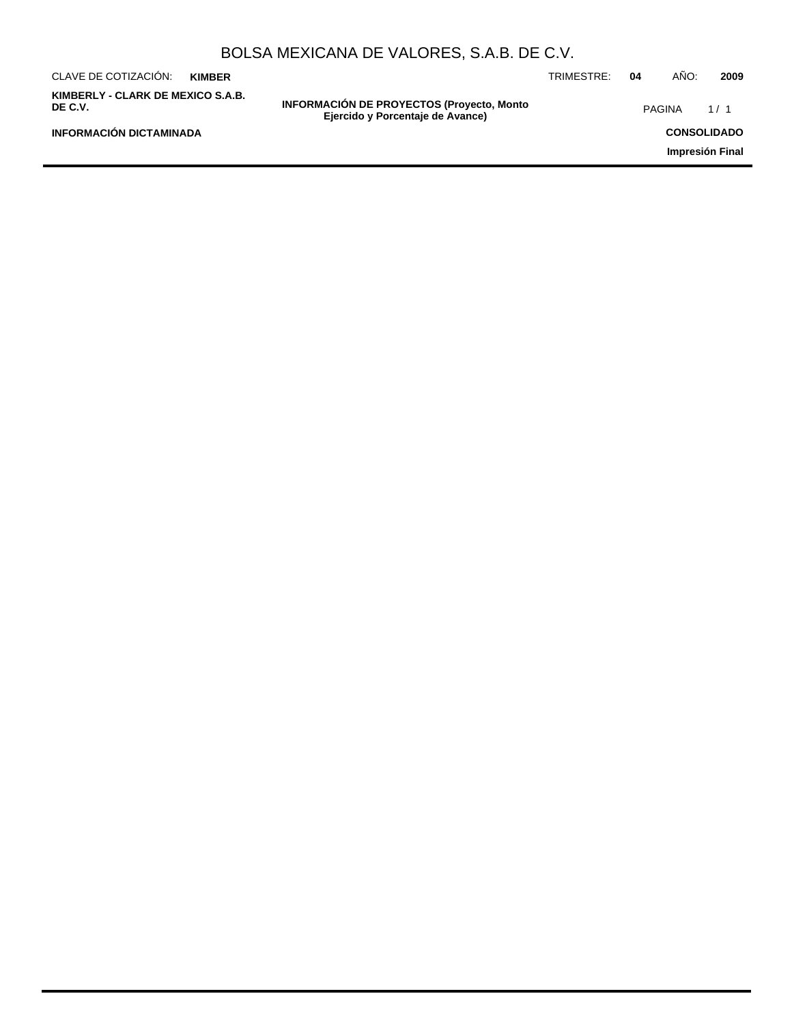| BOLSA MEXICANA DE VALORES, S.A.B. DE C.V.            |               |                                                                                      |            |    |               |                 |  |
|------------------------------------------------------|---------------|--------------------------------------------------------------------------------------|------------|----|---------------|-----------------|--|
| CLAVE DE COTIZACIÓN:                                 | <b>KIMBER</b> |                                                                                      | TRIMESTRE: | 04 | AÑO:          | 2009            |  |
| KIMBERLY - CLARK DE MEXICO S.A.B.<br>DE C.V.         |               | <b>INFORMACIÓN DE PROYECTOS (Proyecto, Monto</b><br>Ejercido y Porcentaje de Avance) |            |    | <b>PAGINA</b> | 1/1             |  |
| <b>INFORMACIÓN DICTAMINADA</b><br><b>CONSOLIDADO</b> |               |                                                                                      |            |    |               |                 |  |
|                                                      |               |                                                                                      |            |    |               | Impresión Final |  |
|                                                      |               |                                                                                      |            |    |               |                 |  |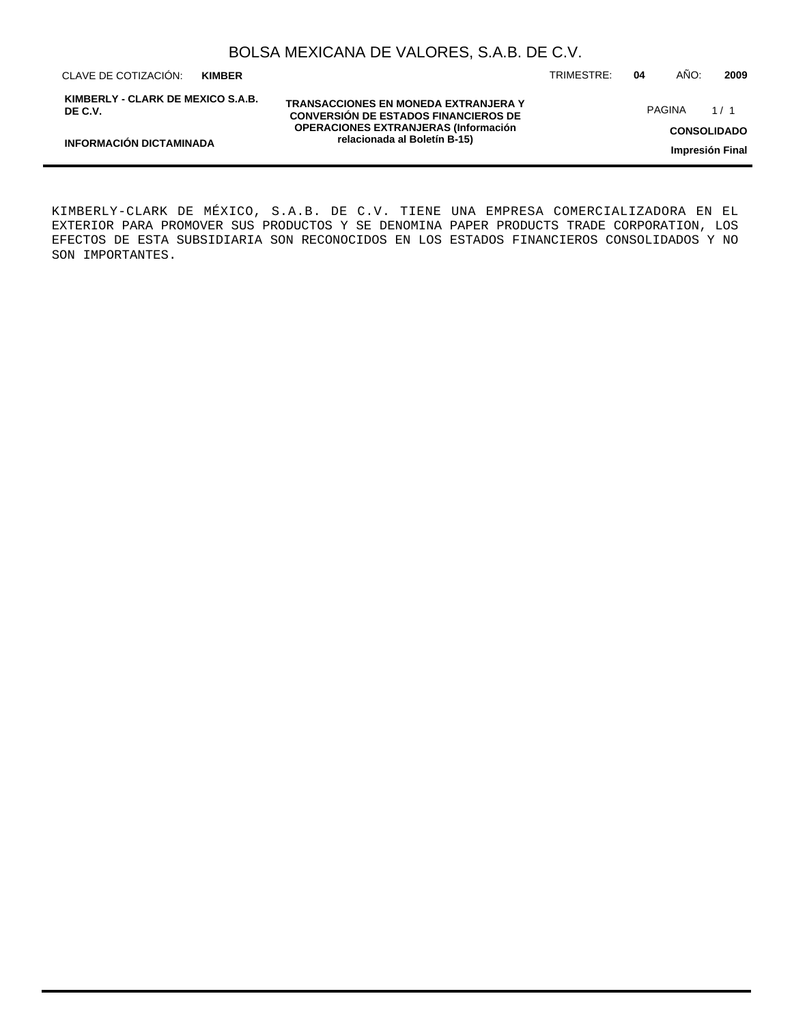CLAVE DE COTIZACIÓN: TRIMESTRE: **04** AÑO: **2009 KIMBER**

**INFORMACIÓN DICTAMINADA**

**KIMBERLY - CLARK DE MEXICO S.A.B. DE C.V.**

**TRANSACCIONES EN MONEDA EXTRANJERA Y CONVERSIÓN DE ESTADOS FINANCIEROS DE OPERACIONES EXTRANJERAS (Información relacionada al Boletín B-15)**

PAGINA 1/1

**CONSOLIDADO**

**Impresión Final**

KIMBERLY-CLARK DE MÉXICO, S.A.B. DE C.V. TIENE UNA EMPRESA COMERCIALIZADORA EN EL EXTERIOR PARA PROMOVER SUS PRODUCTOS Y SE DENOMINA PAPER PRODUCTS TRADE CORPORATION, LOS EFECTOS DE ESTA SUBSIDIARIA SON RECONOCIDOS EN LOS ESTADOS FINANCIEROS CONSOLIDADOS Y NO SON IMPORTANTES.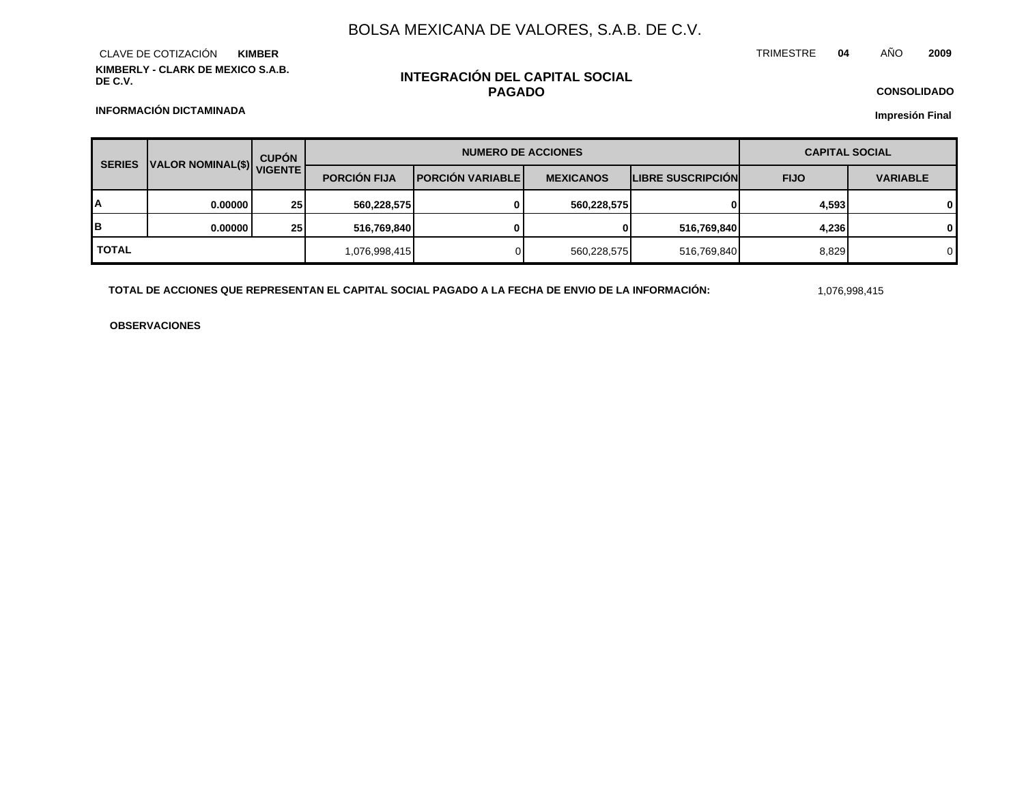**KIMBERLY - CLARK DE MEXICO S.A.B. DE C.V.** CLAVE DE COTIZACIÓN **KIMBER**

### **INTEGRACIÓN DEL CAPITAL SOCIAL PAGADO**

**CONSOLIDADO Impresión Final**

**INFORMACIÓN DICTAMINADA**

| <b>SERIES</b> | VALOR NOMINAL(\$) VIGENTE | <b>CUPÓN</b>    | <b>NUMERO DE ACCIONES</b> |                           |                  |                          | <b>CAPITAL SOCIAL</b> |                 |  |
|---------------|---------------------------|-----------------|---------------------------|---------------------------|------------------|--------------------------|-----------------------|-----------------|--|
|               |                           |                 | <b>PORCIÓN FIJA</b>       | <b>IPORCIÓN VARIABLEI</b> | <b>MEXICANOS</b> | <b>LIBRE SUSCRIPCIÓN</b> | <b>FIJO</b>           | <b>VARIABLE</b> |  |
| A             | 0.000001                  | 25 <sub>1</sub> | 560,228,575               | 0                         | 560,228,575      | 0                        | 4,593                 | 0               |  |
| lΒ            | 0.000001                  | 25 <sub>l</sub> | 516,769,840               |                           | $\mathbf{0}$     | 516,769,840              | 4,236                 | 0               |  |
| <b>TOTAL</b>  |                           |                 | 1,076,998,415             |                           | 560,228,575      | 516,769,840              | 8,829                 | 0               |  |

**TOTAL DE ACCIONES QUE REPRESENTAN EL CAPITAL SOCIAL PAGADO A LA FECHA DE ENVIO DE LA INFORMACIÓN:** 1,076,998,415

TRIMESTRE **04** AÑO **2009**

**OBSERVACIONES**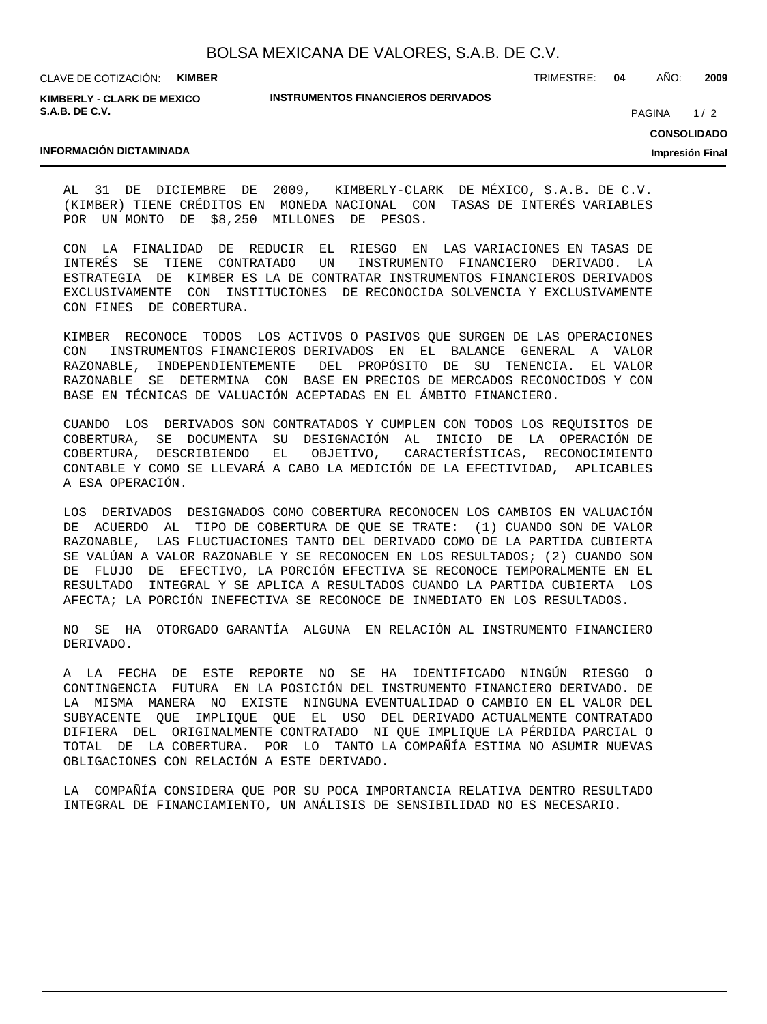CLAVE DE COTIZACIÓN: **KIMBER**

**KIMBERLY - CLARK DE MEXICO S.A.B. DE C.V.**

**INFORMACIÓN DICTAMINADA**

**INSTRUMENTOS FINANCIEROS DERIVADOS**

TRIMESTRE: **04** AÑO: **2009**

PAGINA 1/2

**CONSOLIDADO**

**Impresión Final**

AL 31 DE DICIEMBRE DE 2009, KIMBERLY-CLARK DE MÉXICO, S.A.B. DE C.V. (KIMBER) TIENE CRÉDITOS EN MONEDA NACIONAL CON TASAS DE INTERÉS VARIABLES POR UN MONTO DE \$8,250 MILLONES DE PESOS.

CON LA FINALIDAD DE REDUCIR EL RIESGO EN LAS VARIACIONES EN TASAS DE INTERÉS SE TIENE CONTRATADO UN INSTRUMENTO FINANCIERO DERIVADO. LA ESTRATEGIA DE KIMBER ES LA DE CONTRATAR INSTRUMENTOS FINANCIEROS DERIVADOS EXCLUSIVAMENTE CON INSTITUCIONES DE RECONOCIDA SOLVENCIA Y EXCLUSIVAMENTE CON FINES DE COBERTURA.

KIMBER RECONOCE TODOS LOS ACTIVOS O PASIVOS QUE SURGEN DE LAS OPERACIONES CON INSTRUMENTOS FINANCIEROS DERIVADOS EN EL BALANCE GENERAL A VALOR RAZONABLE, INDEPENDIENTEMENTE DEL PROPÓSITO DE SU TENENCIA. EL VALOR RAZONABLE SE DETERMINA CON BASE EN PRECIOS DE MERCADOS RECONOCIDOS Y CON BASE EN TÉCNICAS DE VALUACIÓN ACEPTADAS EN EL ÁMBITO FINANCIERO.

CUANDO LOS DERIVADOS SON CONTRATADOS Y CUMPLEN CON TODOS LOS REQUISITOS DE COBERTURA, SE DOCUMENTA SU DESIGNACIÓN AL INICIO DE LA OPERACIÓN DE COBERTURA, DESCRIBIENDO EL OBJETIVO, CARACTERÍSTICAS, RECONOCIMIENTO CONTABLE Y COMO SE LLEVARÁ A CABO LA MEDICIÓN DE LA EFECTIVIDAD, APLICABLES A ESA OPERACIÓN.

LOS DERIVADOS DESIGNADOS COMO COBERTURA RECONOCEN LOS CAMBIOS EN VALUACIÓN DE ACUERDO AL TIPO DE COBERTURA DE QUE SE TRATE: (1) CUANDO SON DE VALOR RAZONABLE, LAS FLUCTUACIONES TANTO DEL DERIVADO COMO DE LA PARTIDA CUBIERTA SE VALÚAN A VALOR RAZONABLE Y SE RECONOCEN EN LOS RESULTADOS; (2) CUANDO SON DE FLUJO DE EFECTIVO, LA PORCIÓN EFECTIVA SE RECONOCE TEMPORALMENTE EN EL RESULTADO INTEGRAL Y SE APLICA A RESULTADOS CUANDO LA PARTIDA CUBIERTA LOS AFECTA; LA PORCIÓN INEFECTIVA SE RECONOCE DE INMEDIATO EN LOS RESULTADOS.

NO SE HA OTORGADO GARANTÍA ALGUNA EN RELACIÓN AL INSTRUMENTO FINANCIERO DERIVADO.

A LA FECHA DE ESTE REPORTE NO SE HA IDENTIFICADO NINGÚN RIESGO O CONTINGENCIA FUTURA EN LA POSICIÓN DEL INSTRUMENTO FINANCIERO DERIVADO. DE LA MISMA MANERA NO EXISTE NINGUNA EVENTUALIDAD O CAMBIO EN EL VALOR DEL SUBYACENTE QUE IMPLIQUE QUE EL USO DEL DERIVADO ACTUALMENTE CONTRATADO DIFIERA DEL ORIGINALMENTE CONTRATADO NI QUE IMPLIQUE LA PÉRDIDA PARCIAL O TOTAL DE LA COBERTURA. POR LO TANTO LA COMPAÑÍA ESTIMA NO ASUMIR NUEVAS OBLIGACIONES CON RELACIÓN A ESTE DERIVADO.

LA COMPAÑÍA CONSIDERA QUE POR SU POCA IMPORTANCIA RELATIVA DENTRO RESULTADO INTEGRAL DE FINANCIAMIENTO, UN ANÁLISIS DE SENSIBILIDAD NO ES NECESARIO.